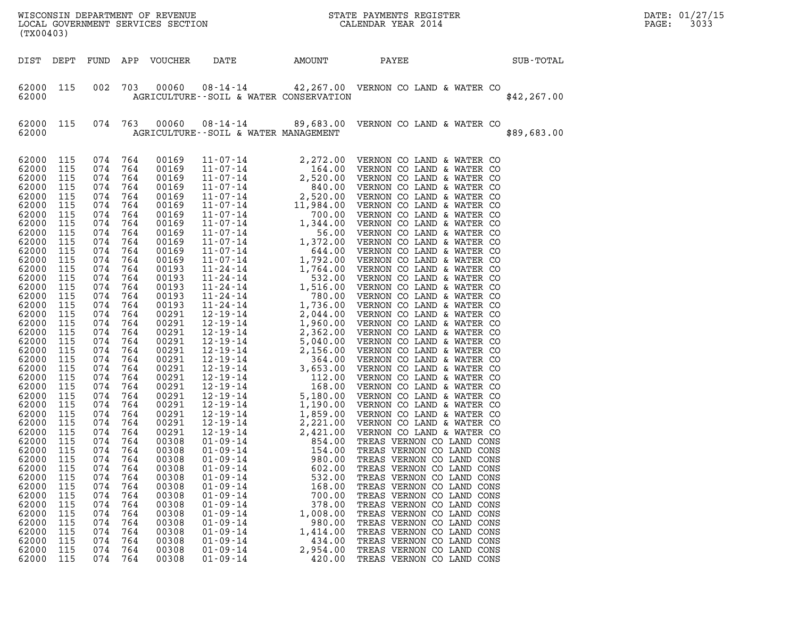| (TX00403)                                                                                                                                                                                                                                                                                                                                                                                                         |                                                                                                                                                                                                                                                                                                                           |                                                                                                                                                                                                                                                                                                                         |                                                                                                                                                                                                                                                                                                                         |                                                                                                                                                                                                                                                                                                                                                                                                                   |                                                                                                                                                                                                                                                                            |                                                                                                                                                            | WISCONSIN DEPARTMENT OF REVENUE<br>LOCAL GOVERNMENT SERVICES SECTION<br>CALENDAR YEAR 2014                                                                                                                                                                                                                                                                                                                                                                                                                                                                                                                                                                                                                                                                                                                        |              | DATE: 01/27/15<br>3033<br>PAGE: |
|-------------------------------------------------------------------------------------------------------------------------------------------------------------------------------------------------------------------------------------------------------------------------------------------------------------------------------------------------------------------------------------------------------------------|---------------------------------------------------------------------------------------------------------------------------------------------------------------------------------------------------------------------------------------------------------------------------------------------------------------------------|-------------------------------------------------------------------------------------------------------------------------------------------------------------------------------------------------------------------------------------------------------------------------------------------------------------------------|-------------------------------------------------------------------------------------------------------------------------------------------------------------------------------------------------------------------------------------------------------------------------------------------------------------------------|-------------------------------------------------------------------------------------------------------------------------------------------------------------------------------------------------------------------------------------------------------------------------------------------------------------------------------------------------------------------------------------------------------------------|----------------------------------------------------------------------------------------------------------------------------------------------------------------------------------------------------------------------------------------------------------------------------|------------------------------------------------------------------------------------------------------------------------------------------------------------|-------------------------------------------------------------------------------------------------------------------------------------------------------------------------------------------------------------------------------------------------------------------------------------------------------------------------------------------------------------------------------------------------------------------------------------------------------------------------------------------------------------------------------------------------------------------------------------------------------------------------------------------------------------------------------------------------------------------------------------------------------------------------------------------------------------------|--------------|---------------------------------|
| DIST DEPT                                                                                                                                                                                                                                                                                                                                                                                                         |                                                                                                                                                                                                                                                                                                                           | FUND                                                                                                                                                                                                                                                                                                                    |                                                                                                                                                                                                                                                                                                                         | APP VOUCHER                                                                                                                                                                                                                                                                                                                                                                                                       | DATE                                                                                                                                                                                                                                                                       | AMOUNT                                                                                                                                                     | PAYEE                                                                                                                                                                                                                                                                                                                                                                                                                                                                                                                                                                                                                                                                                                                                                                                                             | SUB-TOTAL    |                                 |
| 62000 115<br>62000                                                                                                                                                                                                                                                                                                                                                                                                |                                                                                                                                                                                                                                                                                                                           | 002                                                                                                                                                                                                                                                                                                                     | 703                                                                                                                                                                                                                                                                                                                     | 00060                                                                                                                                                                                                                                                                                                                                                                                                             | 08-14-14<br>AGRICULTURE--SOIL & WATER CONSERVATION                                                                                                                                                                                                                         |                                                                                                                                                            | 42,267.00 VERNON CO LAND & WATER CO                                                                                                                                                                                                                                                                                                                                                                                                                                                                                                                                                                                                                                                                                                                                                                               | \$42, 267.00 |                                 |
| 62000 115<br>62000                                                                                                                                                                                                                                                                                                                                                                                                |                                                                                                                                                                                                                                                                                                                           | 074 763                                                                                                                                                                                                                                                                                                                 |                                                                                                                                                                                                                                                                                                                         | 00060                                                                                                                                                                                                                                                                                                                                                                                                             | AGRICULTURE--SOIL & WATER MANAGEMENT                                                                                                                                                                                                                                       |                                                                                                                                                            | 08-14-14 89,683.00 VERNON CO LAND & WATER CO                                                                                                                                                                                                                                                                                                                                                                                                                                                                                                                                                                                                                                                                                                                                                                      | \$89,683.00  |                                 |
| 62000<br>62000<br>62000<br>62000<br>62000<br>62000<br>62000<br>62000<br>62000<br>62000<br>62000<br>62000<br>62000<br>62000<br>62000<br>62000<br>62000<br>62000<br>62000<br>62000<br>62000<br>62000<br>62000<br>62000<br>62000<br>62000<br>62000<br>62000<br>62000<br>62000<br>62000<br>62000<br>62000<br>62000<br>62000<br>62000<br>62000<br>62000<br>62000<br>62000<br>62000<br>62000<br>62000<br>62000<br>62000 | 115<br>115<br>115<br>115<br>115<br>115<br>115<br>115<br>115<br>115<br>115<br>115<br>115<br>115<br>115<br>115<br>115<br>115<br>115<br>115<br>115<br>115<br>115<br>115<br>115<br>115<br>115<br>115<br>115<br>115<br>- 115<br>115<br>115<br>115<br>115<br>115<br>115<br>115<br>115<br>115<br>115<br>115<br>115<br>115<br>115 | 074<br>074<br>074<br>074<br>074<br>074<br>074<br>074<br>074<br>074<br>074<br>074<br>074<br>074<br>074<br>074<br>074<br>074<br>074<br>074<br>074<br>074<br>074<br>074<br>074<br>074<br>074<br>074<br>074<br>074<br>074<br>074<br>074<br>074<br>074<br>074<br>074<br>074<br>074<br>074<br>074<br>074<br>074<br>074<br>074 | 764<br>764<br>764<br>764<br>764<br>764<br>764<br>764<br>764<br>764<br>764<br>764<br>764<br>764<br>764<br>764<br>764<br>764<br>764<br>764<br>764<br>764<br>764<br>764<br>764<br>764<br>764<br>764<br>764<br>764<br>764<br>764<br>764<br>764<br>764<br>764<br>764<br>764<br>764<br>764<br>764<br>764<br>764<br>764<br>764 | 00169<br>00169<br>00169<br>00169<br>00169<br>00169<br>00169<br>00169<br>00169<br>00169<br>00169<br>00169<br>00193<br>00193<br>00193<br>00193<br>00193<br>00291<br>00291<br>00291<br>00291<br>00291<br>00291<br>00291<br>00291<br>00291<br>00291<br>00291<br>00291<br>00291<br>00291<br>00308<br>00308<br>00308<br>00308<br>00308<br>00308<br>00308<br>00308<br>00308<br>00308<br>00308<br>00308<br>00308<br>00308 | $12 - 19 - 14$<br>$01 - 09 - 14$<br>$01 - 09 - 14$<br>$01 - 09 - 14$<br>$01 - 09 - 14$<br>$01 - 09 - 14$<br>$01 - 09 - 14$<br>$01 - 09 - 14$<br>$01 - 09 - 14$<br>$01 - 09 - 14$<br>$01 - 09 - 14$<br>$01 - 09 - 14$<br>$01 - 09 - 14$<br>$01 - 09 - 14$<br>$01 - 09 - 14$ | 2,421.00<br>854.00<br>154.00<br>980.00<br>602.00<br>532.00<br>168.00<br>700.00<br>378.00<br>1,008.00<br>980.00<br>1,414.00<br>434.00<br>2,954.00<br>420.00 | $\begin{tabular}{ c  c  c c c} 11-07-14 & 2,272.00 & VERNON CO LAND & WATTER CO\\ 11-07-14 & 2,520.00 & VERNON CO LAND & WATTER CO\\ 11-07-14 & 2,520.00 & VERNON CO LAND & WATER CO\\ 11-07-14 & 2,520.00 & VERNON CO LAND & WATER CO\\ 11-07-14 & 1,984.00 & VERNON CO LAND & WATER CO\\ 11-07-14 & 1,984.00 & VERNON CO LAND & WATER CO\\ 11-07-14 & 1,944$<br>VERNON CO LAND & WATER CO<br>TREAS VERNON CO LAND CONS<br>TREAS VERNON CO LAND CONS<br>TREAS VERNON CO LAND CONS<br>TREAS VERNON CO LAND CONS<br>TREAS VERNON CO LAND CONS<br>TREAS VERNON CO LAND CONS<br>TREAS VERNON CO LAND CONS<br>TREAS VERNON CO LAND CONS<br>TREAS VERNON CO LAND CONS<br>TREAS VERNON CO LAND CONS<br>TREAS VERNON CO LAND CONS<br>TREAS VERNON CO LAND CONS<br>TREAS VERNON CO LAND CONS<br>TREAS VERNON CO LAND CONS |              |                                 |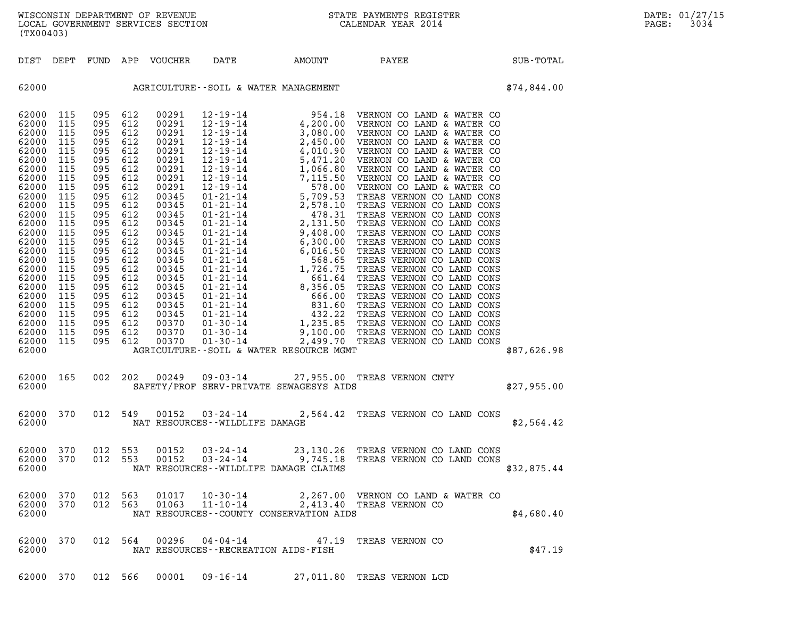|                                                                                                                                                                                                                                                 | (TX00403)                                                                                                                                                                          |                                                                                                                                                                                    |                                                                                                                                                                                    |                                                                                                                                                                                                                                        |                                                      |                                                                                                                                                                                                                                                                                                                                                                                                                                                                           |                                                                |  |             |  |
|-------------------------------------------------------------------------------------------------------------------------------------------------------------------------------------------------------------------------------------------------|------------------------------------------------------------------------------------------------------------------------------------------------------------------------------------|------------------------------------------------------------------------------------------------------------------------------------------------------------------------------------|------------------------------------------------------------------------------------------------------------------------------------------------------------------------------------|----------------------------------------------------------------------------------------------------------------------------------------------------------------------------------------------------------------------------------------|------------------------------------------------------|---------------------------------------------------------------------------------------------------------------------------------------------------------------------------------------------------------------------------------------------------------------------------------------------------------------------------------------------------------------------------------------------------------------------------------------------------------------------------|----------------------------------------------------------------|--|-------------|--|
| DIST                                                                                                                                                                                                                                            | DEPT                                                                                                                                                                               | FUND                                                                                                                                                                               |                                                                                                                                                                                    | APP VOUCHER DATE                                                                                                                                                                                                                       |                                                      | AMOUNT                                                                                                                                                                                                                                                                                                                                                                                                                                                                    | PAYEE                                                          |  | SUB-TOTAL   |  |
| 62000                                                                                                                                                                                                                                           |                                                                                                                                                                                    |                                                                                                                                                                                    |                                                                                                                                                                                    |                                                                                                                                                                                                                                        |                                                      | AGRICULTURE--SOIL & WATER MANAGEMENT                                                                                                                                                                                                                                                                                                                                                                                                                                      |                                                                |  | \$74,844.00 |  |
| 62000<br>62000<br>62000<br>62000<br>62000<br>62000<br>62000<br>62000<br>62000<br>62000<br>62000<br>62000<br>62000<br>62000<br>62000<br>62000<br>62000<br>62000<br>62000<br>62000<br>62000<br>62000<br>62000<br>62000<br>62000<br>62000<br>62000 | 115<br>115<br>115<br>115<br>115<br>115<br>115<br>115<br>115<br>115<br>115<br>115<br>115<br>115<br>115<br>115<br>115<br>115<br>115<br>115<br>115<br>115<br>115<br>115<br>115<br>115 | 095<br>095<br>095<br>095<br>095<br>095<br>095<br>095<br>095<br>095<br>095<br>095<br>095<br>095<br>095<br>095<br>095<br>095<br>095<br>095<br>095<br>095<br>095<br>095<br>095<br>095 | 612<br>612<br>612<br>612<br>612<br>612<br>612<br>612<br>612<br>612<br>612<br>612<br>612<br>612<br>612<br>612<br>612<br>612<br>612<br>612<br>612<br>612<br>612<br>612<br>612<br>612 | 00291<br>00291<br>00291<br>00291<br>00291<br>00291<br>00291<br>00291<br>00291<br>00345<br>00345<br>00345<br>00345<br>00345<br>00345<br>00345<br>00345<br>00345<br>00345<br>00345<br>00345<br>00345<br>00345<br>00370<br>00370<br>00370 |                                                      | $\begin{tabular}{ c   c  c  c c c c} $12\cdot 19\cdot 14$ & $954\cdot 18$ & VERRONON CO LAND & WATTER CO \\ $12\cdot 19\cdot 14$ & $4\cdot 200\cdot 00$ & VERRONON CO LAND & WATTER CO \\ $12\cdot 19\cdot 14$ & $3\cdot 080\cdot 00$ & VERNON CO LAND & WATER CO \\ $12\cdot 19\cdot 14$ & $2\cdot 450\cdot 00$ & VERNON CO LAND & WATER CO \\ $12\cdot 19\cdot 14$ & $4\cdot 010\cdot 90$ & VERNON CO LAND & WATER CO \\ $1$<br>AGRICULTURE--SOIL & WATER RESOURCE MGMT |                                                                |  | \$87,626.98 |  |
| 62000<br>62000                                                                                                                                                                                                                                  | 165                                                                                                                                                                                | 002                                                                                                                                                                                | 202                                                                                                                                                                                | 00249                                                                                                                                                                                                                                  |                                                      | 09-03-14 27,955.00 TREAS VERNON CNTY<br>F SERV-PRIVATE SEWAGESYS AIDS<br>SAFETY/PROF SERV-PRIVATE SEWAGESYS AIDS                                                                                                                                                                                                                                                                                                                                                          |                                                                |  | \$27,955.00 |  |
| 62000<br>62000                                                                                                                                                                                                                                  | 370                                                                                                                                                                                | 012                                                                                                                                                                                | 549                                                                                                                                                                                | 00152                                                                                                                                                                                                                                  | $03 - 24 - 14$<br>NAT RESOURCES - - WILDLIFE DAMAGE  |                                                                                                                                                                                                                                                                                                                                                                                                                                                                           | 2,564.42 TREAS VERNON CO LAND CONS                             |  | \$2,564.42  |  |
| 62000<br>62000<br>62000                                                                                                                                                                                                                         | 370<br>370                                                                                                                                                                         | 012<br>012                                                                                                                                                                         | 553<br>553                                                                                                                                                                         | 00152<br>00152                                                                                                                                                                                                                         |                                                      | 03-24-14 23,130.26 TREAS VERNON CO LAND CONS<br>03-24-14 9,745.18 TREAS VERNON CO LAND CONS<br>NAT RESOURCES - WILDLIFE DAMAGE CLAIMS                                                                                                                                                                                                                                                                                                                                     |                                                                |  | \$32,875.44 |  |
| 62000<br>62000<br>62000                                                                                                                                                                                                                         | 370<br>370                                                                                                                                                                         | 012<br>012                                                                                                                                                                         | 563<br>563                                                                                                                                                                         | 01017<br>01063                                                                                                                                                                                                                         | $10 - 30 - 14$<br>$11 - 10 - 14$                     | NAT RESOURCES - - COUNTY CONSERVATION AIDS                                                                                                                                                                                                                                                                                                                                                                                                                                | 2,267.00 VERNON CO LAND & WATER CO<br>2,413.40 TREAS VERNON CO |  | \$4,680.40  |  |
| 62000<br>62000                                                                                                                                                                                                                                  | 370                                                                                                                                                                                |                                                                                                                                                                                    | 012 564                                                                                                                                                                            | 00296                                                                                                                                                                                                                                  | 04-04-14<br>NAT RESOURCES - - RECREATION AIDS - FISH | 47.19                                                                                                                                                                                                                                                                                                                                                                                                                                                                     | TREAS VERNON CO                                                |  | \$47.19     |  |

62000 370 012 566 00001 09-16-14 27,011.80 TREAS VERNON LCD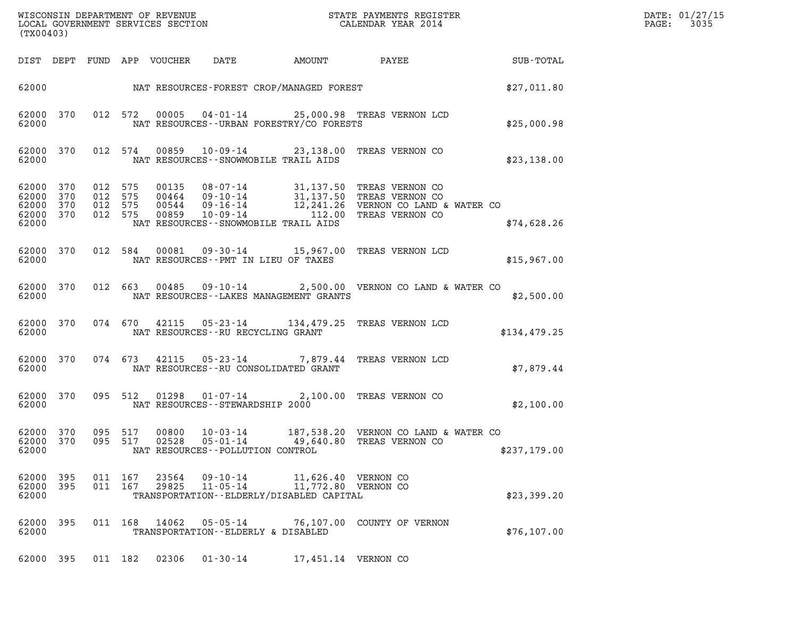| (TX00403)                                     |                   |                                          |                                  |                            | ${\tt WISCONSIM\ DEPARTMENT\ OF\ REVENUE}\qquad \qquad {\tt STATE\ PAYMENTS\ REGISTER}\nonumber\\ {\tt LOCAL\ GOVERNMENT\ SERVICES\ SECTION}\qquad \qquad {\tt CALENDAR\ YEAR\ 2014}$                  |                                      |                 | DATE: 01/27/15<br>3035<br>$\mathtt{PAGE}$ : |
|-----------------------------------------------|-------------------|------------------------------------------|----------------------------------|----------------------------|--------------------------------------------------------------------------------------------------------------------------------------------------------------------------------------------------------|--------------------------------------|-----------------|---------------------------------------------|
|                                               |                   |                                          | DIST DEPT FUND APP VOUCHER       | DATE                       | AMOUNT                                                                                                                                                                                                 |                                      | PAYEE SUB-TOTAL |                                             |
|                                               |                   |                                          |                                  |                            | 62000 NAT RESOURCES-FOREST CROP/MANAGED FOREST                                                                                                                                                         |                                      | \$27,011.80     |                                             |
| 62000 370<br>62000                            |                   | 012 572                                  | 00005                            |                            | 04-01-14 25,000.98 TREAS VERNON LCD<br>NAT RESOURCES--URBAN FORESTRY/CO FORESTS                                                                                                                        |                                      | \$25,000.98     |                                             |
| 62000 370<br>62000                            |                   | 012 574                                  | 00859                            |                            | 10-09-14 23,138.00 TREAS VERNON CO<br>NAT RESOURCES - - SNOWMOBILE TRAIL AIDS                                                                                                                          |                                      | \$23,138.00     |                                             |
| 62000<br>62000<br>62000<br>62000 370<br>62000 | 370<br>370<br>370 | 012 575<br>012 575<br>012 575<br>012 575 | 00135<br>00464<br>00544<br>00859 |                            | 08-07-14 31,137.50 TREAS VERNON CO<br>09-10-14 31,137.50 TREAS VERNON CO<br>09-16-14 12,241.26 VERNON CO LAND & WATER CO<br>10-09-14 112.00 TREAS VERNON CO<br>NAT RESOURCES - - SNOWMOBILE TRAIL AIDS |                                      | \$74,628.26     |                                             |
| 62000                                         | 62000 370         | 012 584                                  | 00081                            |                            | 09-30-14 15,967.00 TREAS VERNON LCD<br>NAT RESOURCES -- PMT IN LIEU OF TAXES                                                                                                                           |                                      | \$15,967.00     |                                             |
| 62000                                         | 62000 370         |                                          |                                  |                            | 012 663 00485 09-10-14 2,500.00 VERNON CO LAND & WATER CO<br>NAT RESOURCES - - LAKES MANAGEMENT GRANTS                                                                                                 |                                      | \$2,500.00      |                                             |
| 62000                                         | 62000 370         |                                          |                                  |                            | 074 670 42115 05-23-14 134,479.25 TREAS VERNON LCD<br>NAT RESOURCES -- RU RECYCLING GRANT                                                                                                              |                                      | \$134,479.25    |                                             |
| 62000                                         | 62000 370         |                                          |                                  |                            | 074 673 42115 05-23-14 7,879.44 TREAS VERNON LCD<br>NAT RESOURCES - - RU CONSOLIDATED GRANT                                                                                                            |                                      | \$7,879.44      |                                             |
| 62000                                         | 62000 370         | 095 512                                  |                                  |                            | 01298  01-07-14  2,100.00 TREAS VERNON CO<br>NAT RESOURCES - - STEWARDSHIP 2000                                                                                                                        |                                      | \$2,100.00      |                                             |
| 62000 370<br>62000                            | 62000 370         | 095 517<br>095 517                       |                                  | 00800 10-03-14             | 02528  05-01-14  49,640.80  TREAS VERNON CO<br>NAT RESOURCES - - POLLUTION CONTROL                                                                                                                     | 187,538.20 VERNON CO LAND & WATER CO | \$237,179.00    |                                             |
| 62000 395<br>62000 395<br>62000               |                   | 011 167<br>011 167                       | 23564<br>29825                   | 09-10-14<br>$11 - 05 - 14$ | 11,626.40 VERNON CO<br>11,772.80 VERNON CO<br>TRANSPORTATION - - ELDERLY/DISABLED CAPITAL                                                                                                              |                                      | \$23,399.20     |                                             |
| 62000 395<br>62000                            |                   |                                          | 011 168 14062                    | 05-05-14                   | TRANSPORTATION--ELDERLY & DISABLED                                                                                                                                                                     | 76,107.00 COUNTY OF VERNON           | \$76,107.00     |                                             |
| 62000 395                                     |                   | 011 182                                  | 02306                            | $01 - 30 - 14$             | 17,451.14 VERNON CO                                                                                                                                                                                    |                                      |                 |                                             |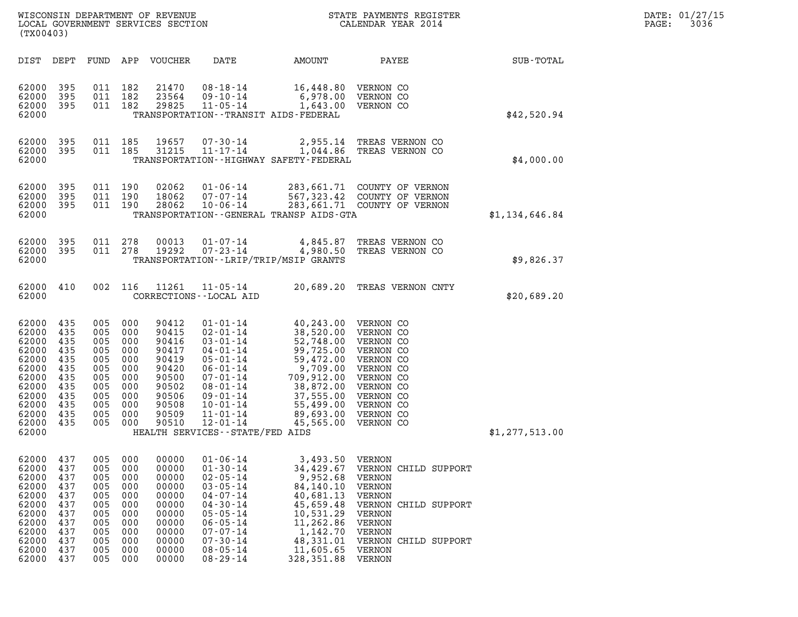| DATE: | 01/27/15 |
|-------|----------|
| PAGE: | 3036     |

| (TX00403)                                                                                                             |                                                                                  |                                                                                  |                                                                                  |                                                                                                          |                                                                                                                                                                                                                                             |                                                                                                                                                                                                                       | ${\tt WISCOONSIM} \begin{tabular}{lcccc} {\tt NISCOONSIM} \end{tabular} \begin{tabular}{lcccc} {\tt NISCONSIM} \end{tabular} \begin{tabular}{lcccc} {\tt NISCONSIM} \end{tabular} \begin{tabular}{lcccc} {\tt NECONSIM} \end{tabular} \begin{tabular}{lcccc} {\tt NUCAL} \end{tabular} \begin{tabular}{lcccc} {\tt NUCAL} \end{tabular} \end{tabular} \begin{tabular}{lcccc} {\tt NUCAL} \end{tabular} \begin{tabular}{lcccc} {\tt NUCAL} \end{tabular} \end{tabular} \begin{tabular}{lcccc} {\tt NUCAL} \end{tabular} \begin{tabular}{lcccc$ | DATE: 01/27/15<br>3036<br>$\mathtt{PAGE:}$ |  |
|-----------------------------------------------------------------------------------------------------------------------|----------------------------------------------------------------------------------|----------------------------------------------------------------------------------|----------------------------------------------------------------------------------|----------------------------------------------------------------------------------------------------------|---------------------------------------------------------------------------------------------------------------------------------------------------------------------------------------------------------------------------------------------|-----------------------------------------------------------------------------------------------------------------------------------------------------------------------------------------------------------------------|-----------------------------------------------------------------------------------------------------------------------------------------------------------------------------------------------------------------------------------------------------------------------------------------------------------------------------------------------------------------------------------------------------------------------------------------------------------------------------------------------------------------------------------------------|--------------------------------------------|--|
| DIST DEPT                                                                                                             |                                                                                  |                                                                                  |                                                                                  | FUND APP VOUCHER                                                                                         | DATE                                                                                                                                                                                                                                        | AMOUNT                                                                                                                                                                                                                | PAYEE                                                                                                                                                                                                                                                                                                                                                                                                                                                                                                                                         | SUB-TOTAL                                  |  |
| 62000<br>62000<br>62000<br>62000                                                                                      | 395<br>395<br>395                                                                | 011 182                                                                          | 011 182<br>011 182                                                               | 21470<br>23564<br>29825                                                                                  | 08-18-14<br>$09 - 10 - 14$<br>$11 - 05 - 14$                                                                                                                                                                                                | 16,448.80<br>6,978.00<br>TRANSPORTATION - - TRANSIT AIDS - FEDERAL                                                                                                                                                    | VERNON CO<br>VERNON CO<br>1,643.00 VERNON CO                                                                                                                                                                                                                                                                                                                                                                                                                                                                                                  | \$42,520.94                                |  |
| 62000 395<br>62000<br>62000                                                                                           | 395                                                                              |                                                                                  | 011 185<br>011 185                                                               | 19657<br>31215                                                                                           | 07-30-14<br>$11 - 17 - 14$                                                                                                                                                                                                                  | TRANSPORTATION - - HIGHWAY SAFETY - FEDERAL                                                                                                                                                                           | 2,955.14 TREAS VERNON CO<br>1,044.86 TREAS VERNON CO                                                                                                                                                                                                                                                                                                                                                                                                                                                                                          | \$4,000.00                                 |  |
| 62000<br>62000<br>62000<br>62000                                                                                      | 395<br>395<br>395                                                                |                                                                                  | 011 190<br>011 190<br>011 190                                                    | 02062<br>18062<br>28062                                                                                  | $01 - 06 - 14$<br>07-07-14<br>10-06-14                                                                                                                                                                                                      | TRANSPORTATION - - GENERAL TRANSP AIDS - GTA                                                                                                                                                                          | 283,661.71 COUNTY OF VERNON<br>567,323.42 COUNTY OF VERNON<br>283,661.71 COUNTY OF VERNON                                                                                                                                                                                                                                                                                                                                                                                                                                                     | \$1,134,646.84                             |  |
| 62000<br>62000 395<br>62000                                                                                           | 395                                                                              |                                                                                  | 011 278<br>011 278                                                               | 00013<br>19292                                                                                           | 01-07-14<br>$07 - 23 - 14$                                                                                                                                                                                                                  | 4,845.87<br>4,980.50<br>TRANSPORTATION - - LRIP/TRIP/MSIP GRANTS                                                                                                                                                      | TREAS VERNON CO<br>TREAS VERNON CO                                                                                                                                                                                                                                                                                                                                                                                                                                                                                                            | \$9,826.37                                 |  |
| 62000 410<br>62000                                                                                                    |                                                                                  |                                                                                  |                                                                                  |                                                                                                          | 002 116 11261 11-05-14<br>CORRECTIONS - - LOCAL AID                                                                                                                                                                                         |                                                                                                                                                                                                                       | 20,689.20 TREAS VERNON CNTY                                                                                                                                                                                                                                                                                                                                                                                                                                                                                                                   | \$20,689.20                                |  |
| 62000 435<br>62000<br>62000<br>62000<br>62000<br>62000<br>62000<br>62000<br>62000<br>62000<br>62000<br>62000<br>62000 | 435<br>435<br>435<br>435<br>435<br>435<br>435<br>435<br>435<br>435<br>435        | 005<br>005<br>005<br>005<br>005<br>005<br>005<br>005<br>005<br>005<br>005 000    | 005 000<br>000<br>000<br>000<br>000<br>000<br>000<br>000<br>000<br>000<br>000    | 90412<br>90415<br>90416<br>90417<br>90419<br>90420<br>90500<br>90502<br>90506<br>90508<br>90509<br>90510 | $01 - 01 - 14$<br>$02 - 01 - 14$<br>$03 - 01 - 14$<br>$04 - 01 - 14$<br>$05 - 01 - 14$<br>$06 - 01 - 14$<br>07-01-14<br>$08 - 01 - 14$<br>09-01-14<br>$10 - 01 - 14$<br>$11 - 01 - 14$<br>$12 - 01 - 14$<br>HEALTH SERVICES--STATE/FED AIDS | 40,243.00 VERNON CO<br>$40,243.00$<br>$38,520.00$<br>$52,748.00$<br>$59,725.00$<br>$99,725.00$<br>$99,709.00$<br>$709,912.00$<br>$38,872.00$<br>$37,555.00$<br>$55,499.00$<br>$89,693.00$<br>$45,565.00$<br>45,565.00 | VERNON CO<br>VERNON CO<br>VERNON CO<br>VERNON CO<br>VERNON CO<br>VERNON CO<br>VERNON CO<br>VERNON CO<br>VERNON CO<br>VERNON CO<br>VERNON CO                                                                                                                                                                                                                                                                                                                                                                                                   | \$1, 277, 513.00                           |  |
| 62000<br>62000<br>62000<br>62000<br>62000<br>62000<br>62000<br>62000<br>62000<br>62000<br>62000<br>62000              | 437<br>437<br>437<br>437<br>437<br>437<br>437<br>437<br>437<br>437<br>437<br>437 | 005<br>005<br>005<br>005<br>005<br>005<br>005<br>005<br>005<br>005<br>005<br>005 | 000<br>000<br>000<br>000<br>000<br>000<br>000<br>000<br>000<br>000<br>000<br>000 | 00000<br>00000<br>00000<br>00000<br>00000<br>00000<br>00000<br>00000<br>00000<br>00000<br>00000<br>00000 | $01 - 06 - 14$<br>$01 - 30 - 14$<br>$02 - 05 - 14$<br>$03 - 05 - 14$<br>$04 - 07 - 14$<br>$04 - 30 - 14$<br>$05 - 05 - 14$<br>$06 - 05 - 14$<br>$07 - 07 - 14$<br>$07 - 30 - 14$<br>$08 - 05 - 14$<br>$08 - 29 - 14$                        | 3,493.50<br>34,429.67<br>9,952.68<br>84,140.10<br>40,681.13<br>45,659.48<br>10,531.29<br>11,262.86<br>1,142.70<br>48,331.01<br>11,605.65<br>328,351.88                                                                | VERNON<br>VERNON CHILD SUPPORT<br>VERNON<br>VERNON<br>VERNON<br>VERNON CHILD SUPPORT<br>VERNON<br>VERNON<br>VERNON<br>VERNON CHILD SUPPORT<br>VERNON<br>VERNON                                                                                                                                                                                                                                                                                                                                                                                |                                            |  |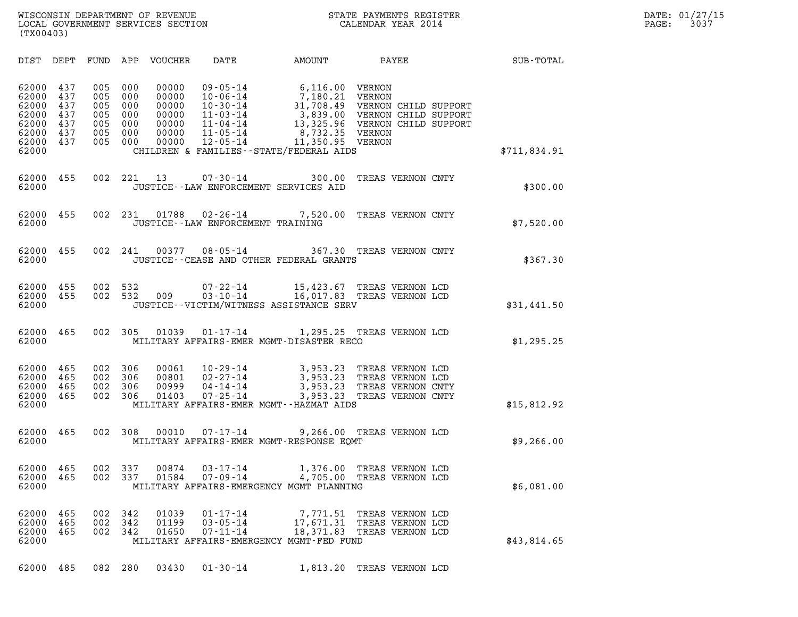| (TX00403)                                                                                                             |                                                                                                |                                                                                                                                                                                                                       |                                                                           |                                                                                                                    |              |
|-----------------------------------------------------------------------------------------------------------------------|------------------------------------------------------------------------------------------------|-----------------------------------------------------------------------------------------------------------------------------------------------------------------------------------------------------------------------|---------------------------------------------------------------------------|--------------------------------------------------------------------------------------------------------------------|--------------|
| DIST<br>DEPT                                                                                                          | APP<br>FUND                                                                                    | VOUCHER<br>DATE                                                                                                                                                                                                       | AMOUNT                                                                    | PAYEE                                                                                                              | SUB-TOTAL    |
| 62000<br>437<br>62000<br>437<br>62000<br>437<br>62000<br>437<br>62000<br>437<br>62000<br>437<br>62000<br>437<br>62000 | 005<br>000<br>005<br>000<br>005<br>000<br>005<br>000<br>005<br>000<br>005<br>000<br>005<br>000 | 00000<br>$09 - 05 - 14$<br>00000<br>$10 - 06 - 14$<br>00000<br>$10 - 30 - 14$<br>00000<br>11-03-14<br>00000<br>11-04-14<br>00000<br>11-05-14<br>00000<br>$12 - 05 - 14$<br>CHILDREN & FAMILIES - - STATE/FEDERAL AIDS | 6,116.00 VERNON<br>7,180.21 VERNON<br>8,732.35 VERNON<br>11,350.95 VERNON | 31,708.49 VERNON CHILD SUPPORT<br>3,839.00 VERNON CHILD SUPPORT<br>13,325.96 VERNON CHILD SUPPORT                  | \$711,834.91 |
| 62000<br>455<br>62000                                                                                                 | 002<br>221                                                                                     | 13<br>$07 - 30 - 14$<br>JUSTICE -- LAW ENFORCEMENT SERVICES AID                                                                                                                                                       | 300.00                                                                    | TREAS VERNON CNTY                                                                                                  | \$300.00     |
| 62000<br>455<br>62000                                                                                                 | 002<br>231                                                                                     | 01788<br>$02 - 26 - 14$<br>JUSTICE - - LAW ENFORCEMENT TRAINING                                                                                                                                                       | 7,520.00                                                                  | TREAS VERNON CNTY                                                                                                  | \$7,520.00   |
| 62000<br>455<br>62000                                                                                                 | 002<br>241                                                                                     | $08 - 05 - 14$<br>00377<br>JUSTICE--CEASE AND OTHER FEDERAL GRANTS                                                                                                                                                    |                                                                           | 367.30 TREAS VERNON CNTY                                                                                           | \$367.30     |
| 62000<br>455<br>62000<br>455<br>62000                                                                                 | 002<br>532<br>532<br>002                                                                       | $07 - 22 - 14$<br>$03 - 10 - 14$<br>009<br>JUSTICE -- VICTIM/WITNESS ASSISTANCE SERV                                                                                                                                  |                                                                           | 15,423.67 TREAS VERNON LCD<br>16,017.83 TREAS VERNON LCD                                                           | \$31,441.50  |
| 62000<br>465<br>62000                                                                                                 | 002<br>305                                                                                     | 01039<br>$01 - 17 - 14$<br>MILITARY AFFAIRS-EMER MGMT-DISASTER RECO                                                                                                                                                   |                                                                           | 1,295.25 TREAS VERNON LCD                                                                                          | \$1,295.25   |
| 62000<br>465<br>62000<br>465<br>62000<br>465<br>62000<br>465<br>62000                                                 | 002<br>306<br>002<br>306<br>002<br>306<br>002<br>306                                           | 00061<br>10-29-14<br>$02 - 27 - 14$<br>00801<br>00999<br>$04 - 14 - 14$<br>01403<br>$07 - 25 - 14$<br>MILITARY AFFAIRS-EMER MGMT--HAZMAT AIDS                                                                         |                                                                           | 3,953.23 TREAS VERNON LCD<br>3,953.23 TREAS VERNON LCD<br>3,953.23 TREAS VERNON CNTY<br>3,953.23 TREAS VERNON CNTY | \$15,812.92  |
| 62000<br>465<br>62000                                                                                                 | 002<br>308                                                                                     | 00010<br>$07 - 17 - 14$<br>MILITARY AFFAIRS-EMER MGMT-RESPONSE EOMT                                                                                                                                                   |                                                                           | 9,266.00 TREAS VERNON LCD                                                                                          | \$9,266.00   |
| 62000<br>465<br>62000<br>465<br>62000                                                                                 | 002<br>337<br>002<br>337                                                                       | 00874<br>$03 - 17 - 14$<br>01584<br>$07 - 09 - 14$<br>MILITARY AFFAIRS-EMERGENCY MGMT PLANNING                                                                                                                        | 1,376.00<br>4,705.00                                                      | TREAS VERNON LCD<br>TREAS VERNON LCD                                                                               | \$6,081.00   |
| 62000<br>465<br>62000<br>465<br>62000<br>465<br>62000                                                                 | 002<br>342<br>002<br>342<br>002<br>342                                                         | 01039<br>$01 - 17 - 14$<br>01199<br>$03 - 05 - 14$<br>01650<br>$07 - 11 - 14$<br>MILITARY AFFAIRS-EMERGENCY MGMT-FED FUND                                                                                             |                                                                           | 7,771.51 TREAS VERNON LCD<br>17,671.31 TREAS VERNON LCD<br>18,371.83 TREAS VERNON LCD                              | \$43,814.65  |
| 62000 485                                                                                                             | 082 280                                                                                        | 03430<br>$01 - 30 - 14$                                                                                                                                                                                               |                                                                           | 1,813.20 TREAS VERNON LCD                                                                                          |              |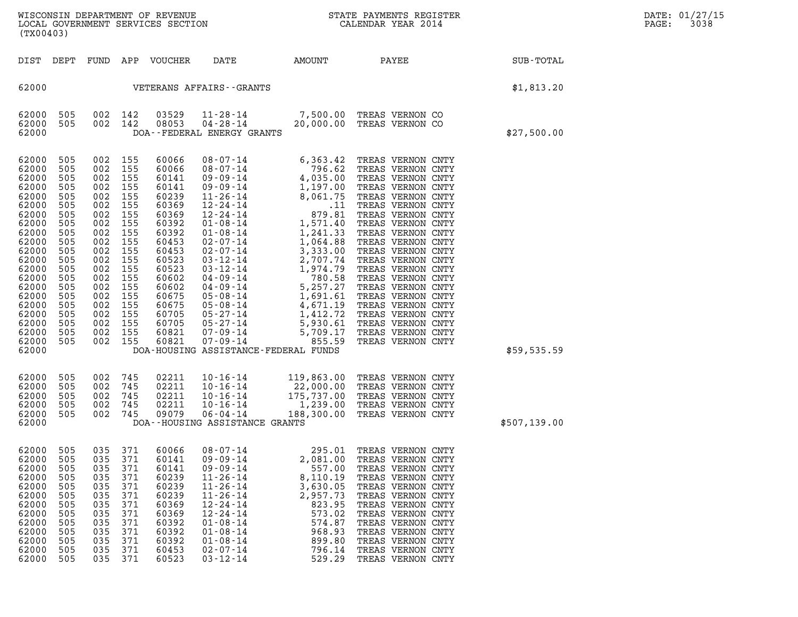| WISCONSIN DEPARTMENT OF REVENUE<br>LOCAL GOVERNMENT SERVICES SECTION<br>(TX00403) | STATE PAYMENTS REGISTER<br>CALENDAR YEAR 2014 | DATE: 01/27/15<br>3038<br>PAGE: |
|-----------------------------------------------------------------------------------|-----------------------------------------------|---------------------------------|

|                                                                                                                                                                                                    | (TX00403)                                                                                                                                       |                                                                                                                                                 |                                                                                                                                                 |                                                                                                                                                                                           |                                                                                                                                                                                                                                                                                                                                                                                                              |                                                                                                                                                                                                         |                                                                                                                                                                                                                                                                                                                                                                                                                                                                                  |              |  |
|----------------------------------------------------------------------------------------------------------------------------------------------------------------------------------------------------|-------------------------------------------------------------------------------------------------------------------------------------------------|-------------------------------------------------------------------------------------------------------------------------------------------------|-------------------------------------------------------------------------------------------------------------------------------------------------|-------------------------------------------------------------------------------------------------------------------------------------------------------------------------------------------|--------------------------------------------------------------------------------------------------------------------------------------------------------------------------------------------------------------------------------------------------------------------------------------------------------------------------------------------------------------------------------------------------------------|---------------------------------------------------------------------------------------------------------------------------------------------------------------------------------------------------------|----------------------------------------------------------------------------------------------------------------------------------------------------------------------------------------------------------------------------------------------------------------------------------------------------------------------------------------------------------------------------------------------------------------------------------------------------------------------------------|--------------|--|
| DIST                                                                                                                                                                                               | DEPT                                                                                                                                            | FUND                                                                                                                                            | APP                                                                                                                                             | VOUCHER                                                                                                                                                                                   | DATE                                                                                                                                                                                                                                                                                                                                                                                                         | AMOUNT                                                                                                                                                                                                  | PAYEE                                                                                                                                                                                                                                                                                                                                                                                                                                                                            | SUB-TOTAL    |  |
| 62000                                                                                                                                                                                              |                                                                                                                                                 | \$1,813.20                                                                                                                                      |                                                                                                                                                 |                                                                                                                                                                                           |                                                                                                                                                                                                                                                                                                                                                                                                              |                                                                                                                                                                                                         |                                                                                                                                                                                                                                                                                                                                                                                                                                                                                  |              |  |
| 62000<br>62000<br>62000                                                                                                                                                                            | 505<br>505                                                                                                                                      | 002<br>002                                                                                                                                      | 142<br>142                                                                                                                                      | 03529<br>08053                                                                                                                                                                            | $11 - 28 - 14$<br>$04 - 28 - 14$<br>DOA--FEDERAL ENERGY GRANTS                                                                                                                                                                                                                                                                                                                                               | 20,000.00                                                                                                                                                                                               | 7,500.00 TREAS VERNON CO<br>TREAS VERNON CO                                                                                                                                                                                                                                                                                                                                                                                                                                      | \$27,500.00  |  |
| 62000<br>62000<br>62000<br>62000<br>62000<br>62000<br>62000<br>62000<br>62000<br>62000<br>62000<br>62000<br>62000<br>62000<br>62000<br>62000<br>62000<br>62000<br>62000<br>62000<br>62000<br>62000 | 505<br>505<br>505<br>505<br>505<br>505<br>505<br>505<br>505<br>505<br>505<br>505<br>505<br>505<br>505<br>505<br>505<br>505<br>505<br>505<br>505 | 002<br>002<br>002<br>002<br>002<br>002<br>002<br>002<br>002<br>002<br>002<br>002<br>002<br>002<br>002<br>002<br>002<br>002<br>002<br>002<br>002 | 155<br>155<br>155<br>155<br>155<br>155<br>155<br>155<br>155<br>155<br>155<br>155<br>155<br>155<br>155<br>155<br>155<br>155<br>155<br>155<br>155 | 60066<br>60066<br>60141<br>60141<br>60239<br>60369<br>60369<br>60392<br>60392<br>60453<br>60453<br>60523<br>60523<br>60602<br>60602<br>60675<br>60675<br>60705<br>60705<br>60821<br>60821 | $08 - 07 - 14$<br>$08 - 07 - 14$<br>$09 - 09 - 14$<br>$09 - 09 - 14$<br>$11 - 26 - 14$<br>$12 - 24 - 14$<br>$12 - 24 - 14$<br>$01 - 08 - 14$<br>$01 - 08 - 14$<br>$02 - 07 - 14$<br>$02 - 07 - 14$<br>$03 - 12 - 14$<br>$03 - 12 - 14$<br>$04 - 09 - 14$<br>$04 - 09 - 14$<br>$05 - 08 - 14$<br>$05 - 08 - 14$<br>05-27-14<br>05-27-14<br>07-09-14<br>$07 - 09 - 14$<br>DOA-HOUSING ASSISTANCE-FEDERAL FUNDS | 6,363.42<br>796.62<br>4,035.00<br>1,197.00<br>8,061.75<br>.11<br>879.81<br>1,571.40<br>1,241.33<br>1,064.88<br>3,333.00<br>2,707.74<br>1,974.79<br>780.58<br>5,257.27<br>5,930.61<br>5,709.17<br>855.59 | TREAS VERNON CNTY<br>TREAS VERNON CNTY<br>TREAS VERNON CNTY<br>TREAS VERNON CNTY<br>TREAS VERNON CNTY<br>TREAS VERNON CNTY<br>TREAS VERNON CNTY<br>TREAS VERNON CNTY<br>TREAS VERNON CNTY<br>TREAS VERNON CNTY<br>TREAS VERNON CNTY<br>TREAS VERNON CNTY<br>TREAS VERNON CNTY<br>TREAS VERNON CNTY<br>TREAS VERNON CNTY<br>1,691.61 TREAS VERNON CNTY<br>4,671.19 TREAS VERNON CNTY<br>1,412.72 TREAS VERNON CNTY<br>TREAS VERNON CNTY<br>TREAS VERNON CNTY<br>TREAS VERNON CNTY | \$59,535.59  |  |
| 62000<br>62000<br>62000<br>62000<br>62000<br>62000                                                                                                                                                 | 505<br>505<br>505<br>505<br>505                                                                                                                 | 002<br>002<br>002<br>002<br>002                                                                                                                 | 745<br>745<br>745<br>745<br>745                                                                                                                 | 02211<br>02211<br>02211<br>02211<br>09079                                                                                                                                                 | $10 - 16 - 14$<br>$10 - 16 - 14$<br>$10 - 16 - 14$<br>$10 - 16 - 14$<br>$06 - 04 - 14$<br>DOA--HOUSING ASSISTANCE GRANTS                                                                                                                                                                                                                                                                                     | 119,863.00<br>22,000.00<br>188,300.00                                                                                                                                                                   | TREAS VERNON CNTY<br>TREAS VERNON CNTY<br>175,737.00 TREAS VERNON CNTY<br>1,239.00 TREAS VERNON CNTY<br>TREAS VERNON CNTY                                                                                                                                                                                                                                                                                                                                                        | \$507,139.00 |  |
| 62000<br>62000<br>62000<br>62000<br>62000<br>62000<br>62000<br>62000<br>62000<br>62000<br>62000<br>62000<br>62000                                                                                  | 505<br>505<br>505<br>505<br>505<br>505<br>505<br>505<br>505<br>505<br>505<br>505<br>505                                                         | 035<br>035<br>035<br>035<br>035<br>035<br>035<br>035<br>035<br>035<br>035<br>035<br>035                                                         | 371<br>371<br>371<br>371<br>371<br>371<br>371<br>371<br>371<br>371<br>371<br>371<br>371                                                         | 60066<br>60141<br>60141<br>60239<br>60239<br>60239<br>60369<br>60369<br>60392<br>60392<br>60392<br>60453<br>60523                                                                         | $08 - 07 - 14$<br>$09 - 09 - 14$<br>$09 - 09 - 14$<br>$11 - 26 - 14$<br>$11 - 26 - 14$<br>$11 - 26 - 14$<br>$12 - 24 - 14$<br>$12 - 24 - 14$<br>$01 - 08 - 14$<br>$01 - 08 - 14$<br>$01 - 08 - 14$<br>$02 - 07 - 14$<br>$03 - 12 - 14$                                                                                                                                                                       | 295.01<br>2,081.00<br>557.00<br>8,110.19<br>3,630.05<br>2,957.73<br>823.95<br>573.02<br>574.87<br>968.93<br>899.80<br>796.14<br>529.29                                                                  | TREAS VERNON CNTY<br>TREAS VERNON CNTY<br>TREAS VERNON CNTY<br>TREAS VERNON CNTY<br>TREAS VERNON CNTY<br>TREAS VERNON CNTY<br>TREAS VERNON CNTY<br>TREAS VERNON CNTY<br>TREAS VERNON CNTY<br>TREAS VERNON CNTY<br>TREAS VERNON CNTY<br>TREAS VERNON CNTY<br>TREAS VERNON CNTY                                                                                                                                                                                                    |              |  |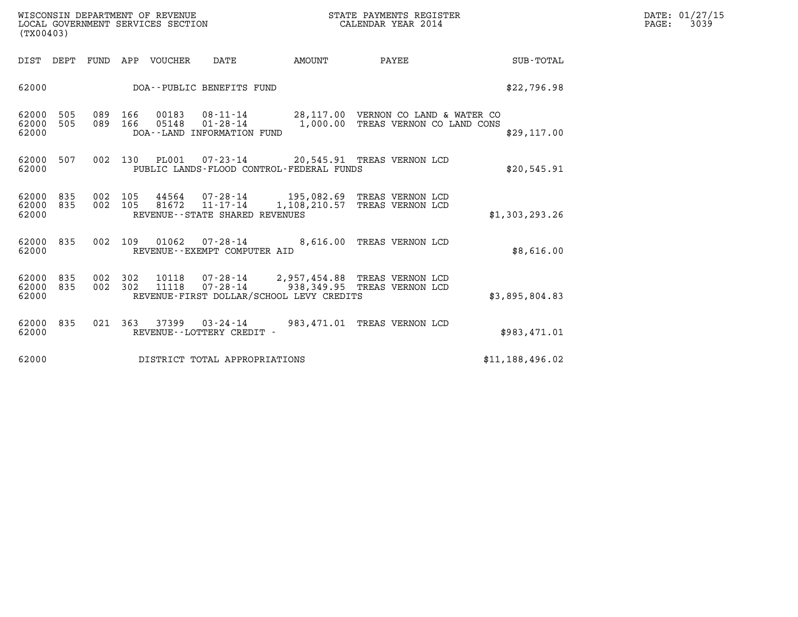| WISCONSIN DEPARTMENT OF REVENUE   | STATE PAYMENTS REGISTER | DATE: 01/27/15 |
|-----------------------------------|-------------------------|----------------|
| LOCAL GOVERNMENT SERVICES SECTION | CALENDAR YEAR 2014      | 3039<br>PAGE:  |

| (TX00403)               |            |            |            |                |                                                     |                                                                                                                   |                                    |                  |
|-------------------------|------------|------------|------------|----------------|-----------------------------------------------------|-------------------------------------------------------------------------------------------------------------------|------------------------------------|------------------|
| DIST                    | DEPT       | FUND       | APP        | VOUCHER        | DATE                                                | AMOUNT                                                                                                            | PAYEE                              | <b>SUB-TOTAL</b> |
| 62000                   |            |            |            |                | DOA--PUBLIC BENEFITS FUND                           |                                                                                                                   |                                    | \$22,796.98      |
| 62000<br>62000<br>62000 | 505<br>505 | 089<br>089 | 166<br>166 | 00183<br>05148 | $01 - 28 - 14$<br>DOA--LAND INFORMATION FUND        | 08-11-14 28,117.00 VERNON CO LAND & WATER CO                                                                      | 1,000.00 TREAS VERNON CO LAND CONS | \$29,117.00      |
| 62000<br>62000          | 507        | 002        | 130        |                |                                                     | PL001  07-23-14  20,545.91 TREAS VERNON LCD<br>PUBLIC LANDS-FLOOD CONTROL-FEDERAL FUNDS                           |                                    | \$20.545.91      |
| 62000<br>62000<br>62000 | 835<br>835 | 002<br>002 | 105<br>105 | 81672          | $11 - 17 - 14$<br>REVENUE - - STATE SHARED REVENUES | 44564  07-28-14  195,082.69  TREAS VERNON LCD<br>1,108,210.57 TREAS VERNON LCD                                    |                                    | \$1,303,293.26   |
| 62000<br>62000          | 835        | 002        | 109        | 01062          | 07-28-14<br>REVENUE--EXEMPT COMPUTER AID            |                                                                                                                   | 8,616.00 TREAS VERNON LCD          | \$8,616.00       |
| 62000<br>62000<br>62000 | 835<br>835 | 002<br>002 | 302<br>302 | 10118<br>11118 | 07-28-14                                            | 07-28-14 2,957,454.88 TREAS VERNON LCD<br>938,349.95 TREAS VERNON LCD<br>REVENUE-FIRST DOLLAR/SCHOOL LEVY CREDITS |                                    | \$3,895,804.83   |
| 62000<br>62000          | 835        | 021        | 363        | 37399          | $03 - 24 - 14$<br>REVENUE - - LOTTERY CREDIT -      | 983,471.01                                                                                                        | TREAS VERNON LCD                   | \$983,471.01     |
| 62000                   |            |            |            |                | DISTRICT TOTAL APPROPRIATIONS                       |                                                                                                                   |                                    | \$11,188,496.02  |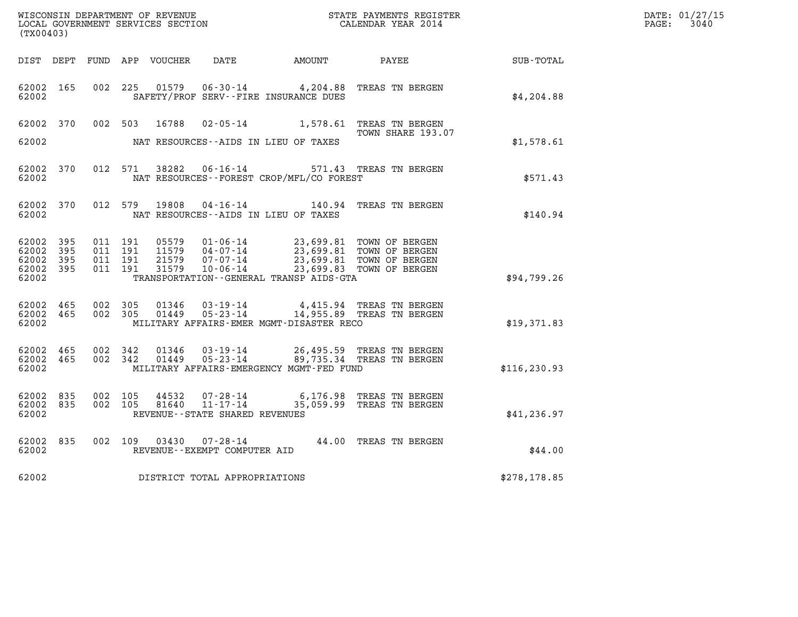| WISCONSIN DEPARTMENT OF REVENUE   | STATE PAYMENTS REGISTER | DATE: 01/27/15 |
|-----------------------------------|-------------------------|----------------|
| LOCAL GOVERNMENT SERVICES SECTION | CALENDAR YEAR 2014      | 3040<br>PAGE:  |

| (TX00403)                                        |  |                                |                                      |                                                                                                                                                                                                          |                                                                                                                                                 |               | DATE: 01/27/15<br>$\mathtt{PAGE:}$<br>3040 |
|--------------------------------------------------|--|--------------------------------|--------------------------------------|----------------------------------------------------------------------------------------------------------------------------------------------------------------------------------------------------------|-------------------------------------------------------------------------------------------------------------------------------------------------|---------------|--------------------------------------------|
|                                                  |  |                                |                                      |                                                                                                                                                                                                          | DIST DEPT FUND APP VOUCHER DATE AMOUNT PAYEE                                                                                                    | SUB-TOTAL     |                                            |
| 62002 165<br>62002                               |  |                                |                                      | SAFETY/PROF SERV--FIRE INSURANCE DUES                                                                                                                                                                    | 002 225 01579 06-30-14 4,204.88 TREAS TN BERGEN                                                                                                 | \$4,204.88    |                                            |
|                                                  |  |                                |                                      |                                                                                                                                                                                                          | 62002 370 002 503 16788 02-05-14 1,578.61 TREAS TN BERGEN<br>TOWN SHARE 193.07                                                                  |               |                                            |
| 62002                                            |  |                                | NAT RESOURCES--AIDS IN LIEU OF TAXES |                                                                                                                                                                                                          |                                                                                                                                                 | \$1,578.61    |                                            |
| 62002 370<br>62002                               |  |                                |                                      | NAT RESOURCES--FOREST CROP/MFL/CO FOREST                                                                                                                                                                 | 012 571 38282 06-16-14 571.43 TREAS TN BERGEN                                                                                                   | \$571.43      |                                            |
| 62002 370<br>62002                               |  |                                | NAT RESOURCES--AIDS IN LIEU OF TAXES |                                                                                                                                                                                                          | 012 579 19808 04-16-14 140.94 TREAS TN BERGEN                                                                                                   | \$140.94      |                                            |
| 62002 395<br>62002 395<br>62002 395<br>62002 395 |  |                                |                                      | 011 191 05579 01-06-14 23,699.81 TOWN OF BERGEN<br>011 191 11579 04-07-14 23,699.81 TOWN OF BERGEN<br>011 191 21579 07-07-14 23,699.81 TOWN OF BERGEN<br>011 191 31579 10-06-14 23,699.83 TOWN OF BERGEN |                                                                                                                                                 |               |                                            |
| 62002                                            |  |                                |                                      | TRANSPORTATION - - GENERAL TRANSP AIDS - GTA                                                                                                                                                             |                                                                                                                                                 | \$94,799.26   |                                            |
| 62002 465<br>62002 465<br>62002                  |  |                                |                                      |                                                                                                                                                                                                          | 002 305 01346 03-19-14 4,415.94 TREAS TN BERGEN<br>002 305 01449 05-23-14 14,955.89 TREAS TN BERGEN<br>MILITARY AFFAIRS-EMER MGMT-DISASTER RECO | \$19,371.83   |                                            |
| 62002 465<br>62002 465<br>62002                  |  | 002 342 01346<br>002 342 01449 |                                      | MILITARY AFFAIRS-EMERGENCY MGMT-FED FUND                                                                                                                                                                 | 03-19-14 26,495.59 TREAS TN BERGEN<br>05-23-14 89,735.34 TREAS TN BERGEN                                                                        | \$116, 230.93 |                                            |
| 62002 835<br>62002 835<br>62002                  |  | 002 105<br>002 105             | REVENUE--STATE SHARED REVENUES       |                                                                                                                                                                                                          | 44532  07-28-14  6,176.98  TREAS TN BERGEN<br>81640  11-17-14  35,059.99  TREAS TN BERGEN                                                       | \$41, 236.97  |                                            |
| 62002 835<br>62002                               |  | 002 109 03430                  | REVENUE--EXEMPT COMPUTER AID         |                                                                                                                                                                                                          | 07-28-14 44.00 TREAS TN BERGEN                                                                                                                  | \$44.00       |                                            |
|                                                  |  |                                | 62002 DISTRICT TOTAL APPROPRIATIONS  |                                                                                                                                                                                                          |                                                                                                                                                 | \$278,178.85  |                                            |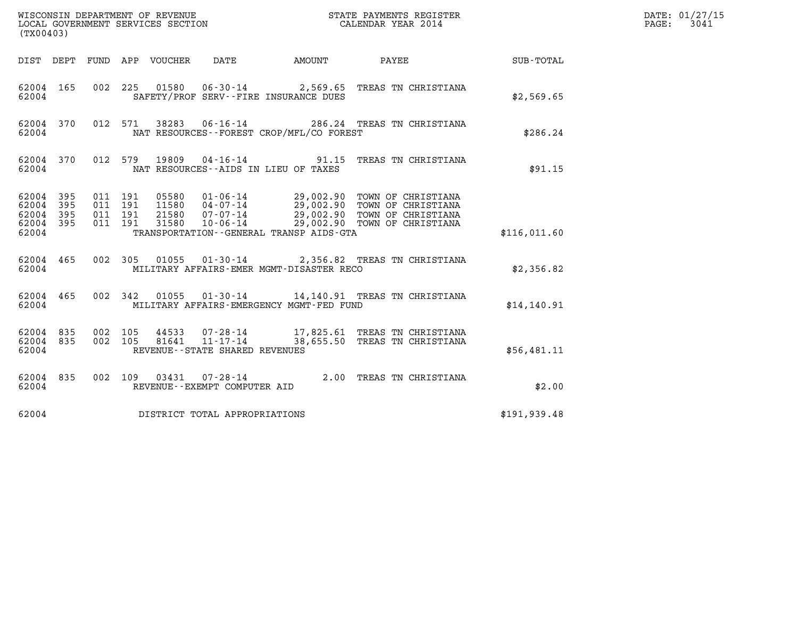| (TX00403)                                         |            |                                          |         |                            |                                   |                                          |                                                                                                                                                                                          |               | $\mathtt{PAGE:}$ | DATE: 01/27/15<br>3041 |
|---------------------------------------------------|------------|------------------------------------------|---------|----------------------------|-----------------------------------|------------------------------------------|------------------------------------------------------------------------------------------------------------------------------------------------------------------------------------------|---------------|------------------|------------------------|
|                                                   |            |                                          |         | DIST DEPT FUND APP VOUCHER | DATE                              | AMOUNT                                   | PAYEE SUB-TOTAL                                                                                                                                                                          |               |                  |                        |
| 62004 165<br>62004                                |            | 002 225                                  |         |                            |                                   | SAFETY/PROF SERV--FIRE INSURANCE DUES    | 01580  06-30-14  2,569.65  TREAS TN CHRISTIANA                                                                                                                                           | \$2,569.65    |                  |                        |
| 62004 370<br>62004                                |            |                                          |         |                            |                                   | NAT RESOURCES--FOREST CROP/MFL/CO FOREST | 012 571 38283 06-16-14 286.24 TREAS TN CHRISTIANA                                                                                                                                        | \$286.24      |                  |                        |
| 62004 370<br>62004                                |            |                                          | 012 579 | 19809                      |                                   | NAT RESOURCES -- AIDS IN LIEU OF TAXES   | 04-16-14 91.15 TREAS TN CHRISTIANA                                                                                                                                                       | \$91.15       |                  |                        |
| 62004 395<br>62004<br>62004<br>62004 395<br>62004 | 395<br>395 | 011 191<br>011 191<br>011 191<br>011 191 |         |                            |                                   | TRANSPORTATION--GENERAL TRANSP AIDS-GTA  | 05580 01-06-14 29,002.90 TOWN OF CHRISTIANA<br>11580 04-07-14 29,002.90 TOWN OF CHRISTIANA<br>21580 07-07-14 29,002.90 TOWN OF CHRISTIANA<br>31580 10-06-14 29,002.90 TOWN OF CHRISTIANA | \$116,011.60  |                  |                        |
| 62004 465<br>62004                                |            |                                          |         |                            |                                   | MILITARY AFFAIRS-EMER MGMT-DISASTER RECO | 002 305 01055 01-30-14 2,356.82 TREAS TN CHRISTIANA                                                                                                                                      | \$2,356.82    |                  |                        |
| 62004 465<br>62004                                |            |                                          |         |                            |                                   | MILITARY AFFAIRS-EMERGENCY MGMT-FED FUND | 002 342 01055 01-30-14 14,140.91 TREAS TN CHRISTIANA                                                                                                                                     | \$14,140.91   |                  |                        |
| 62004 835<br>62004 835<br>62004                   |            | 002 105<br>002 105                       |         |                            | REVENUE - - STATE SHARED REVENUES |                                          |                                                                                                                                                                                          | \$56,481.11   |                  |                        |
| 62004 835<br>62004                                |            |                                          |         |                            | REVENUE--EXEMPT COMPUTER AID      |                                          | 002 109 03431 07-28-14 2.00 TREAS TN CHRISTIANA                                                                                                                                          | \$2.00        |                  |                        |
| 62004                                             |            |                                          |         |                            | DISTRICT TOTAL APPROPRIATIONS     |                                          |                                                                                                                                                                                          | \$191, 939.48 |                  |                        |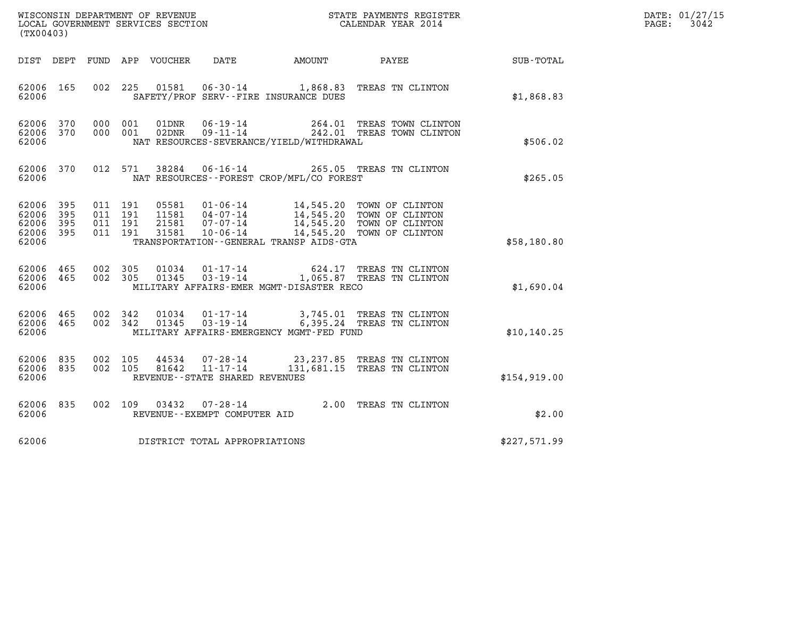| WISCONSIN DEPARTMENT OF REVENUE<br>LOCAL GOVERNMENT SERVICES SECTION<br>. | STATE PAYMENTS REGISTER<br>CALENDAR YEAR 2014 | DATE: 01/27/15<br>3042<br>PAGE: |
|---------------------------------------------------------------------------|-----------------------------------------------|---------------------------------|

| (TX00403)                                 |                          |                          |                          | WISCONSIN DEPARTMENT OF REVENUE<br>LOCAL GOVERNMENT SERVICES SECTION |                                                          | STATE PAYMENTS REGISTER<br>CALENDAR YEAR 2014 |                                                                                                                  |              |
|-------------------------------------------|--------------------------|--------------------------|--------------------------|----------------------------------------------------------------------|----------------------------------------------------------|-----------------------------------------------|------------------------------------------------------------------------------------------------------------------|--------------|
| DIST                                      | DEPT                     | FUND                     | APP                      | VOUCHER DATE                                                         |                                                          | <b>EXAMPLE THE PROPERTY OF AMOUNT</b>         | PAYEE                                                                                                            | SUB-TOTAL    |
| 62006<br>62006                            | 165                      | 002                      | 225                      | 01581                                                                |                                                          | SAFETY/PROF SERV--FIRE INSURANCE DUES         | 06-30-14 1,868.83 TREAS TN CLINTON                                                                               | \$1,868.83   |
| 62006<br>62006<br>62006                   | 370<br>370               | 000<br>000               | 001<br>001               | 01DNR<br>02DNR                                                       | $06 - 19 - 14$<br>$09 - 11 - 14$                         | NAT RESOURCES-SEVERANCE/YIELD/WITHDRAWAL      | 264.01 TREAS TOWN CLINTON<br>242.01 TREAS TOWN CLINTON                                                           | \$506.02     |
| 62006<br>62006                            | 370                      | 012                      | 571                      | 38284                                                                |                                                          | NAT RESOURCES - - FOREST CROP/MFL/CO FOREST   | 06-16-14 265.05 TREAS TN CLINTON                                                                                 | \$265.05     |
| 62006<br>62006<br>62006<br>62006<br>62006 | 395<br>395<br>395<br>395 | 011<br>011<br>011<br>011 | 191<br>191<br>191<br>191 | 05581<br>11581<br>21581<br>31581                                     | $01 - 06 - 14$<br>04-07-14<br>07-07-14<br>$10 - 06 - 14$ | TRANSPORTATION--GENERAL TRANSP AIDS-GTA       | 14,545.20 TOWN OF CLINTON<br>14,545.20 TOWN OF CLINTON<br>14,545.20 TOWN OF CLINTON<br>14,545.20 TOWN OF CLINTON | \$58,180.80  |
| 62006<br>62006<br>62006                   | 465<br>465               | 002 305<br>002           | 305                      | 01034<br>01345                                                       | $01 - 17 - 14$<br>$03 - 19 - 14$                         | MILITARY AFFAIRS-EMER MGMT-DISASTER RECO      | 624.17 TREAS TN CLINTON<br>1,065.87 TREAS TN CLINTON                                                             | \$1,690.04   |
| 62006<br>62006<br>62006                   | 465<br>465               | 002<br>002               | 342<br>342               | 01034<br>01345                                                       | $01 - 17 - 14$<br>$03 - 19 - 14$                         | MILITARY AFFAIRS-EMERGENCY MGMT-FED FUND      | 3,745.01 TREAS TN CLINTON<br>6,395.24 TREAS TN CLINTON                                                           | \$10, 140.25 |
| 62006<br>62006<br>62006                   | 835<br>835               | 002<br>002               | 105<br>105               | 44534<br>81642                                                       | REVENUE - - STATE SHARED REVENUES                        |                                               | 07-28-14 23, 237.85 TREAS TN CLINTON<br>11-17-14 131, 681.15 TREAS TN CLINTON                                    | \$154,919.00 |
| 62006<br>62006                            | 835                      | 002                      | 109                      | 03432                                                                | $07 - 28 - 14$<br>REVENUE--EXEMPT COMPUTER AID           |                                               | 2.00 TREAS TN CLINTON                                                                                            | \$2.00       |
| 62006                                     |                          |                          |                          |                                                                      | DISTRICT TOTAL APPROPRIATIONS                            |                                               |                                                                                                                  | \$227,571.99 |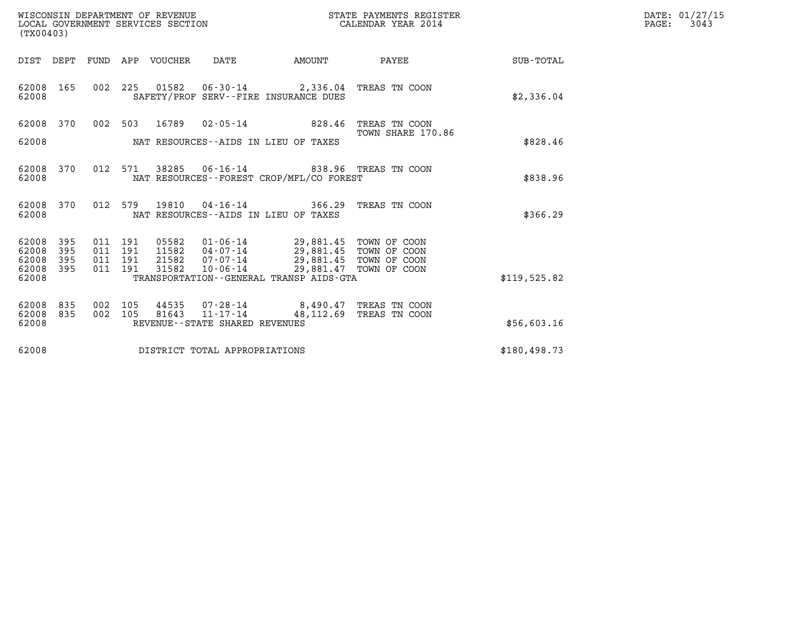| DATE: | 01/27/15 |
|-------|----------|
| PAGE: | 3043     |

| WISCONSIN DEPARTMENT OF REVENUE<br>LOCAL GOVERNMENT SERVICES SECTION<br>(TX00403) |                          |                               |         |                                  |                                                           |                                                                                                      | STATE PAYMENTS REGISTER<br>CALENDAR YEAR 2014    |              | DATE: 01/27/15<br>$\mathtt{PAGE:}$<br>3043 |
|-----------------------------------------------------------------------------------|--------------------------|-------------------------------|---------|----------------------------------|-----------------------------------------------------------|------------------------------------------------------------------------------------------------------|--------------------------------------------------|--------------|--------------------------------------------|
|                                                                                   | DIST DEPT                | FUND                          |         | APP VOUCHER                      | DATE                                                      | AMOUNT                                                                                               | PAYEE                                            | SUB-TOTAL    |                                            |
| 62008 165<br>62008                                                                |                          | 002 225                       |         |                                  |                                                           | SAFETY/PROF SERV--FIRE INSURANCE DUES                                                                |                                                  | \$2,336.04   |                                            |
| 62008 370                                                                         |                          | 002 503                       |         | 16789                            |                                                           | $02 - 05 - 14$ 828.46                                                                                | TREAS TN COON                                    |              |                                            |
| 62008                                                                             |                          |                               |         |                                  |                                                           | NAT RESOURCES -- AIDS IN LIEU OF TAXES                                                               | TOWN SHARE 170.86                                | \$828.46     |                                            |
| 62008<br>62008                                                                    | 370                      | 012                           | 571     |                                  |                                                           | 38285  06-16-14  838.96  TREAS  TN COON<br>NAT RESOURCES - - FOREST CROP/MFL/CO FOREST               |                                                  | \$838.96     |                                            |
| 62008 370<br>62008                                                                |                          | 012 579                       |         | 19810                            | 04-16-14                                                  | 366.29<br>NAT RESOURCES--AIDS IN LIEU OF TAXES                                                       | TREAS TN COON                                    | \$366.29     |                                            |
| 62008<br>62008<br>62008<br>62008<br>62008                                         | 395<br>395<br>395<br>395 | 011 191<br>011 191<br>011 191 | 011 191 | 05582<br>11582<br>21582<br>31582 | $04 - 07 - 14$<br>07-07-14<br>$10 - 06 - 14$              | 01-06-14 29,881.45 TOWN OF COON<br>29,881.45 TOWN OF COON<br>TRANSPORTATION--GENERAL TRANSP AIDS-GTA | 29,881.45 TOWN OF COON<br>29,881.47 TOWN OF COON | \$119,525.82 |                                            |
| 62008<br>62008<br>62008                                                           | 835<br>835               | 002<br>002 105                | 105     | 44535<br>81643                   | 07-28-14<br>11-17-14<br>REVENUE - - STATE SHARED REVENUES | 48,112.69                                                                                            | 8,490.47 TREAS TN COON<br>TREAS TN COON          | \$56,603.16  |                                            |
| 62008                                                                             |                          |                               |         |                                  | DISTRICT TOTAL APPROPRIATIONS                             |                                                                                                      |                                                  | \$180,498.73 |                                            |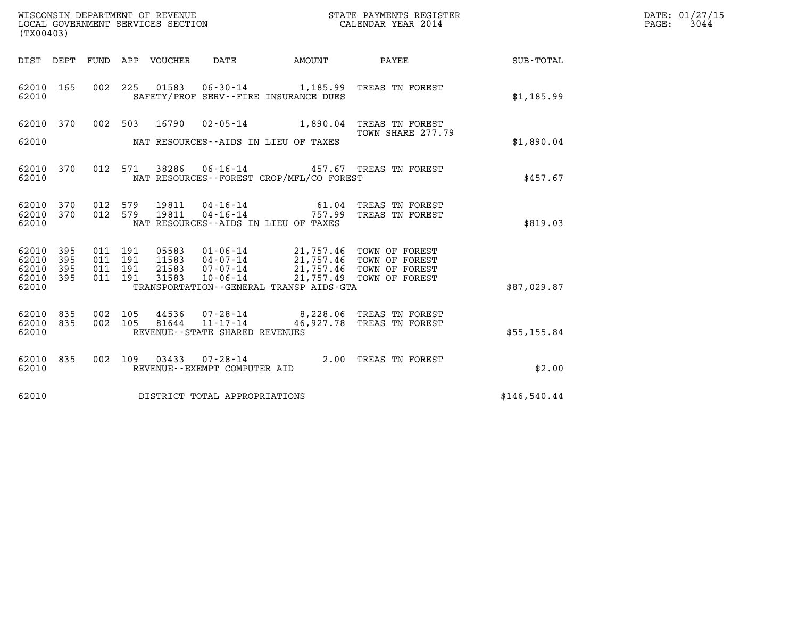| WISCONSIN DEPARTMENT OF REVENUE   | STATE PAYMENTS REGISTER | DATE: 01/27/15 |
|-----------------------------------|-------------------------|----------------|
| LOCAL GOVERNMENT SERVICES SECTION | CALENDAR YEAR 2014      | 3044<br>PAGE:  |

| (TX00403)          |            |                    |                                |                                |                                                                                                             |                                                                                                      | DATE: 01/27/15<br>$\mathtt{PAGE:}$<br>3044 |  |
|--------------------|------------|--------------------|--------------------------------|--------------------------------|-------------------------------------------------------------------------------------------------------------|------------------------------------------------------------------------------------------------------|--------------------------------------------|--|
|                    |            |                    |                                |                                |                                                                                                             |                                                                                                      | SUB-TOTAL                                  |  |
| 62010 165<br>62010 |            |                    | 002 225 01583                  |                                | $06 - 30 - 14$ 1, 185.99<br>SAFETY/PROF SERV--FIRE INSURANCE DUES                                           | TREAS TN FOREST                                                                                      | \$1,185.99                                 |  |
| 62010 370          |            |                    |                                |                                |                                                                                                             | 002 503 16790 02-05-14 1,890.04 TREAS TN FOREST<br>TOWN SHARE 277.79                                 |                                            |  |
| 62010              |            |                    |                                |                                | NAT RESOURCES--AIDS IN LIEU OF TAXES                                                                        |                                                                                                      | \$1,890.04                                 |  |
| 62010<br>62010     | 370        |                    | 012 571 38286                  |                                | NAT RESOURCES - - FOREST CROP/MFL/CO FOREST                                                                 | 06-16-14 457.67 TREAS TN FOREST                                                                      | \$457.67                                   |  |
| 62010<br>62010 370 | 370        |                    | 012 579 19811<br>012 579 19811 |                                | 04 - 16 - 14 61.04<br>04 - 16 - 14 757.99                                                                   | TREAS TN FOREST<br>TREAS TN FOREST                                                                   |                                            |  |
| 62010              |            |                    |                                |                                | NAT RESOURCES--AIDS IN LIEU OF TAXES                                                                        |                                                                                                      | \$819.03                                   |  |
| 62010<br>62010     | 395<br>395 | 011 191<br>011 191 | 05583<br>11583                 |                                | 01-06-14 21,757.46 TOWN OF FOREST<br>04-07-14 21,757.46 TOWN OF FOREST<br>07-07-14 21,757.46 TOWN OF FOREST |                                                                                                      |                                            |  |
| 62010<br>62010     | 395<br>395 | 011 191<br>011 191 | 21583<br>31583                 | $10 - 06 - 14$                 |                                                                                                             | 21,757.49 TOWN OF FOREST                                                                             |                                            |  |
| 62010              |            |                    |                                |                                | TRANSPORTATION--GENERAL TRANSP AIDS-GTA                                                                     |                                                                                                      | \$87,029.87                                |  |
| 62010 835<br>62010 | 835        | 002 105            | 44536<br>002 105 81644         | 11-17-14                       |                                                                                                             | 07-28-14 8,228.06 TREAS TN FOREST<br>11-17-14 46,927.78 TREAS TN FOREST<br>46,927.78 TREAS TN FOREST |                                            |  |
| 62010              |            |                    |                                | REVENUE--STATE SHARED REVENUES |                                                                                                             |                                                                                                      | \$55, 155.84                               |  |
| 62010 835<br>62010 |            |                    |                                | REVENUE--EXEMPT COMPUTER AID   |                                                                                                             | 002 109 03433 07-28-14 2.00 TREAS TN FOREST                                                          | \$2.00                                     |  |
| 62010              |            |                    |                                | DISTRICT TOTAL APPROPRIATIONS  |                                                                                                             |                                                                                                      | \$146,540.44                               |  |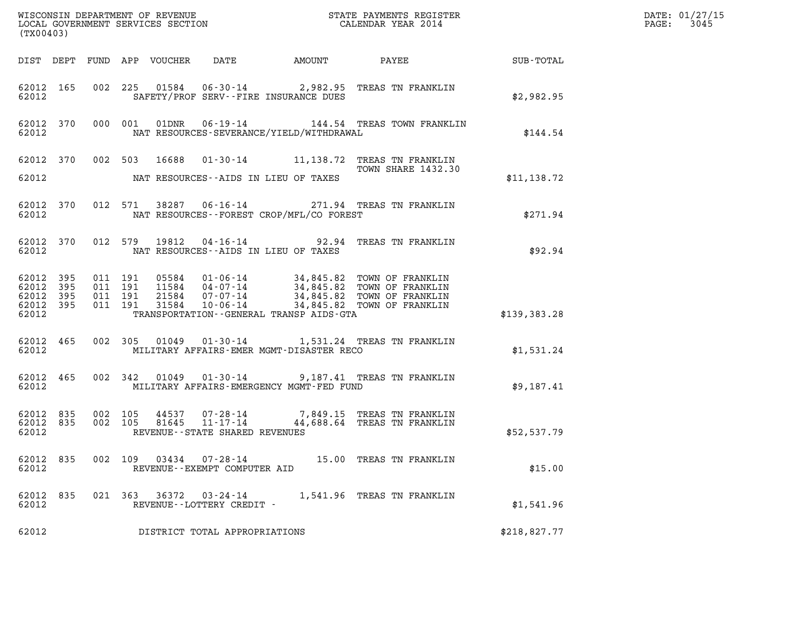| (TX00403)                                                 |                    |                    |                                                     |                                             |                                                                                                                             |              | DATE: 01/27/15<br>PAGE: 3045 |
|-----------------------------------------------------------|--------------------|--------------------|-----------------------------------------------------|---------------------------------------------|-----------------------------------------------------------------------------------------------------------------------------|--------------|------------------------------|
|                                                           |                    |                    |                                                     |                                             |                                                                                                                             |              |                              |
| 62012                                                     |                    |                    |                                                     | SAFETY/PROF SERV--FIRE INSURANCE DUES       | 62012 165 002 225 01584 06-30-14 2,982.95 TREAS TN FRANKLIN                                                                 | \$2,982.95   |                              |
| 62012                                                     |                    |                    |                                                     | NAT RESOURCES-SEVERANCE/YIELD/WITHDRAWAL    | 62012 370 000 001 01DNR 06-19-14 144.54 TREAS TOWN FRANKLIN                                                                 | \$144.54     |                              |
| 62012                                                     |                    |                    |                                                     | NAT RESOURCES--AIDS IN LIEU OF TAXES        | 62012 370 002 503 16688 01-30-14 11,138.72 TREAS TN FRANKLIN<br>TOWN SHARE 1432.30                                          | \$11,138.72  |                              |
|                                                           |                    |                    |                                                     |                                             |                                                                                                                             |              |                              |
| 62012                                                     |                    |                    |                                                     | NAT RESOURCES - - FOREST CROP/MFL/CO FOREST | 62012 370 012 571 38287 06-16-14 271.94 TREAS TN FRANKLIN                                                                   | \$271.94     |                              |
|                                                           |                    |                    |                                                     | 62012 MAT RESOURCES--AIDS IN LIEU OF TAXES  | 62012 370 012 579 19812 04-16-14 92.94 TREAS TN FRANKLIN                                                                    | \$92.94      |                              |
| 62012 395<br>62012 395<br>62012 395<br>62012 395<br>62012 | 011 191<br>011 191 | 011 191<br>011 191 |                                                     | TRANSPORTATION--GENERAL TRANSP AIDS-GTA     |                                                                                                                             | \$139,383.28 |                              |
| 62012                                                     |                    |                    |                                                     | MILITARY AFFAIRS-EMER MGMT-DISASTER RECO    | 62012 465 002 305 01049 01-30-14 1,531.24 TREAS TN FRANKLIN                                                                 | \$1,531.24   |                              |
| 62012                                                     |                    |                    |                                                     | MILITARY AFFAIRS-EMERGENCY MGMT-FED FUND    | 62012 465 002 342 01049 01-30-14 9,187.41 TREAS TN FRANKLIN                                                                 | \$9,187.41   |                              |
| 62012                                                     |                    |                    | REVENUE--STATE SHARED REVENUES                      |                                             | 62012 835 002 105 44537 07-28-14 7,849.15 TREAS TN FRANKLIN<br>62012 835 002 105 81645 11-17-14 44,688.64 TREAS TN FRANKLIN | \$52,537.79  |                              |
| 62012 835<br>62012                                        |                    | 002 109            | REVENUE--EXEMPT COMPUTER AID                        |                                             | 03434  07-28-14  15.00 TREAS TN FRANKLIN                                                                                    | \$15.00      |                              |
| 62012 835<br>62012                                        |                    |                    | 021 363 36372 03-24-14<br>REVENUE--LOTTERY CREDIT - |                                             | 1,541.96 TREAS TN FRANKLIN                                                                                                  | \$1,541.96   |                              |
| 62012                                                     |                    |                    | DISTRICT TOTAL APPROPRIATIONS                       |                                             |                                                                                                                             | \$218,827.77 |                              |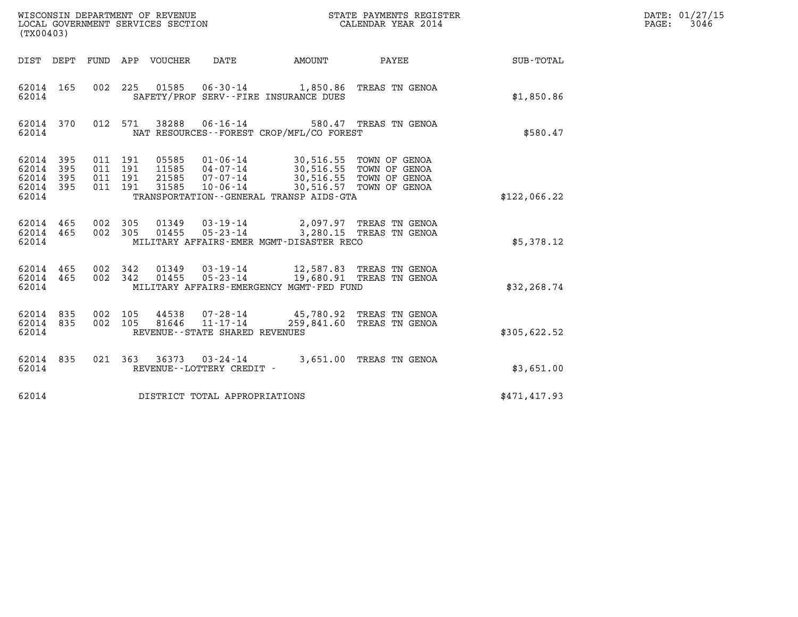| (TX00403)                                         |            |                                          |         |                            | WISCONSIN DEPARTMENT OF REVENUE<br>LOCAL GOVERNMENT SERVICES SECTION |                                                                                                                                                                       | STATE PAYMENTS REGISTER<br>CALENDAR YEAR 2014 |              | DATE: 01/27/15<br>PAGE: 3046 |
|---------------------------------------------------|------------|------------------------------------------|---------|----------------------------|----------------------------------------------------------------------|-----------------------------------------------------------------------------------------------------------------------------------------------------------------------|-----------------------------------------------|--------------|------------------------------|
|                                                   |            |                                          |         | DIST DEPT FUND APP VOUCHER | DATE                                                                 | AMOUNT PAYEE                                                                                                                                                          |                                               | SUB-TOTAL    |                              |
| 62014 165<br>62014                                |            |                                          |         |                            |                                                                      | 002 225 01585 06-30-14 1,850.86 TREAS TN GENOA<br>SAFETY/PROF SERV--FIRE INSURANCE DUES                                                                               |                                               | \$1,850.86   |                              |
| 62014 370<br>62014                                |            |                                          | 012 571 |                            |                                                                      | 38288  06-16-14  580.47  TREAS TN GENOA<br>NAT RESOURCES--FOREST CROP/MFL/CO FOREST                                                                                   |                                               | \$580.47     |                              |
| 62014 395<br>62014<br>62014<br>62014 395<br>62014 | 395<br>395 | 011 191<br>011 191<br>011 191<br>011 191 |         | 31585                      | $10 - 06 - 14$                                                       | 05585 01-06-14 30,516.55 TOWN OF GENOA<br>11585 04-07-14 30,516.55 TOWN OF GENOA<br>21585 07-07-14 30,516.55 TOWN OF GENOA<br>TRANSPORTATION--GENERAL TRANSP AIDS-GTA | 30,516.57 TOWN OF GENOA                       | \$122,066.22 |                              |
| 62014 465<br>62014 465<br>62014                   |            | 002 305<br>002 305                       |         |                            |                                                                      | 01349  03-19-14  2,097.97  TREAS TN GENOA<br>01455  05-23-14  3,280.15  TREAS TN GENOA<br>MILITARY AFFAIRS-EMER MGMT-DISASTER RECO                                    |                                               | \$5,378.12   |                              |
| 62014 465<br>62014 465<br>62014                   |            | 002 342<br>002 342                       |         |                            | $01455$ $05 - 23 - 14$                                               | 01349  03-19-14  12,587.83  TREAS TN GENOA<br>19,680.91 TREAS TN GENOA<br>MILITARY AFFAIRS-EMERGENCY MGMT-FED FUND                                                    |                                               | \$32, 268.74 |                              |
| 62014 835<br>62014 835<br>62014                   |            | 002 105<br>002 105                       |         |                            | 81646 11-17-14<br>REVENUE - - STATE SHARED REVENUES                  | 44538 07-28-14 45,780.92 TREAS TN GENOA                                                                                                                               | 259,841.60 TREAS TN GENOA                     | \$305,622.52 |                              |
| 62014 835<br>62014                                |            |                                          |         |                            | REVENUE--LOTTERY CREDIT -                                            | 021 363 36373 03-24-14 3,651.00 TREAS TN GENOA                                                                                                                        |                                               | \$3,651.00   |                              |
| 62014                                             |            |                                          |         |                            | DISTRICT TOTAL APPROPRIATIONS                                        |                                                                                                                                                                       |                                               | \$471,417.93 |                              |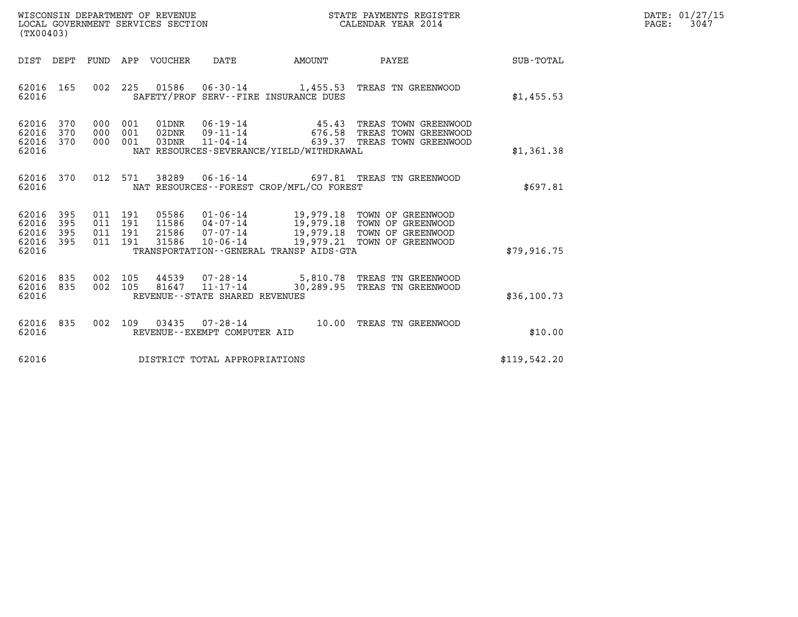| WISCONSIN DEPARTMENT OF REVENUE   | STATE PAYMENTS REGISTER | DATE: 01/27/15 |
|-----------------------------------|-------------------------|----------------|
| LOCAL GOVERNMENT SERVICES SECTION | CALENDAR YEAR 2014      | 3047<br>PAGE:  |

| (TX00403)                                                             |                                                      |                                                                                                                                               |                                                  |                                                                                  |                  |
|-----------------------------------------------------------------------|------------------------------------------------------|-----------------------------------------------------------------------------------------------------------------------------------------------|--------------------------------------------------|----------------------------------------------------------------------------------|------------------|
| DIST<br>DEPT                                                          | FUND<br>APP                                          | <b>VOUCHER</b><br>DATE                                                                                                                        | AMOUNT                                           | PAYEE                                                                            | <b>SUB-TOTAL</b> |
| 165<br>62016<br>62016                                                 | 002<br>225                                           | 01586<br>06-30-14<br>SAFETY/PROF SERV--FIRE INSURANCE DUES                                                                                    | 1,455.53                                         | TREAS TN GREENWOOD                                                               | \$1,455.53       |
| 370<br>62016<br>62016<br>370<br>62016<br>370<br>62016                 | 000<br>001<br>000<br>001<br>000<br>001               | 01DNR<br>$06 - 19 - 14$<br>02DNR<br>09-11-14<br>03DNR<br>$11 - 04 - 14$<br>NAT RESOURCES-SEVERANCE/YIELD/WITHDRAWAL                           | 45.43<br>676.58<br>639.37                        | TREAS TOWN GREENWOOD<br>TREAS TOWN GREENWOOD<br>TREAS TOWN GREENWOOD             | \$1,361.38       |
| 370<br>62016<br>62016                                                 | 012<br>571                                           | 38289<br>NAT RESOURCES - - FOREST CROP/MFL/CO FOREST                                                                                          |                                                  | 06-16-14 697.81 TREAS TN GREENWOOD                                               | \$697.81         |
| 395<br>62016<br>395<br>62016<br>395<br>62016<br>395<br>62016<br>62016 | 011<br>191<br>191<br>011<br>011<br>191<br>011<br>191 | 05586<br>$01 - 06 - 14$<br>11586<br>$04 - 07 - 14$<br>21586<br>07-07-14<br>31586<br>$10 - 06 - 14$<br>TRANSPORTATION--GENERAL TRANSP AIDS-GTA | 19,979.18<br>19,979.18<br>19,979.18<br>19,979.21 | TOWN OF GREENWOOD<br>TOWN OF GREENWOOD<br>TOWN OF GREENWOOD<br>TOWN OF GREENWOOD | \$79,916.75      |
| 62016<br>835<br>62016<br>835<br>62016                                 | 002<br>105<br>002<br>105                             | 44539<br>07-28-14<br>$11 - 17 - 14$<br>81647<br>REVENUE - - STATE SHARED REVENUES                                                             | 5,810.78<br>30,289.95                            | TREAS TN GREENWOOD<br>TREAS TN GREENWOOD                                         | \$36,100.73      |
| 62016<br>835<br>62016                                                 | 002<br>109                                           | 03435<br>$07 - 28 - 14$<br>REVENUE - - EXEMPT COMPUTER AID                                                                                    | 10.00                                            | TREAS TN GREENWOOD                                                               | \$10.00          |
| 62016                                                                 |                                                      | DISTRICT TOTAL APPROPRIATIONS                                                                                                                 |                                                  |                                                                                  | \$119,542.20     |

(TX00403)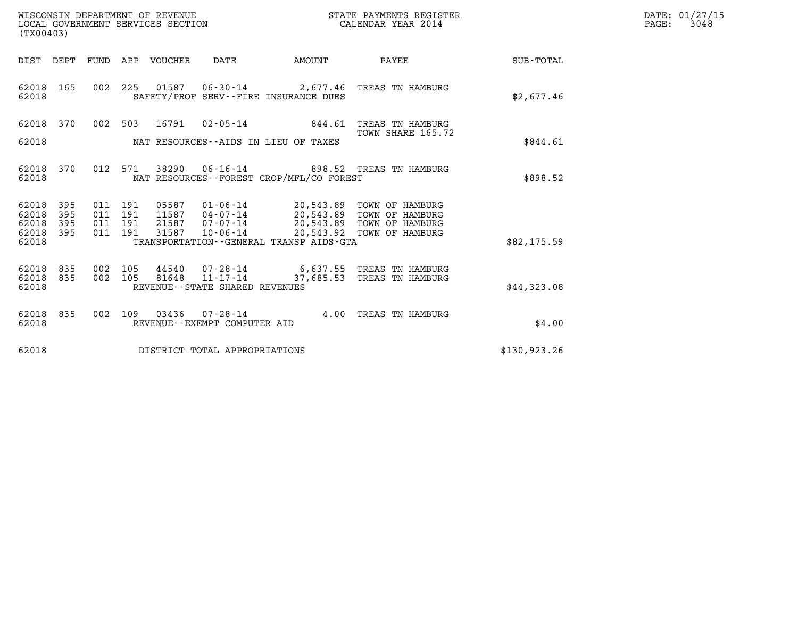| DATE: | 01/27/15 |
|-------|----------|
| PAGE: | 3048     |

| WISCONSIN DEPARTMENT OF REVENUE<br>LOCAL GOVERNMENT SERVICES SECTION<br>(TX00403) |            |                |            |                  |                                                |                                          | STATE PAYMENTS REGISTER<br>CALENDAR YEAR 2014                             |              | DATE: 01/27/15<br>$\mathtt{PAGE:}$<br>3048 |
|-----------------------------------------------------------------------------------|------------|----------------|------------|------------------|------------------------------------------------|------------------------------------------|---------------------------------------------------------------------------|--------------|--------------------------------------------|
| DIST DEPT                                                                         |            |                |            | FUND APP VOUCHER | DATE                                           | AMOUNT                                   | PAYEE                                                                     | SUB-TOTAL    |                                            |
| 62018<br>62018                                                                    | 165        | 002 225        |            | 01587            |                                                | SAFETY/PROF SERV--FIRE INSURANCE DUES    | 06-30-14 2,677.46 TREAS TN HAMBURG                                        | \$2,677.46   |                                            |
| 62018 370                                                                         |            | 002 503        |            | 16791            |                                                | $02 - 05 - 14$ 844.61                    | TREAS TN HAMBURG                                                          |              |                                            |
| 62018                                                                             |            |                |            |                  |                                                | NAT RESOURCES--AIDS IN LIEU OF TAXES     | TOWN SHARE 165.72                                                         | \$844.61     |                                            |
| 62018<br>62018                                                                    | 370        | 012            | 571        | 38290            |                                                | NAT RESOURCES--FOREST CROP/MFL/CO FOREST | 06-16-14 898.52 TREAS TN HAMBURG                                          | \$898.52     |                                            |
| 62018<br>62018                                                                    | 395<br>395 | 011<br>011     | 191<br>191 | 05587<br>11587   | 04-07-14                                       |                                          | 01-06-14 20,543.89 TOWN OF HAMBURG<br>20,543.89 TOWN OF HAMBURG           |              |                                            |
| 62018<br>62018                                                                    | 395<br>395 | 011<br>011 191 | 191        | 21587<br>31587   | 07-07-14<br>$10 - 06 - 14$                     |                                          | 20,543.89 TOWN OF HAMBURG<br>20,543.92 TOWN OF HAMBURG                    |              |                                            |
| 62018                                                                             |            |                |            |                  |                                                | TRANSPORTATION--GENERAL TRANSP AIDS-GTA  |                                                                           | \$82,175.59  |                                            |
| 62018<br>62018<br>62018                                                           | 835<br>835 | 002<br>002     | 105<br>105 | 44540<br>81648   | REVENUE--STATE SHARED REVENUES                 |                                          | 07-28-14 6,637.55 TREAS TN HAMBURG<br>11-17-14 37,685.53 TREAS TN HAMBURG | \$44,323.08  |                                            |
| 62018<br>62018                                                                    | 835        | 002 109        |            | 03436            | $07 - 28 - 14$<br>REVENUE--EXEMPT COMPUTER AID |                                          | 4.00 TREAS TN HAMBURG                                                     | \$4.00       |                                            |
| 62018                                                                             |            |                |            |                  | DISTRICT TOTAL APPROPRIATIONS                  |                                          |                                                                           | \$130,923.26 |                                            |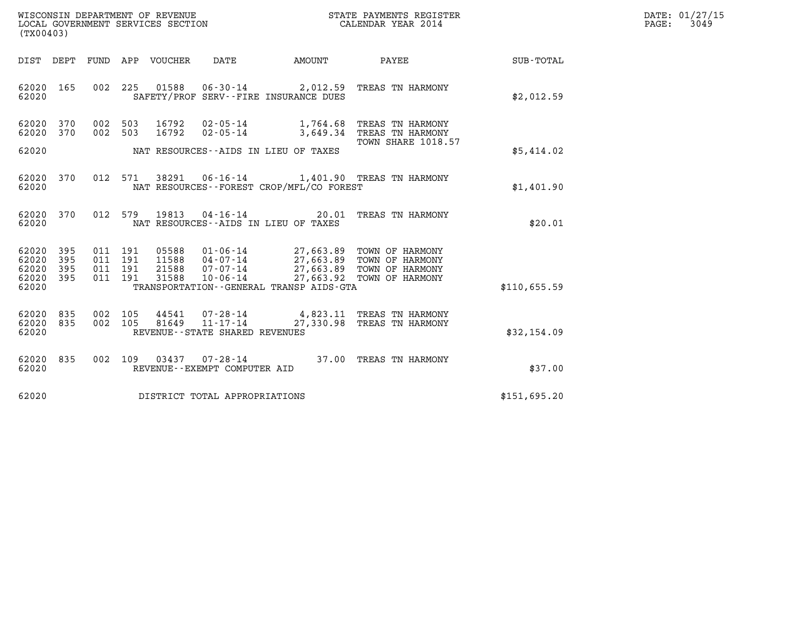| WISCONSIN DEPARTMENT OF REVENUE   | STATE PAYMENTS REGISTER | DATE: 01/27/15 |
|-----------------------------------|-------------------------|----------------|
| LOCAL GOVERNMENT SERVICES SECTION | CALENDAR YEAR 2014      | 3049<br>PAGE:  |

| (TX00403)               |                   |         |                    |                  |                                                  |                                                                          | STATE PAYMENTS REGISTER                                                                                       |                  | DATE: 01/27/15<br>PAGE:<br>3049 |
|-------------------------|-------------------|---------|--------------------|------------------|--------------------------------------------------|--------------------------------------------------------------------------|---------------------------------------------------------------------------------------------------------------|------------------|---------------------------------|
| DIST DEPT               |                   |         |                    | FUND APP VOUCHER | DATE                                             | AMOUNT                                                                   | <b>PAYEE</b>                                                                                                  | <b>SUB-TOTAL</b> |                                 |
| 62020 165<br>62020      |                   |         |                    |                  |                                                  | 002 225 01588 06-30-14 2,012.59<br>SAFETY/PROF SERV--FIRE INSURANCE DUES | TREAS TN HARMONY                                                                                              | \$2,012.59       |                                 |
| 62020<br>62020          | 370<br>370        | 002     | 503<br>002 503     | 16792<br>16792   | $02 - 05 - 14$                                   | $02 - 05 - 14$ 1,764.68<br>3,649.34                                      | TREAS TN HARMONY<br>TREAS TN HARMONY                                                                          |                  |                                 |
| 62020                   |                   |         |                    |                  |                                                  | NAT RESOURCES--AIDS IN LIEU OF TAXES                                     | <b>TOWN SHARE 1018.57</b>                                                                                     | \$5,414.02       |                                 |
| 62020<br>62020          | 370               |         |                    | 012 571 38291    |                                                  | NAT RESOURCES - - FOREST CROP/MFL/CO FOREST                              | 06-16-14 1,401.90 TREAS TN HARMONY                                                                            | \$1,401.90       |                                 |
| 62020 370<br>62020      |                   |         | 012 579            | 19813            | $04 - 16 - 14$                                   | NAT RESOURCES--AIDS IN LIEU OF TAXES                                     | 20.01 TREAS TN HARMONY                                                                                        | \$20.01          |                                 |
| 62020<br>62020<br>62020 | 395<br>395<br>395 | 011 191 | 011 191<br>011 191 | 21588            | $07 - 07 - 14$                                   | 27,663.89                                                                | 05588  01-06-14  27,663.89  TOWN OF HARMONY<br>11588  04-07-14  27,663.89  TOWN OF HARMONY<br>TOWN OF HARMONY |                  |                                 |
| 62020<br>62020          | 395               |         | 011 191            | 31588            | $10 - 06 - 14$                                   | TRANSPORTATION--GENERAL TRANSP AIDS-GTA                                  | 27,663.92 TOWN OF HARMONY                                                                                     | \$110,655.59     |                                 |
| 62020<br>62020<br>62020 | 835<br>835        | 002 105 | 002 105            | 44541<br>81649   | $11 - 17 - 14$<br>REVENUE--STATE SHARED REVENUES |                                                                          | 07-28-14 4,823.11 TREAS TN HARMONY<br>27,330.98 TREAS TN HARMONY                                              | \$32,154.09      |                                 |
| 62020 835<br>62020      |                   |         |                    | 002 109 03437    | $07 - 28 - 14$<br>REVENUE--EXEMPT COMPUTER AID   |                                                                          | 37.00 TREAS TN HARMONY                                                                                        | \$37.00          |                                 |
| 62020                   |                   |         |                    |                  | DISTRICT TOTAL APPROPRIATIONS                    |                                                                          |                                                                                                               | \$151,695.20     |                                 |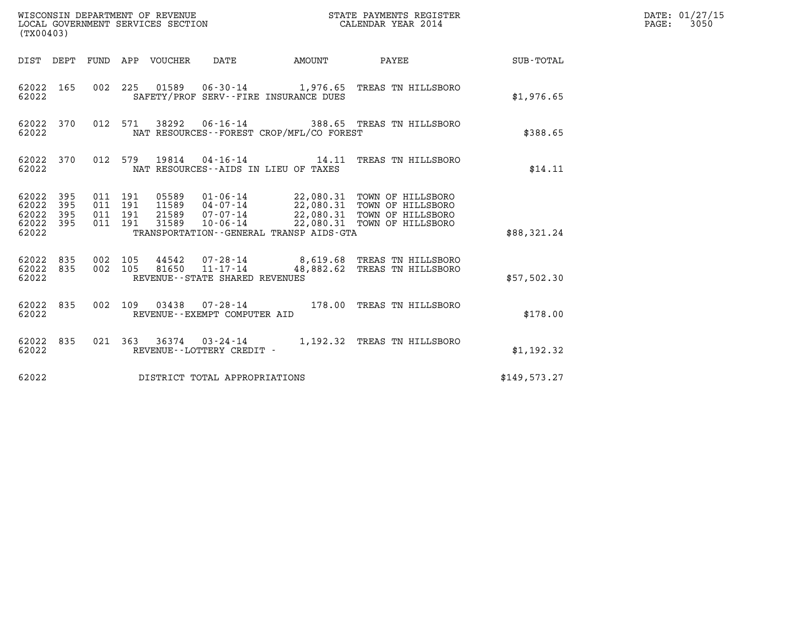|                                                   | WISCONSIN DEPARTMENT OF REVENUE<br>LOCAL GOVERNMENT SERVICES SECTION<br>(TX00403) |                                          |  |                                 |                                   | STATE PAYMENTS REGISTER<br>CALENDAR YEAR 2014 |                                                                                                                                                                                         |              | DATE: 01/27/15<br>$\mathtt{PAGE:}$<br>3050 |
|---------------------------------------------------|-----------------------------------------------------------------------------------|------------------------------------------|--|---------------------------------|-----------------------------------|-----------------------------------------------|-----------------------------------------------------------------------------------------------------------------------------------------------------------------------------------------|--------------|--------------------------------------------|
|                                                   |                                                                                   |                                          |  | DIST DEPT FUND APP VOUCHER DATE |                                   | <b>AMOUNT</b>                                 | PAYEE                                                                                                                                                                                   | SUB-TOTAL    |                                            |
| 62022 165<br>62022                                |                                                                                   |                                          |  |                                 |                                   | SAFETY/PROF SERV--FIRE INSURANCE DUES         | 002 225 01589 06-30-14 1,976.65 TREAS TN HILLSBORO                                                                                                                                      | \$1,976.65   |                                            |
| 62022                                             | 62022 370                                                                         |                                          |  |                                 |                                   | NAT RESOURCES - - FOREST CROP/MFL/CO FOREST   | 012 571 38292 06-16-14 388.65 TREAS TN HILLSBORO                                                                                                                                        | \$388.65     |                                            |
| 62022 370<br>62022                                |                                                                                   |                                          |  |                                 |                                   | NAT RESOURCES--AIDS IN LIEU OF TAXES          | 012 579 19814 04-16-14 14.11 TREAS TN HILLSBORO                                                                                                                                         | \$14.11      |                                            |
| 62022 395<br>62022<br>62022<br>62022 395<br>62022 | 395<br>395                                                                        | 011 191<br>011 191<br>011 191<br>011 191 |  | 31589                           |                                   | TRANSPORTATION--GENERAL TRANSP AIDS-GTA       | 05589  01-06-14  22,080.31  TOWN OF HILLSBORO<br>11589  04-07-14  22,080.31  TOWN OF HILLSBORO<br>21589  07-07-14  22,080.31  TOWN OF HILLSBORO<br>10-06-14 22,080.31 TOWN OF HILLSBORO | \$88,321.24  |                                            |
| 62022 835<br>62022                                | 62022 835                                                                         | 002 105<br>002 105                       |  |                                 | REVENUE - - STATE SHARED REVENUES |                                               | 44542  07-28-14  8,619.68  TREAS TN HILLSBORO<br>81650  11-17-14  48,882.62  TREAS TN HILLSBORO                                                                                         | \$57,502.30  |                                            |
| 62022 835<br>62022                                |                                                                                   | 002 109                                  |  |                                 | REVENUE--EXEMPT COMPUTER AID      |                                               |                                                                                                                                                                                         | \$178.00     |                                            |
| 62022 835<br>62022                                |                                                                                   |                                          |  |                                 | REVENUE--LOTTERY CREDIT -         |                                               | 021 363 36374 03-24-14 1,192.32 TREAS TN HILLSBORO                                                                                                                                      | \$1,192.32   |                                            |
| 62022                                             |                                                                                   |                                          |  |                                 | DISTRICT TOTAL APPROPRIATIONS     |                                               |                                                                                                                                                                                         | \$149,573.27 |                                            |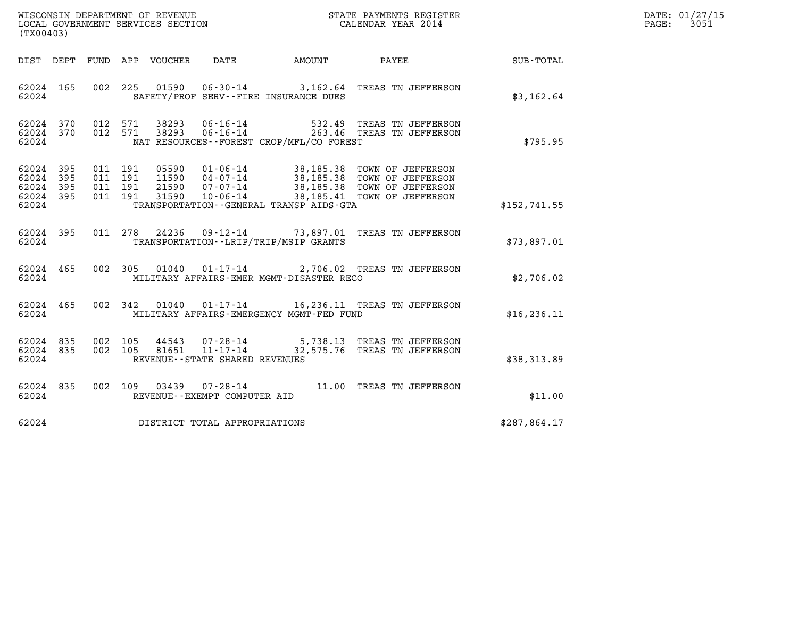| WISCONSIN DEPARTMENT OF REVENUE   | STATE PAYMENTS REGISTER | DATE: 01/27/15 |
|-----------------------------------|-------------------------|----------------|
| LOCAL GOVERNMENT SERVICES SECTION | CALENDAR YEAR 2014      | 3051<br>PAGE:  |

| WISCONSIN DEPARTMENT OF REVENUE<br>STATE PAYMENTS REGISTER<br>LOCAL GOVERNMENT SERVICES SECTION<br>CALENDAR YEAR 2014<br>(TX00403)                                                                                                                                                                                                                  |              |
|-----------------------------------------------------------------------------------------------------------------------------------------------------------------------------------------------------------------------------------------------------------------------------------------------------------------------------------------------------|--------------|
| DATE AMOUNT<br>PAYEE<br>DIST DEPT<br>FUND<br>APP<br>VOUCHER                                                                                                                                                                                                                                                                                         | SUB-TOTAL    |
| 002<br>225<br>62024 165<br>01590   06-30-14   3,162.64   TREAS TN JEFFERSON<br>62024<br>SAFETY/PROF SERV--FIRE INSURANCE DUES                                                                                                                                                                                                                       | \$3,162.64   |
| 62024<br>370<br>012<br>571<br>38293<br>06-16-14 532.49 TREAS TN JEFFERSON<br>06-16-14 263.46 TREAS TN JEFFERSON<br>012 571<br>62024 370<br>38293<br>62024<br>NAT RESOURCES - - FOREST CROP/MFL/CO FOREST                                                                                                                                            | \$795.95     |
| 62024<br>395<br>011<br>191<br>05590<br>01-06-14 38,185.38 TOWN OF JEFFERSON<br>04-07-14 38,185.38 TOWN OF JEFFERSON<br>07-07-14 38,185.38 TOWN OF JEFFERSON<br>395<br>191<br>11590<br>$04 - 07 - 14$<br>62024<br>011<br>62024<br>011<br>191<br>21590<br>395<br>$10 - 06 - 14$<br>38,185.41 TOWN OF JEFFERSON<br>62024<br>395<br>011<br>191<br>31590 |              |
| TRANSPORTATION--GENERAL TRANSP AIDS-GTA<br>62024                                                                                                                                                                                                                                                                                                    | \$152,741.55 |
| 09-12-14 73,897.01 TREAS TN JEFFERSON<br>62024<br>395<br>011 278<br>24236<br>TRANSPORTATION - - LRIP/TRIP/MSIP GRANTS<br>62024                                                                                                                                                                                                                      | \$73,897.01  |
| 62024 465<br>002<br>305<br>01-17-14 2,706.02 TREAS TN JEFFERSON<br>01040<br>62024<br>MILITARY AFFAIRS-EMER MGMT-DISASTER RECO                                                                                                                                                                                                                       | \$2,706.02   |
| 002<br>62024<br>465<br>342<br>01040  01-17-14  16,236.11  TREAS TN JEFFERSON<br>62024<br>MILITARY AFFAIRS-EMERGENCY MGMT-FED FUND                                                                                                                                                                                                                   | \$16, 236.11 |
| 002<br>105<br>62024<br>835<br>44543<br>07-28-14 5,738.13 TREAS TN JEFFERSON<br>11-17-14 32,575.76 TREAS TN JEFFERSON<br>002<br>105<br>81651<br>62024<br>835<br>REVENUE--STATE SHARED REVENUES<br>62024                                                                                                                                              | \$38,313.89  |
| 835<br>002<br>11.00<br>62024<br>109<br>03439<br>07-28-14<br>TREAS TN JEFFERSON<br>62024<br>REVENUE--EXEMPT COMPUTER AID                                                                                                                                                                                                                             | \$11.00      |
| DISTRICT TOTAL APPROPRIATIONS<br>62024                                                                                                                                                                                                                                                                                                              | \$287,864.17 |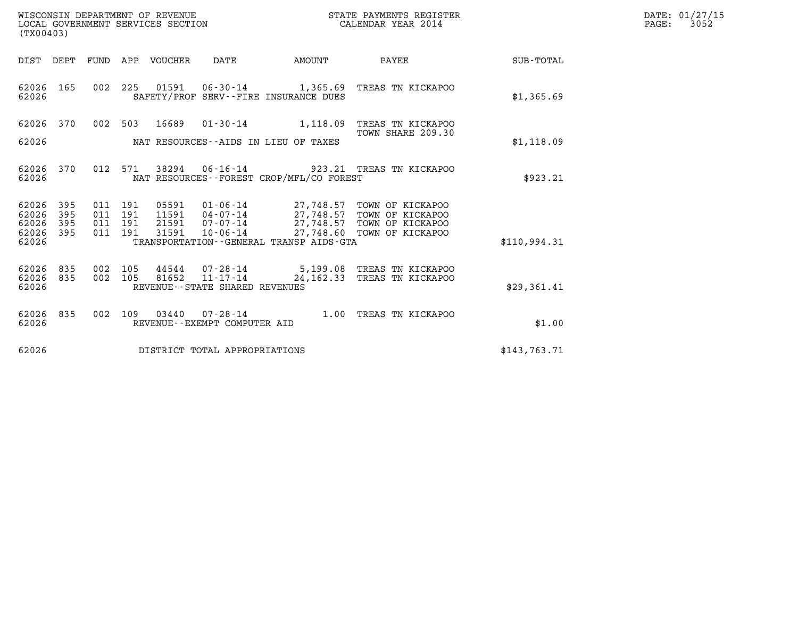| WISCONSIN DEPARTMENT OF REVENUE   | STATE PAYMENTS REGISTER | DATE: 01/27/15 |
|-----------------------------------|-------------------------|----------------|
| LOCAL GOVERNMENT SERVICES SECTION | CALENDAR YEAR 2014      | 3052<br>PAGE:  |

| (TX00403)                                                             |                                                      |                                                                                                                                         |                             |                                                                                                  |              |
|-----------------------------------------------------------------------|------------------------------------------------------|-----------------------------------------------------------------------------------------------------------------------------------------|-----------------------------|--------------------------------------------------------------------------------------------------|--------------|
| DIST<br>DEPT                                                          | APP<br>FUND                                          | VOUCHER<br>DATE                                                                                                                         | AMOUNT                      | PAYEE                                                                                            | SUB-TOTAL    |
| 62026<br>165<br>62026                                                 | 002<br>225                                           | 01591<br>SAFETY/PROF SERV--FIRE INSURANCE DUES                                                                                          |                             | 06-30-14 1,365.69 TREAS TN KICKAPOO                                                              | \$1,365.69   |
| 62026<br>370<br>62026                                                 | 002<br>503                                           | 16689<br>$01 - 30 - 14$<br>NAT RESOURCES -- AIDS IN LIEU OF TAXES                                                                       | 1,118.09                    | TREAS TN KICKAPOO<br>TOWN SHARE 209.30                                                           | \$1,118.09   |
| 62026<br>370<br>62026                                                 | 012<br>571                                           | 38294<br>NAT RESOURCES - - FOREST CROP/MFL/CO FOREST                                                                                    |                             | 06-16-14 923.21 TREAS TN KICKAPOO                                                                | \$923.21     |
| 62026<br>395<br>62026<br>395<br>62026<br>395<br>62026<br>395<br>62026 | 191<br>011<br>011<br>191<br>191<br>011<br>191<br>011 | 05591<br>01-06-14<br>04-07-14<br>11591<br>$07 - 07 - 14$<br>21591<br>$10 - 06 - 14$<br>31591<br>TRANSPORTATION--GENERAL TRANSP AIDS-GTA | 27,748.57<br>27,748.57      | TOWN OF KICKAPOO<br>TOWN OF KICKAPOO<br>27,748.57 TOWN OF KICKAPOO<br>27,748.60 TOWN OF KICKAPOO | \$110,994.31 |
| 835<br>62026<br>835<br>62026<br>62026                                 | 002<br>105<br>002<br>105                             | 44544<br>07-28-14<br>81652<br>REVENUE - - STATE SHARED REVENUES                                                                         | $11 - 17 - 14$ $24, 162.33$ | 5,199.08 TREAS TN KICKAPOO<br>TREAS TN KICKAPOO                                                  | \$29,361.41  |
| 62026<br>835<br>62026                                                 | 002<br>109                                           | 03440<br>$07 - 28 - 14$<br>REVENUE - - EXEMPT COMPUTER AID                                                                              | 1.00                        | TREAS TN KICKAPOO                                                                                | \$1.00       |
| 62026                                                                 |                                                      | DISTRICT TOTAL APPROPRIATIONS                                                                                                           |                             |                                                                                                  | \$143,763.71 |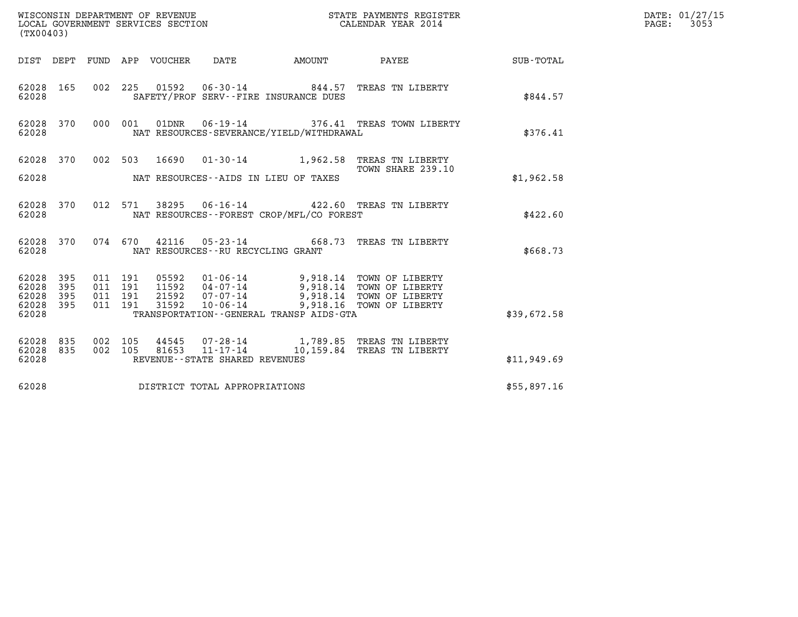| (TX00403)                                 |                          |                                          |         |       |                                      |                                                                        |                                                                                                                                                                             |             | DATE: 01/27/15<br>$\mathtt{PAGE:}$<br>3053 |
|-------------------------------------------|--------------------------|------------------------------------------|---------|-------|--------------------------------------|------------------------------------------------------------------------|-----------------------------------------------------------------------------------------------------------------------------------------------------------------------------|-------------|--------------------------------------------|
|                                           |                          |                                          |         |       |                                      |                                                                        | DIST DEPT FUND APP VOUCHER DATE AMOUNT PAYEE TOTAL                                                                                                                          |             |                                            |
| 62028 165<br>62028                        |                          |                                          |         |       |                                      | 002 225 01592 06-30-14 844.57<br>SAFETY/PROF SERV--FIRE INSURANCE DUES | TREAS TN LIBERTY                                                                                                                                                            | \$844.57    |                                            |
| 62028 370<br>62028                        |                          |                                          | 000 001 |       |                                      | NAT RESOURCES-SEVERANCE/YIELD/WITHDRAWAL                               | 01DNR  06-19-14  376.41 TREAS TOWN LIBERTY                                                                                                                                  | \$376.41    |                                            |
|                                           | 62028 370                |                                          |         |       |                                      |                                                                        | 002 503 16690 01-30-14 1,962.58 TREAS TN LIBERTY<br>TOWN SHARE 239.10                                                                                                       |             |                                            |
| 62028                                     |                          |                                          |         |       |                                      | NAT RESOURCES--AIDS IN LIEU OF TAXES                                   |                                                                                                                                                                             | \$1,962.58  |                                            |
| 62028 370<br>62028                        |                          |                                          |         |       |                                      | NAT RESOURCES - - FOREST CROP/MFL/CO FOREST                            | 012 571 38295 06-16-14 422.60 TREAS TN LIBERTY                                                                                                                              | \$422.60    |                                            |
| 62028 370<br>62028                        |                          |                                          |         |       | NAT RESOURCES - - RU RECYCLING GRANT |                                                                        | 074 670 42116 05-23-14 668.73 TREAS TN LIBERTY                                                                                                                              | \$668.73    |                                            |
| 62028<br>62028<br>62028<br>62028<br>62028 | 395<br>395<br>395<br>395 | 011 191<br>011 191<br>011 191<br>011 191 |         | 31592 |                                      | TRANSPORTATION--GENERAL TRANSP AIDS-GTA                                | 05592  01-06-14  9,918.14  TOWN OF LIBERTY<br>11592  04-07-14  9,918.14  TOWN OF LIBERTY<br>21592  07-07-14  9,918.14  TOWN OF LIBERTY<br>10-06-14 9,918.16 TOWN OF LIBERTY | \$39,672.58 |                                            |
| 62028<br>62028<br>62028                   | 835<br>835               | 002 105<br>002 105                       |         | 44545 | REVENUE - - STATE SHARED REVENUES    |                                                                        | 07-28-14 1,789.85 TREAS TN LIBERTY<br>81653 11-17-14 10,159.84 TREAS TN LIBERTY                                                                                             | \$11,949.69 |                                            |
| 62028                                     |                          |                                          |         |       | DISTRICT TOTAL APPROPRIATIONS        |                                                                        |                                                                                                                                                                             | \$55,897.16 |                                            |
|                                           |                          |                                          |         |       |                                      |                                                                        |                                                                                                                                                                             |             |                                            |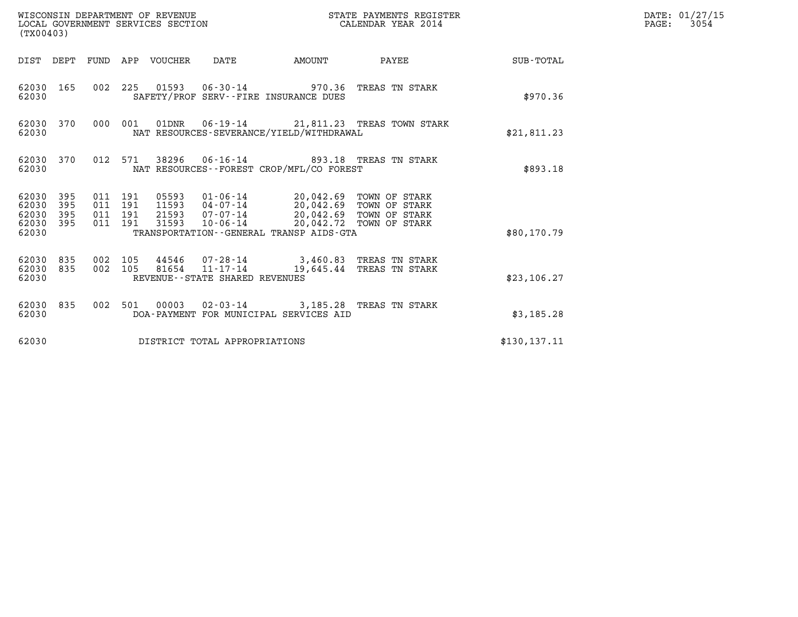| (TX00403)                                                    |                                          | WISCONSIN DEPARTMENT OF REVENUE<br>LOCAL GOVERNMENT SERVICES SECTION                                                                            |                                                                            | DATE: 01/27/15<br>$\mathtt{PAGE:}$<br>3054 |                 |  |
|--------------------------------------------------------------|------------------------------------------|-------------------------------------------------------------------------------------------------------------------------------------------------|----------------------------------------------------------------------------|--------------------------------------------|-----------------|--|
|                                                              |                                          | DIST DEPT FUND APP VOUCHER DATE                                                                                                                 | AMOUNT                                                                     |                                            | PAYEE SUB-TOTAL |  |
| 62030 165<br>62030                                           |                                          | 002 225 01593 06-30-14 970.36 TREAS TN STARK<br>SAFETY/PROF SERV--FIRE INSURANCE DUES                                                           |                                                                            |                                            | \$970.36        |  |
| 62030 370<br>62030                                           |                                          | 000 001<br>NAT RESOURCES-SEVERANCE/YIELD/WITHDRAWAL                                                                                             | 01DNR  06-19-14  21,811.23  TREAS TOWN STARK                               |                                            | \$21,811.23     |  |
| 62030 370<br>62030                                           |                                          | 012 571 38296 06-16-14 893.18 TREAS TN STARK<br>NAT RESOURCES--FOREST CROP/MFL/CO FOREST                                                        |                                                                            |                                            | \$893.18        |  |
| 62030 395<br>62030<br>395<br>62030 395<br>62030 395<br>62030 | 011 191<br>011 191<br>011 191<br>011 191 | 05593  01-06-14  20,042.69  TOWN OF STARK<br>11593  04-07-14  20,042.69  TOWN OF STARK<br>31593<br>TRANSPORTATION - - GENERAL TRANSP AIDS - GTA | 21593 07-07-14 20,042.69 TOWN OF STARK<br>10-06-14 20,042.72 TOWN OF STARK |                                            | \$80,170.79     |  |
| 62030 835<br>62030 835<br>62030                              | 002 105<br>002 105                       | 81654 11-17-14<br>REVENUE - - STATE SHARED REVENUES                                                                                             | 44546 07-28-14 3,460.83 TREAS TN STARK                                     | 19,645.44 TREAS TN STARK                   | \$23,106.27     |  |
| 62030 835<br>62030                                           |                                          | 002 501 00003 02-03-14 3,185.28 TREAS TN STARK<br>DOA-PAYMENT FOR MUNICIPAL SERVICES AID                                                        |                                                                            |                                            | \$3,185.28      |  |
| 62030                                                        |                                          | DISTRICT TOTAL APPROPRIATIONS                                                                                                                   |                                                                            |                                            | \$130, 137.11   |  |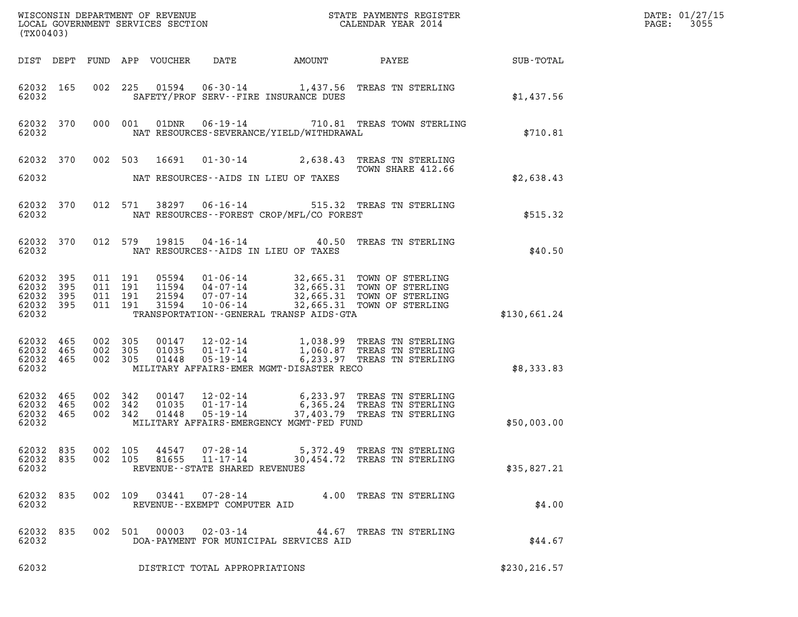| (TX00403)                                                 |                                          |                                                                                                                                                                                                                                     |               | DATE: 01/27/15<br>3055<br>$\mathtt{PAGE:}$ |
|-----------------------------------------------------------|------------------------------------------|-------------------------------------------------------------------------------------------------------------------------------------------------------------------------------------------------------------------------------------|---------------|--------------------------------------------|
|                                                           |                                          | DIST DEPT FUND APP VOUCHER DATE                                                                                                                                                                                                     |               |                                            |
| 62032 165<br>62032                                        |                                          | 002 225 01594 06-30-14 1,437.56 TREAS TN STERLING<br>SAFETY/PROF SERV--FIRE INSURANCE DUES                                                                                                                                          | \$1,437.56    |                                            |
| 62032 370<br>62032                                        |                                          | 01DNR  06-19-14  710.81 TREAS TOWN STERLING<br>000 001<br>NAT RESOURCES-SEVERANCE/YIELD/WITHDRAWAL                                                                                                                                  | \$710.81      |                                            |
|                                                           |                                          | 62032 370 002 503 16691 01-30-14 2,638.43 TREAS TN STERLING<br>TOWN SHARE 412.66                                                                                                                                                    |               |                                            |
| 62032                                                     |                                          | NAT RESOURCES--AIDS IN LIEU OF TAXES                                                                                                                                                                                                | \$2,638.43    |                                            |
| 62032 370<br>62032                                        |                                          | 012 571 38297 06-16-14 515.32 TREAS TN STERLING<br>NAT RESOURCES - - FOREST CROP/MFL/CO FOREST                                                                                                                                      | \$515.32      |                                            |
| 62032 370<br>62032                                        |                                          | 012 579 19815 04-16-14 40.50 TREAS TN STERLING<br>NAT RESOURCES--AIDS IN LIEU OF TAXES                                                                                                                                              | \$40.50       |                                            |
| 62032 395<br>62032 395<br>62032 395<br>62032 395<br>62032 | 011 191<br>011 191<br>011 191<br>011 191 | 05594  01-06-14  32,665.31 TOWN OF STERLING<br>11594  04-07-14  32,665.31 TOWN OF STERLING<br>21594  07-07-14  32,665.31 TOWN OF STERLING<br>31594  10-06-14  32,665.31 TOWN OF STERLING<br>TRANSPORTATION--GENERAL TRANSP AIDS-GTA | \$130,661.24  |                                            |
| 62032 465<br>62032 465<br>62032 465<br>62032              | 002 305<br>002 305<br>002 305            | 00147   12-02-14   1,038.99 TREAS TN STERLING<br>01035   01-17-14   1,060.87 TREAS TN STERLING<br>01448   05-19-14   6,233.97 TREAS TN STERLING<br>MILITARY AFFAIRS-EMER MGMT-DISASTER RECO                                         | \$8,333.83    |                                            |
| 62032 465<br>62032 465<br>62032 465<br>62032              | 002 342<br>002 342<br>002 342            | 00147  12-02-14  6,233.97 TREAS TN STERLING<br>01035  01-17-14  6,365.24 TREAS TN STERLING<br>37,403.79 TREAS TN STERLING<br>01448<br>$05 - 19 - 14$<br>MILITARY AFFAIRS-EMERGENCY MGMT-FED FUND                                    | \$50,003.00   |                                            |
| 62032 835<br>62032 835<br>62032                           | 002 105<br>002 105                       | 5,372.49 TREAS TN STERLING<br>44547<br>07-28-14<br>$11 - 17 - 14$<br>81655<br>30,454.72 TREAS TN STERLING<br>REVENUE - - STATE SHARED REVENUES                                                                                      | \$35,827.21   |                                            |
| 62032 835<br>62032                                        | 002 109                                  | $07 - 28 - 14$<br>03441<br>4.00 TREAS TN STERLING<br>REVENUE - - EXEMPT COMPUTER AID                                                                                                                                                | \$4.00        |                                            |
| 62032 835<br>62032                                        |                                          | 00003<br>002 501<br>02-03-14<br>44.67 TREAS TN STERLING<br>DOA-PAYMENT FOR MUNICIPAL SERVICES AID                                                                                                                                   | \$44.67       |                                            |
| 62032                                                     |                                          | DISTRICT TOTAL APPROPRIATIONS                                                                                                                                                                                                       | \$230, 216.57 |                                            |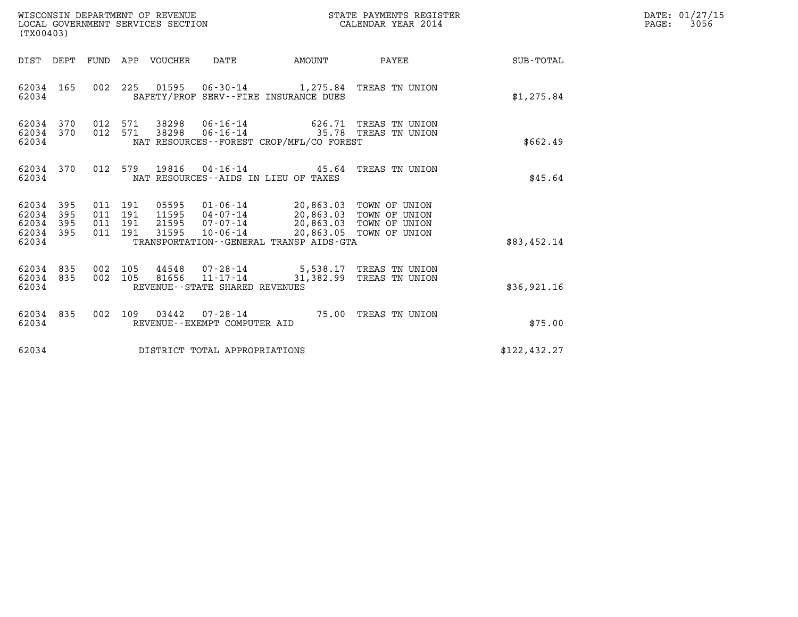| WISCONSIN DEPARTMENT OF REVENUE<br>LOCAL GOVERNMENT SERVICES SECTION<br>(TX00403)                                                               |                                                                                                                                                                         | STATE PAYMENTS REGISTER<br>CALENDAR YEAR 2014 |               | DATE: 01/27/15<br>$\mathtt{PAGE:}$<br>3056 |
|-------------------------------------------------------------------------------------------------------------------------------------------------|-------------------------------------------------------------------------------------------------------------------------------------------------------------------------|-----------------------------------------------|---------------|--------------------------------------------|
| FUND APP VOUCHER<br>DIST DEPT                                                                                                                   | <b>AMOUNT</b><br>DATE                                                                                                                                                   | <b>PAYEE</b> FOR THE PAYEE                    | SUB-TOTAL     |                                            |
| 62034 165<br>62034                                                                                                                              | 002 225 01595 06-30-14 1,275.84 TREAS TN UNION<br>SAFETY/PROF SERV--FIRE INSURANCE DUES                                                                                 |                                               | \$1,275.84    |                                            |
| 62034 370<br>012 571<br>62034 370<br>012 571<br>38298<br>62034                                                                                  | 38298  06-16-14  626.71  TREAS TN UNION<br>06-16-14 35.78 TREAS TN UNION<br>NAT RESOURCES--FOREST CROP/MFL/CO FOREST                                                    |                                               | \$662.49      |                                            |
| 370<br>012<br>579<br>19816<br>62034<br>62034                                                                                                    | 04-16-14 45.64 TREAS TN UNION<br>NAT RESOURCES -- AIDS IN LIEU OF TAXES                                                                                                 |                                               | \$45.64       |                                            |
| 62034 395<br>011 191<br>05595<br>62034<br>395<br>011 191<br>11595<br>62034<br>395<br>011 191<br>21595<br>62034 395<br>011 191<br>31595<br>62034 | 01-06-14 20,863.03 TOWN OF UNION<br>04-07-14 20,863.03 TOWN OF UNION<br>07-07-14<br>20,863.03 TOWN OF UNION<br>10-06-14<br>TRANSPORTATION - - GENERAL TRANSP AIDS - GTA | 20,863.05 TOWN OF UNION                       | \$83,452.14   |                                            |
| 44548<br>62034<br>835<br>002 105<br>62034 835<br>002 105<br>62034                                                                               | 07-28-14 5,538.17 TREAS TN UNION<br>81656  11-17-14  31,382.99  TREAS TN UNION<br>REVENUE--STATE SHARED REVENUES                                                        |                                               | \$36,921.16   |                                            |
| 62034<br>835<br>002 109<br>03442<br>62034                                                                                                       | 07-28-14 75.00 TREAS TN UNION<br>REVENUE--EXEMPT COMPUTER AID                                                                                                           |                                               | \$75.00       |                                            |
| 62034                                                                                                                                           | DISTRICT TOTAL APPROPRIATIONS                                                                                                                                           |                                               | \$122, 432.27 |                                            |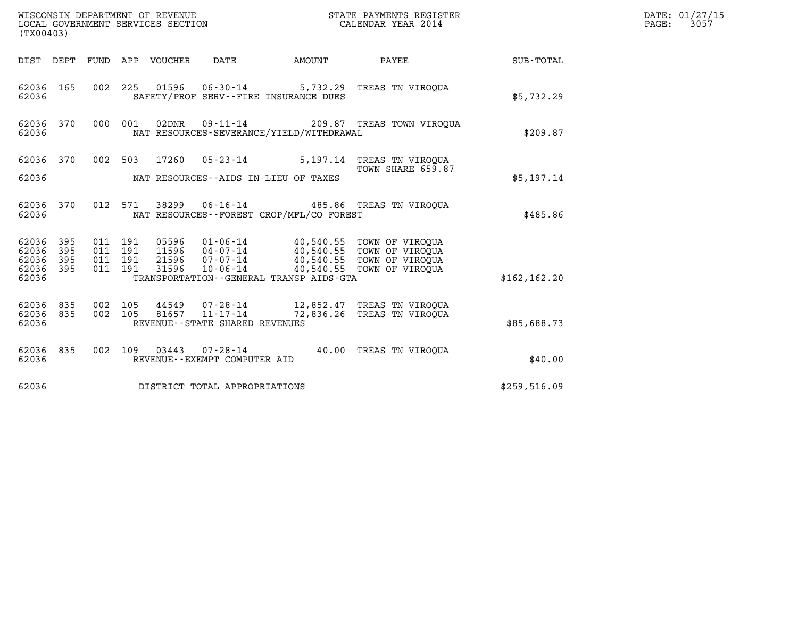| WISCONSIN DEPARTMENT OF REVENUE<br>LOCAL GOVERNMENT SERVICES SECTION<br>(TX00403) |     |                    |         |                            |                                                        | STATE PAYMENTS REGISTER<br>CALENDAR YEAR 2014 |                                                                                                                         |               | DATE: 01/27/15<br>3057<br>$\mathtt{PAGE:}$ |
|-----------------------------------------------------------------------------------|-----|--------------------|---------|----------------------------|--------------------------------------------------------|-----------------------------------------------|-------------------------------------------------------------------------------------------------------------------------|---------------|--------------------------------------------|
|                                                                                   |     |                    |         | DIST DEPT FUND APP VOUCHER | DATE                                                   | AMOUNT                                        | PAYEE                                                                                                                   | SUB-TOTAL     |                                            |
| 62036 165<br>62036                                                                |     |                    |         |                            |                                                        | SAFETY/PROF SERV--FIRE INSURANCE DUES         | 002 225 01596 06-30-14 5,732.29 TREAS TN VIROQUA                                                                        | \$5,732.29    |                                            |
| 62036 370<br>62036                                                                |     | 000 001            |         | 02DNR                      |                                                        | NAT RESOURCES-SEVERANCE/YIELD/WITHDRAWAL      | 09-11-14 209.87 TREAS TOWN VIROOUA                                                                                      | \$209.87      |                                            |
| 62036 370                                                                         |     |                    |         |                            | 002 503 17260 05-23-14                                 |                                               | 5,197.14 TREAS TN VIROOUA<br>TOWN SHARE 659.87                                                                          |               |                                            |
| 62036                                                                             |     |                    |         |                            |                                                        | NAT RESOURCES--AIDS IN LIEU OF TAXES          |                                                                                                                         | \$5,197.14    |                                            |
| 62036 370<br>62036                                                                |     |                    | 012 571 |                            | 38299 06-16-14                                         | NAT RESOURCES - - FOREST CROP/MFL/CO FOREST   | 485.86 TREAS TN VIROQUA                                                                                                 | \$485.86      |                                            |
| 62036 395<br>62036 395                                                            |     | 011 191<br>011 191 |         |                            |                                                        |                                               | 05596  01-06-14  40,540.55  TOWN OF VIROQUA                                                                             |               |                                            |
| 62036<br>62036 395                                                                | 395 | 011 191<br>011 191 |         | 31596                      | $10 - 06 - 14$                                         |                                               | 11596  04-07-14  40,540.55  TOWN OF VIROQUA<br>21596  07-07-14  40,540.55  TOWN OF VIROQUA<br>40,540.55 TOWN OF VIROQUA |               |                                            |
| 62036                                                                             |     |                    |         |                            |                                                        | TRANSPORTATION--GENERAL TRANSP AIDS-GTA       |                                                                                                                         | \$162, 162.20 |                                            |
| 62036 835<br>62036 835                                                            |     | 002 105<br>002 105 |         | 81657                      | 44549 07-28-14<br>$11 - 17 - 14$                       |                                               | 12,852.47 TREAS TN VIROOUA<br>72,836.26 TREAS TN VIROQUA                                                                |               |                                            |
| 62036                                                                             |     |                    |         |                            | REVENUE - - STATE SHARED REVENUES                      |                                               |                                                                                                                         | \$85,688.73   |                                            |
| 62036 835<br>62036                                                                |     |                    |         |                            | 002 109 03443 07-28-14<br>REVENUE--EXEMPT COMPUTER AID |                                               | 40.00 TREAS TN VIROOUA                                                                                                  | \$40.00       |                                            |
| 62036                                                                             |     |                    |         |                            | DISTRICT TOTAL APPROPRIATIONS                          |                                               |                                                                                                                         | \$259,516.09  |                                            |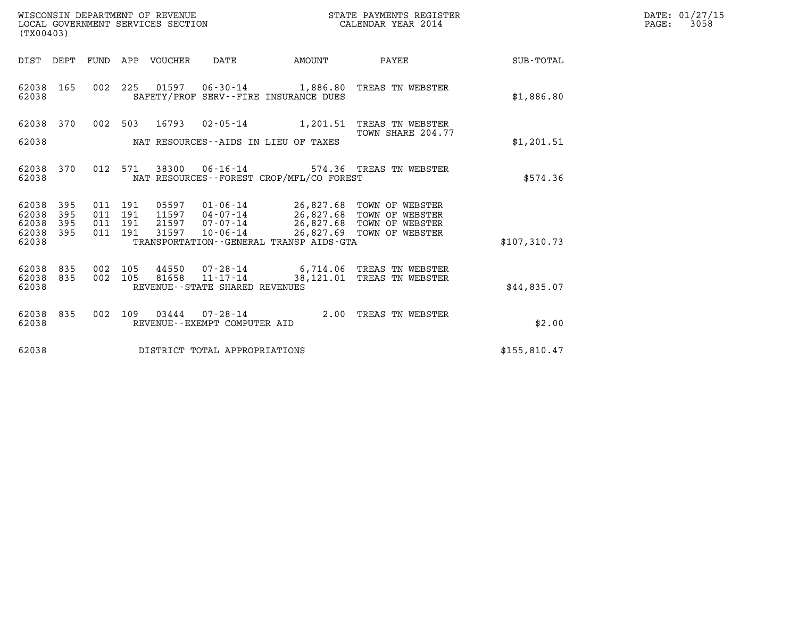| WISCONSIN DEPARTMENT OF REVENUE   | STATE PAYMENTS REGISTER | DATE: 01/27/15 |
|-----------------------------------|-------------------------|----------------|
| LOCAL GOVERNMENT SERVICES SECTION | CALENDAR YEAR 2014      | 3058<br>PAGE:  |

| WISCONSIN DEPARTMENT OF REVENUE<br>LOCAL GOVERNMENT SERVICES SECTION<br>(TX00403) |                   |                   |                   |                         |                                                                       |                                                      |                                                                                     |                  |
|-----------------------------------------------------------------------------------|-------------------|-------------------|-------------------|-------------------------|-----------------------------------------------------------------------|------------------------------------------------------|-------------------------------------------------------------------------------------|------------------|
| DIST                                                                              | DEPT              | FUND              | APP               | VOUCHER                 | DATE                                                                  | AMOUNT                                               | PAYEE                                                                               | <b>SUB-TOTAL</b> |
| 62038<br>62038                                                                    | 165               | 002               | 225               |                         |                                                                       | SAFETY/PROF SERV--FIRE INSURANCE DUES                | 01597   06-30-14   1,886.80   TREAS TN WEBSTER                                      | \$1,886.80       |
| 62038                                                                             | 370               | 002               | 503               | 16793                   | $02 - 05 - 14$                                                        | 1,201.51                                             | TREAS TN WEBSTER<br>TOWN SHARE 204.77                                               |                  |
| 62038                                                                             |                   |                   |                   |                         |                                                                       | NAT RESOURCES--AIDS IN LIEU OF TAXES                 |                                                                                     | \$1,201.51       |
| 62038<br>62038                                                                    | 370               | 012               | 571               | 38300                   |                                                                       | NAT RESOURCES - - FOREST CROP/MFL/CO FOREST          | 06-16-14 574.36 TREAS TN WEBSTER                                                    | \$574.36         |
| 62038<br>62038<br>62038                                                           | 395<br>395<br>395 | 011<br>011<br>011 | 191<br>191<br>191 | 05597<br>11597<br>21597 | $01 - 06 - 14$<br>$04 - 07 - 14$<br>07-07-14                          |                                                      | 26,827.68 TOWN OF WEBSTER<br>26,827.68 TOWN OF WEBSTER<br>26,827.68 TOWN OF WEBSTER |                  |
| 62038<br>62038                                                                    | 395               | 011               | 191               | 31597                   | 10-06-14                                                              | 26,827.69<br>TRANSPORTATION--GENERAL TRANSP AIDS-GTA | TOWN OF WEBSTER                                                                     | \$107,310.73     |
| 62038<br>62038<br>62038                                                           | 835<br>835        | 002<br>002        | 105<br>105        | 44550<br>81658          | $07 - 28 - 14$<br>$11 - 17 - 14$<br>REVENUE - - STATE SHARED REVENUES | 38,121.01                                            | 6,714.06 TREAS TN WEBSTER<br>TREAS TN WEBSTER                                       | \$44,835.07      |
| 62038<br>62038                                                                    | 835               | 002               | 109               | 03444                   | $07 - 28 - 14$<br>REVENUE - - EXEMPT COMPUTER AID                     | 2.00                                                 | TREAS TN WEBSTER                                                                    | \$2.00           |
| 62038                                                                             |                   |                   |                   |                         | DISTRICT TOTAL APPROPRIATIONS                                         |                                                      |                                                                                     | \$155,810.47     |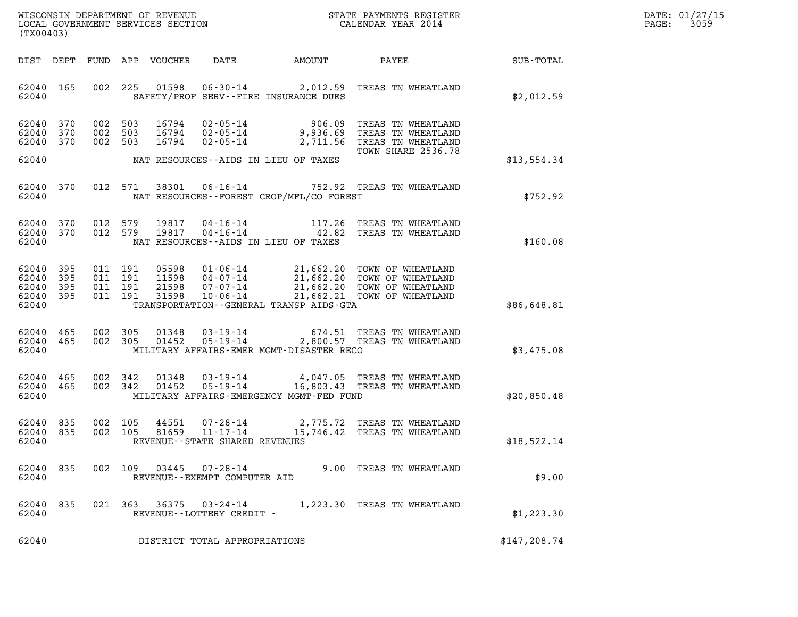| DATE: | 01/27/15 |
|-------|----------|
| PAGE: | 3059     |

| (TX00403)                                             |     |                                          |         |                            |                                                           |                                             |                                                                                                                                                                                              |               | DATE: 01/27/15<br>3059<br>PAGE: |
|-------------------------------------------------------|-----|------------------------------------------|---------|----------------------------|-----------------------------------------------------------|---------------------------------------------|----------------------------------------------------------------------------------------------------------------------------------------------------------------------------------------------|---------------|---------------------------------|
|                                                       |     |                                          |         | DIST DEPT FUND APP VOUCHER | DATE                                                      | AMOUNT                                      | <b>PAYEE</b> FOUND THE PAYEE                                                                                                                                                                 | SUB-TOTAL     |                                 |
| 62040 165<br>62040                                    |     |                                          |         |                            |                                                           | SAFETY/PROF SERV--FIRE INSURANCE DUES       | 002 225 01598 06-30-14 2,012.59 TREAS TN WHEATLAND                                                                                                                                           | \$2,012.59    |                                 |
| 62040 370<br>62040<br>62040 370                       | 370 | 002 503<br>002 503<br>002 503            |         |                            |                                                           |                                             | 16794  02-05-14  906.09  TREAS TN WHEATLAND<br>16794  02-05-14  9,936.69  TREAS TN WHEATLAND<br>16794  02-05-14  2,711.56  TREAS TN WHEATLAND<br>TOWN SHARE 2536.78                          |               |                                 |
| 62040                                                 |     |                                          |         |                            |                                                           | NAT RESOURCES--AIDS IN LIEU OF TAXES        |                                                                                                                                                                                              | \$13,554.34   |                                 |
| 62040<br>62040                                        | 370 |                                          | 012 571 |                            |                                                           | NAT RESOURCES - - FOREST CROP/MFL/CO FOREST | 38301  06-16-14  752.92  TREAS TN WHEATLAND                                                                                                                                                  | \$752.92      |                                 |
| 62040 370<br>62040 370<br>62040                       |     | 012 579<br>012 579                       |         |                            |                                                           | NAT RESOURCES--AIDS IN LIEU OF TAXES        |                                                                                                                                                                                              | \$160.08      |                                 |
| 62040 395<br>62040<br>62040 395<br>62040 395<br>62040 | 395 | 011 191<br>011 191<br>011 191<br>011 191 |         |                            |                                                           | TRANSPORTATION--GENERAL TRANSP AIDS-GTA     | 05598  01-06-14  21,662.20 TOWN OF WHEATLAND<br>11598  04-07-14  21,662.20 TOWN OF WHEATLAND<br>21598  07-07-14  21,662.20 TOWN OF WHEATLAND<br>31598  10-06-14  21,662.21 TOWN OF WHEATLAND | \$86,648.81   |                                 |
| 62040 465<br>62040 465<br>62040                       |     | 002 305<br>002 305                       |         | 01348<br>01452             |                                                           | MILITARY AFFAIRS-EMER MGMT-DISASTER RECO    | 03-19-14 674.51 TREAS TN WHEATLAND<br>05-19-14 2,800.57 TREAS TN WHEATLAND                                                                                                                   | \$3,475.08    |                                 |
| 62040 465<br>62040 465<br>62040                       |     | 002 342<br>002 342                       |         | 01348<br>01452             |                                                           | MILITARY AFFAIRS-EMERGENCY MGMT-FED FUND    | 03-19-14 4,047.05 TREAS TN WHEATLAND<br>05-19-14 16,803.43 TREAS TN WHEATLAND                                                                                                                | \$20,850.48   |                                 |
| 62040<br>62040 835<br>62040                           | 835 | 002<br>002 105                           | 105     | 44551<br>81659             | 07-28-14<br>11-17-14<br>REVENUE - - STATE SHARED REVENUES |                                             | 2,775.72 TREAS TN WHEATLAND<br>15,746.42 TREAS TN WHEATLAND                                                                                                                                  | \$18,522.14   |                                 |
| 62040<br>62040                                        | 835 | 002 109                                  |         | 03445                      | 07-28-14<br>REVENUE--EXEMPT COMPUTER AID                  |                                             | 9.00 TREAS TN WHEATLAND                                                                                                                                                                      | \$9.00        |                                 |
| 62040<br>62040                                        | 835 |                                          | 021 363 | 36375                      | 03-24-14<br>REVENUE--LOTTERY CREDIT -                     |                                             | 1,223.30 TREAS TN WHEATLAND                                                                                                                                                                  | \$1,223.30    |                                 |
| 62040                                                 |     |                                          |         |                            | DISTRICT TOTAL APPROPRIATIONS                             |                                             |                                                                                                                                                                                              | \$147, 208.74 |                                 |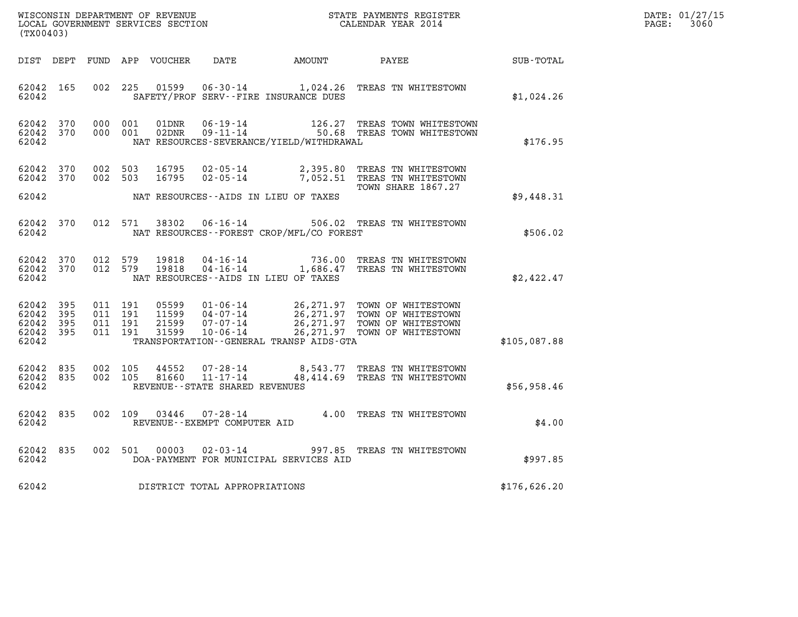| $\tt WISCONSIM DEPARTMENT OF REVENUE$ $\tt WISCONSIMENTS REGISTER$<br>LOCAL GOVERNMENT SERVICES SECTION $\tt CALENDAR YEAR$<br>2014<br>(TX00403) |                        |                    |                                          |                |                                                                 |                                              |                                                                                                                                                                                                      |              | DATE: 01/27/15<br>$\mathtt{PAGE:}$<br>3060 |
|--------------------------------------------------------------------------------------------------------------------------------------------------|------------------------|--------------------|------------------------------------------|----------------|-----------------------------------------------------------------|----------------------------------------------|------------------------------------------------------------------------------------------------------------------------------------------------------------------------------------------------------|--------------|--------------------------------------------|
|                                                                                                                                                  |                        |                    |                                          |                |                                                                 |                                              | DIST DEPT FUND APP VOUCHER DATE AMOUNT PAYEE                                                                                                                                                         | SUB-TOTAL    |                                            |
| 62042                                                                                                                                            | 62042 165              |                    | 002 225                                  |                |                                                                 | SAFETY/PROF SERV--FIRE INSURANCE DUES        | 01599   06-30-14   1,024.26   TREAS TN WHITESTOWN                                                                                                                                                    | \$1,024.26   |                                            |
| 62042 370<br>62042                                                                                                                               | 62042 370              | 000 001            | 000 001                                  | 01DNR<br>02DNR | $06 - 19 - 14$                                                  | NAT RESOURCES-SEVERANCE/YIELD/WITHDRAWAL     | 126.27 TREAS TOWN WHITESTOWN<br>09-19-14 120.27 INDAS IOWN WHITESTOWN<br>09-11-14 50.68 TREAS TOWN WHITESTOWN                                                                                        | \$176.95     |                                            |
| 62042 370<br>62042 370<br>62042                                                                                                                  |                        | 002 503            | 002 503                                  | 16795<br>16795 |                                                                 | NAT RESOURCES--AIDS IN LIEU OF TAXES         | 02-05-14 2,395.80 TREAS TN WHITESTOWN<br>02-05-14 7,052.51 TREAS TN WHITESTOWN<br>TOWN SHARE 1867.27                                                                                                 | \$9,448.31   |                                            |
|                                                                                                                                                  | 62042 370              |                    |                                          |                |                                                                 |                                              | 012 571 38302 06-16-14 506.02 TREAS TN WHITESTOWN                                                                                                                                                    |              |                                            |
| 62042                                                                                                                                            |                        |                    |                                          |                |                                                                 | NAT RESOURCES--FOREST CROP/MFL/CO FOREST     |                                                                                                                                                                                                      | \$506.02     |                                            |
| 62042 370<br>62042                                                                                                                               | 62042 370              | 012 579<br>012 579 |                                          | 19818<br>19818 |                                                                 | NAT RESOURCES--AIDS IN LIEU OF TAXES         | 04-16-14 736.00 TREAS TN WHITESTOWN<br>04-16-14 1,686.47 TREAS TN WHITESTOWN                                                                                                                         | \$2,422.47   |                                            |
| 62042 395<br>62042 395<br>62042                                                                                                                  | 62042 395<br>62042 395 |                    | 011 191<br>011 191<br>011 191<br>011 191 |                |                                                                 | TRANSPORTATION - - GENERAL TRANSP AIDS - GTA | 05599  01-06-14  26,271.97  TOWN OF WHITESTOWN<br>11599  04-07-14  26,271.97  TOWN OF WHITESTOWN<br>21599  07-07-14  26,271.97  TOWN OF WHITESTOWN<br>31599  10-06-14  26,271.97  TOWN OF WHITESTOWN | \$105,087.88 |                                            |
| 62042 835<br>62042                                                                                                                               | 62042 835              | 002 105            | 002 105                                  | 44552          | 07-28-14<br>81660 11-17-14<br>REVENUE - - STATE SHARED REVENUES |                                              | 8,543.77 TREAS TN WHITESTOWN<br>48,414.69 TREAS TN WHITESTOWN                                                                                                                                        | \$56,958.46  |                                            |
| 62042 835<br>62042                                                                                                                               |                        |                    | 002 109                                  | 03446          | REVENUE--EXEMPT COMPUTER AID                                    |                                              | 07-28-14 4.00 TREAS TN WHITESTOWN                                                                                                                                                                    | \$4.00       |                                            |
| 62042 835<br>62042                                                                                                                               |                        |                    |                                          | 002 501 00003  |                                                                 | DOA-PAYMENT FOR MUNICIPAL SERVICES AID       | 02-03-14 997.85 TREAS TN WHITESTOWN                                                                                                                                                                  | \$997.85     |                                            |
| 62042                                                                                                                                            |                        |                    |                                          |                | DISTRICT TOTAL APPROPRIATIONS                                   |                                              |                                                                                                                                                                                                      | \$176,626.20 |                                            |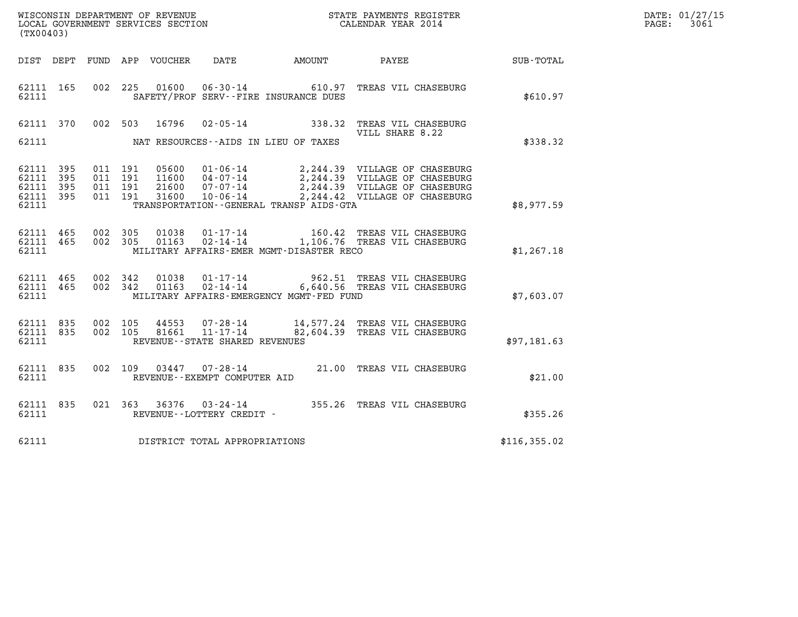| WISCONSIN DEPARTMENT OF REVENUE   | STATE PAYMENTS REGISTER | DATE: 01/27/15 |
|-----------------------------------|-------------------------|----------------|
| LOCAL GOVERNMENT SERVICES SECTION | CALENDAR YEAR 2014      | 3061<br>PAGE:  |

| WISCONSIN DEPARTMENT OF REVENUE<br>LOCAL GOVERNMENT SERVICES SECTION THE STATE PAYMENTS REGISTER<br>(TWO 0403)<br>(TX00403) |           |         |  |  |                                     |                                                |                                                                                                                                                                                            |               | DATE: 01/27/15<br>PAGE: 3061 |
|-----------------------------------------------------------------------------------------------------------------------------|-----------|---------|--|--|-------------------------------------|------------------------------------------------|--------------------------------------------------------------------------------------------------------------------------------------------------------------------------------------------|---------------|------------------------------|
|                                                                                                                             |           |         |  |  |                                     |                                                | DIST DEPT FUND APP VOUCHER DATE AMOUNT PAYEE PATE SUB-TOTAL                                                                                                                                |               |                              |
|                                                                                                                             |           | 62111   |  |  |                                     | SAFETY/PROF SERV--FIRE INSURANCE DUES          | 62111 165 002 225 01600 06-30-14 610.97 TREAS VIL CHASEBURG                                                                                                                                | \$610.97      |                              |
|                                                                                                                             |           |         |  |  |                                     |                                                | 62111 370 002 503 16796 02-05-14 338.32 TREAS VIL CHASEBURG<br>VILL SHARE 8.22                                                                                                             |               |                              |
|                                                                                                                             |           |         |  |  |                                     | 62111 NAT RESOURCES--AIDS IN LIEU OF TAXES     |                                                                                                                                                                                            | \$338.32      |                              |
| 62111 395<br>62111 395<br>62111 395<br>62111                                                                                | 62111 395 | 011 191 |  |  |                                     | TRANSPORTATION - - GENERAL TRANSP AIDS - GTA   |                                                                                                                                                                                            | \$8,977.59    |                              |
|                                                                                                                             |           |         |  |  |                                     |                                                |                                                                                                                                                                                            |               |                              |
|                                                                                                                             |           |         |  |  |                                     |                                                | 62111 465 002 305 01038 01-17-14 160.42 TREAS VIL CHASEBURG<br>62111 465 002 305 01163 02-14-14 1,106.76 TREAS VIL CHASEBURG<br>62111 MILITARY AFFAIRS-EMER MGMT-DISASTER RECO             | \$1,267.18    |                              |
|                                                                                                                             |           |         |  |  |                                     | 62111 MILITARY AFFAIRS-EMERGENCY MGMT-FED FUND | 62111 465 002 342 01038 01-17-14 962.51 TREAS VIL CHASEBURG<br>62111 465 002 342 01163 02-14-14 6,640.56 TREAS VIL CHASEBURG                                                               | \$7,603.07    |                              |
| 62111                                                                                                                       |           |         |  |  | REVENUE--STATE SHARED REVENUES      |                                                | 62111 835 002 105 44553 07-28-14 14,577.24 TREAS VIL CHASEBURG<br>62111 835 002 105 81661 11-17-14 82,604.39 TREAS VIL CHASEBURG                                                           | \$97,181.63   |                              |
| 62111                                                                                                                       | 62111 835 |         |  |  | REVENUE--EXEMPT COMPUTER AID        |                                                | 002 109 03447 07-28-14 21.00 TREAS VIL CHASEBURG                                                                                                                                           | \$21.00       |                              |
|                                                                                                                             |           |         |  |  |                                     |                                                | $\begin{tabular}{lllllll} 62111 & 835 & 021 & 363 & 36376 & 03\text{-}24\text{-}14 & & 355.26 \text{ TREAS VIL CHASEBURG} \\ 62111 & & \text{REVENUE}\text{-LOTTERY CREDIT}\end{tabular}.$ | \$355.26      |                              |
|                                                                                                                             |           |         |  |  | 62111 DISTRICT TOTAL APPROPRIATIONS |                                                |                                                                                                                                                                                            | \$116, 355.02 |                              |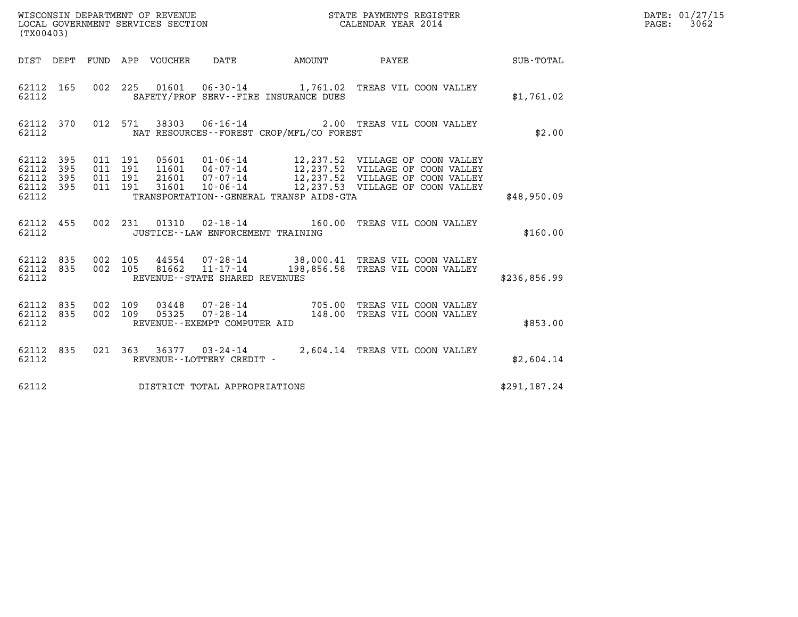| WISCONSIN DEPARTMENT OF REVENUE<br>LOCAL GOVERNMENT SERVICES SECTION<br>CALENDAR YEAR 2014<br>(TX00403) |            |                                          |         |       |                                                     |                                             |                                                                                                |              | DATE: 01/27/15<br>$\mathtt{PAGE:}$<br>3062 |
|---------------------------------------------------------------------------------------------------------|------------|------------------------------------------|---------|-------|-----------------------------------------------------|---------------------------------------------|------------------------------------------------------------------------------------------------|--------------|--------------------------------------------|
|                                                                                                         |            |                                          |         |       |                                                     |                                             | DIST DEPT FUND APP VOUCHER DATE AMOUNT PAYEE TO SUB-TOTAL                                      |              |                                            |
| 62112 165<br>62112                                                                                      |            |                                          |         |       |                                                     | SAFETY/PROF SERV--FIRE INSURANCE DUES       | 002 225 01601 06-30-14 1,761.02 TREAS VIL COON VALLEY                                          | \$1,761.02   |                                            |
| 62112                                                                                                   |            |                                          |         |       |                                                     | NAT RESOURCES - - FOREST CROP/MFL/CO FOREST | 62112 370 012 571 38303 06-16-14 2.00 TREAS VIL COON VALLEY                                    | \$2.00       |                                            |
| 62112 395<br>62112<br>62112<br>62112 395<br>62112                                                       | 395<br>395 | 011 191<br>011 191<br>011 191<br>011 191 |         |       |                                                     | TRANSPORTATION--GENERAL TRANSP AIDS-GTA     |                                                                                                | \$48,950.09  |                                            |
| 62112                                                                                                   | 62112 455  |                                          |         |       | JUSTICE -- LAW ENFORCEMENT TRAINING                 |                                             | 002 231 01310 02-18-14 160.00 TREAS VIL COON VALLEY                                            | \$160.00     |                                            |
| 62112 835<br>62112                                                                                      | 62112 835  | 002 105<br>002 105                       |         | 81662 | $11 - 17 - 14$<br>REVENUE - - STATE SHARED REVENUES |                                             | 44554  07-28-14  38,000.41  TREAS VIL COON VALLEY<br>198,856.58 TREAS VIL COON VALLEY          | \$236,856.99 |                                            |
| 62112 835<br>62112 835<br>62112                                                                         |            | 002 109                                  | 002 109 |       | REVENUE--EXEMPT COMPUTER AID                        |                                             | 03448  07-28-14  705.00 TREAS VIL COON VALLEY<br>05325  07-28-14  148.00 TREAS VIL COON VALLEY | \$853.00     |                                            |
| 62112 835<br>62112                                                                                      |            |                                          |         |       | REVENUE--LOTTERY CREDIT -                           |                                             | 021 363 36377 03-24-14 2,604.14 TREAS VIL COON VALLEY                                          | \$2,604.14   |                                            |
| 62112                                                                                                   |            |                                          |         |       | DISTRICT TOTAL APPROPRIATIONS                       |                                             |                                                                                                | \$291,187.24 |                                            |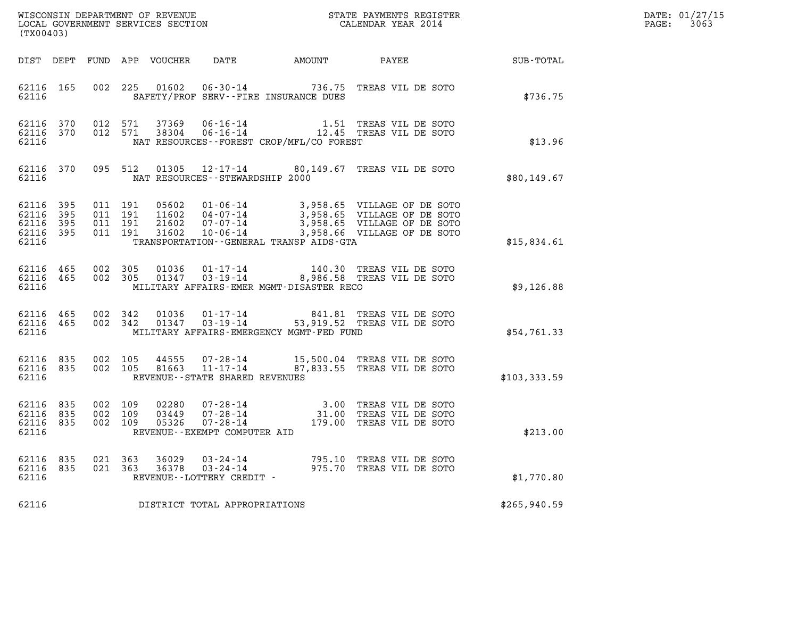| DATE: | 01/27/15 |
|-------|----------|
| PAGE: | 3063     |

| (TX00403)                                     |                   |                                          |            |                            |                                                         |                                          |                                                                                                                                                                                      |              | DATE: 01/27/15<br>3063<br>$\mathtt{PAGE:}$ |
|-----------------------------------------------|-------------------|------------------------------------------|------------|----------------------------|---------------------------------------------------------|------------------------------------------|--------------------------------------------------------------------------------------------------------------------------------------------------------------------------------------|--------------|--------------------------------------------|
|                                               |                   |                                          |            | DIST DEPT FUND APP VOUCHER | DATE                                                    | AMOUNT                                   | PAYEE SUB-TOTAL                                                                                                                                                                      |              |                                            |
| 62116 165<br>62116                            |                   |                                          |            |                            |                                                         | SAFETY/PROF SERV--FIRE INSURANCE DUES    | 002 225 01602 06-30-14 736.75 TREAS VIL DE SOTO                                                                                                                                      | \$736.75     |                                            |
| 62116 370<br>62116                            |                   | 62116 370 012 571                        | 012 571    |                            |                                                         | NAT RESOURCES--FOREST CROP/MFL/CO FOREST |                                                                                                                                                                                      | \$13.96      |                                            |
| 62116                                         | 62116 370         |                                          |            |                            | NAT RESOURCES--STEWARDSHIP 2000                         |                                          | 095 512 01305 12-17-14 80,149.67 TREAS VIL DE SOTO                                                                                                                                   | \$80,149.67  |                                            |
| 62116<br>62116<br>62116<br>62116 395<br>62116 | 395<br>395<br>395 | 011 191<br>011 191<br>011 191<br>011 191 |            |                            |                                                         | TRANSPORTATION--GENERAL TRANSP AIDS-GTA  | 05602 01-06-14 3,958.65 VILLAGE OF DE SOTO<br>11602 04-07-14 3,958.65 VILLAGE OF DE SOTO<br>21602 07-07-14 3,958.65 VILLAGE OF DE SOTO<br>31602 10-06-14 3,958.66 VILLAGE OF DE SOTO | \$15,834.61  |                                            |
| 62116                                         | 62116 465         | 62116 465 002 305<br>002 305             |            |                            |                                                         | MILITARY AFFAIRS-EMER MGMT-DISASTER RECO | 01036  01-17-14  140.30 TREAS VIL DE SOTO<br>01347  03-19-14  8,986.58 TREAS VIL DE SOTO                                                                                             | \$9,126.88   |                                            |
| 62116<br>62116 465<br>62116                   | 465               | 002 342<br>002 342                       |            | 01036<br>01347             |                                                         | MILITARY AFFAIRS-EMERGENCY MGMT-FED FUND | 01-17-14 841.81 TREAS VIL DE SOTO<br>03-19-14 53,919.52 TREAS VIL DE SOTO                                                                                                            | \$54,761.33  |                                            |
| 62116 835<br>62116 835<br>62116               |                   | 002 105<br>002 105                       |            | 44555<br>81663             | 11-17-14<br>REVENUE--STATE SHARED REVENUES              |                                          | 07-28-14 15,500.04 TREAS VIL DE SOTO<br>87,833.55 TREAS VIL DE SOTO                                                                                                                  | \$103,333.59 |                                            |
| 62116<br>62116 835<br>62116 835<br>62116      | 835               | 002 109<br>002 109<br>002 109            |            | 02280<br>03449<br>05326    | REVENUE--EXEMPT COMPUTER AID                            |                                          | 07-28-14 3.00 TREAS VIL DE SOTO<br>07-28-14 31.00 TREAS VIL DE SOTO<br>07-28-14 179.00 TREAS VIL DE SOTO                                                                             | \$213.00     |                                            |
| 62116<br>62116<br>62116                       | 835<br>835        | 021<br>021                               | 363<br>363 | 36029<br>36378             | 03-24-14<br>$03 - 24 - 14$<br>REVENUE--LOTTERY CREDIT - |                                          | 795.10 TREAS VIL DE SOTO<br>975.70 TREAS VIL DE SOTO                                                                                                                                 | \$1,770.80   |                                            |
| 62116                                         |                   |                                          |            |                            | DISTRICT TOTAL APPROPRIATIONS                           |                                          |                                                                                                                                                                                      | \$265,940.59 |                                            |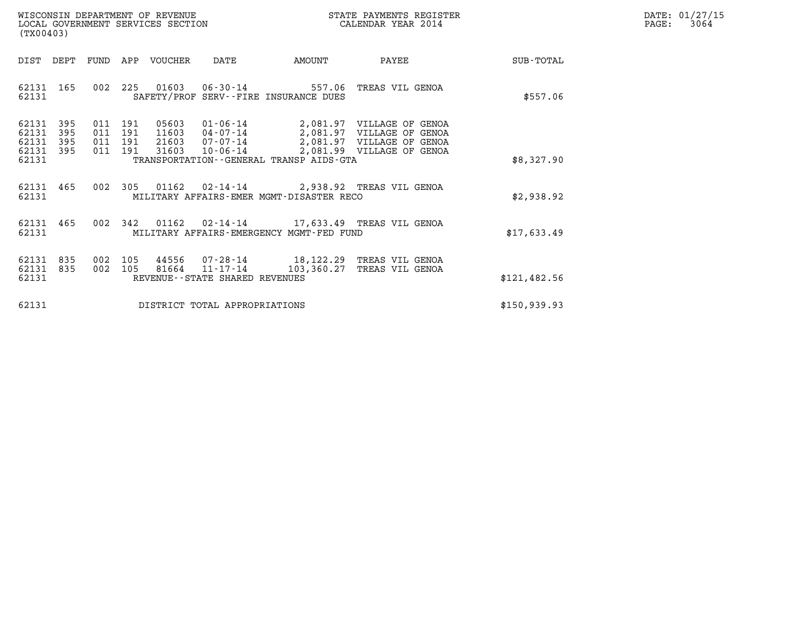| WISCONSIN DEPARTMENT OF REVENUE   | STATE PAYMENTS REGISTER | DATE: 01/27/15 |
|-----------------------------------|-------------------------|----------------|
| LOCAL GOVERNMENT SERVICES SECTION | CALENDAR YEAR 2014      | 3064<br>PAGE:  |

| WISCONSIN DEPARTMENT OF REVENUE<br>LOCAL GOVERNMENT SERVICES SECTION<br>(TX00403) |                          |            |                                  |                         |                                   | STATE PAYMENTS REGISTER<br>CALENDAR YEAR 2014 |                                                                                                                                    |              | DATE: 01/27/15<br>$\mathtt{PAGE:}$<br>3064 |
|-----------------------------------------------------------------------------------|--------------------------|------------|----------------------------------|-------------------------|-----------------------------------|-----------------------------------------------|------------------------------------------------------------------------------------------------------------------------------------|--------------|--------------------------------------------|
| DIST DEPT                                                                         |                          |            |                                  | FUND APP VOUCHER DATE   |                                   | <b>AMOUNT</b>                                 | PAYEE                                                                                                                              | SUB-TOTAL    |                                            |
| 62131 165<br>62131                                                                |                          |            |                                  |                         |                                   | SAFETY/PROF SERV--FIRE INSURANCE DUES         | 002 225 01603 06-30-14 557.06 TREAS VIL GENOA                                                                                      | \$557.06     |                                            |
| 62131<br>62131<br>62131<br>62131<br>62131                                         | 395<br>395<br>395<br>395 | 011<br>011 | 011 191<br>191<br>011 191<br>191 | 05603<br>11603<br>31603 | 21603  07-07-14<br>10-06-14       | TRANSPORTATION--GENERAL TRANSP AIDS-GTA       | 01-06-14 2,081.97 VILLAGE OF GENOA<br>04-07-14 2,081.97 VILLAGE OF GENOA<br>2,081.97 VILLAGE OF GENOA<br>2,081.99 VILLAGE OF GENOA | \$8,327.90   |                                            |
| 62131 465<br>62131                                                                |                          |            |                                  |                         |                                   | MILITARY AFFAIRS-EMER MGMT-DISASTER RECO      | 002 305 01162 02-14-14 2,938.92 TREAS VIL GENOA                                                                                    | \$2,938.92   |                                            |
| 62131<br>62131                                                                    | 465                      |            |                                  |                         |                                   | MILITARY AFFAIRS-EMERGENCY MGMT-FED FUND      | 002 342 01162 02-14-14 17,633.49 TREAS VIL GENOA                                                                                   | \$17,633.49  |                                            |
| 62131<br>62131<br>62131                                                           | 835<br>835               |            |                                  |                         | REVENUE - - STATE SHARED REVENUES | 002 105 81664 11-17-14 103,360.27             | 002 105 44556 07-28-14 18,122.29 TREAS VIL GENOA<br>TREAS VIL GENOA                                                                | \$121,482.56 |                                            |
| 62131                                                                             |                          |            |                                  |                         | DISTRICT TOTAL APPROPRIATIONS     |                                               |                                                                                                                                    | \$150,939.93 |                                            |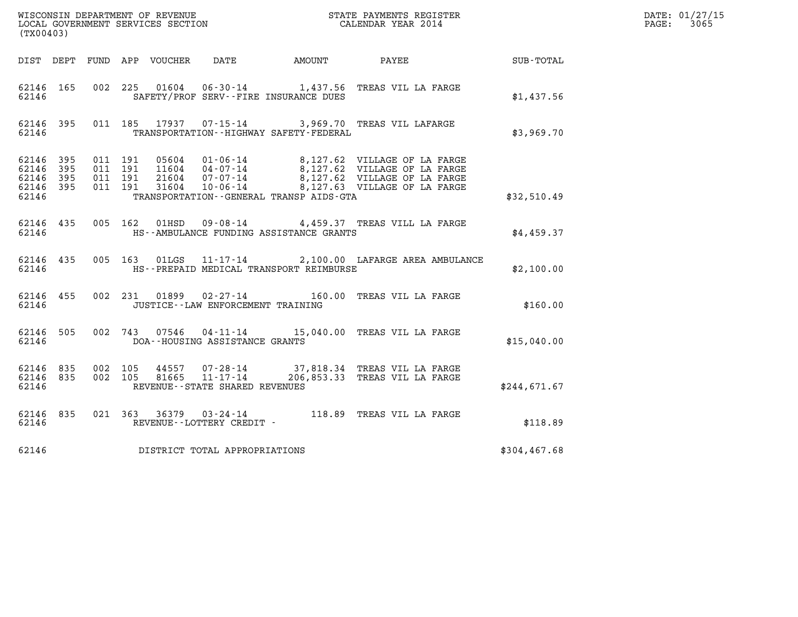| (TX00403)                                    |                        |                    |               |                                      |                                             |                                                                                                   |              | DATE: 01/27/15<br>$\mathtt{PAGE:}$<br>3065 |
|----------------------------------------------|------------------------|--------------------|---------------|--------------------------------------|---------------------------------------------|---------------------------------------------------------------------------------------------------|--------------|--------------------------------------------|
|                                              |                        |                    |               |                                      |                                             | DIST DEPT FUND APP VOUCHER DATE AMOUNT PAYEE TO SUB-TOTAL                                         |              |                                            |
| 62146                                        | 62146 165              |                    |               |                                      | SAFETY/PROF SERV--FIRE INSURANCE DUES       | 002 225 01604 06-30-14 1,437.56 TREAS VIL LA FARGE                                                | \$1,437.56   |                                            |
| 62146                                        |                        |                    |               |                                      | TRANSPORTATION - - HIGHWAY SAFETY - FEDERAL | 62146 395 011 185 17937 07-15-14 3,969.70 TREAS VIL LAFARGE                                       | \$3,969.70   |                                            |
| 62146 395<br>62146 395<br>62146 395<br>62146 | 62146 395              |                    |               |                                      | TRANSPORTATION--GENERAL TRANSP AIDS-GTA     |                                                                                                   | \$32,510.49  |                                            |
| 62146                                        | 62146 435              |                    | 005 162 01HSD |                                      | HS--AMBULANCE FUNDING ASSISTANCE GRANTS     | 09-08-14 4,459.37 TREAS VILL LA FARGE                                                             | \$4,459.37   |                                            |
| 62146                                        | 62146 435              |                    |               |                                      | HS--PREPAID MEDICAL TRANSPORT REIMBURSE     | 005 163 01LGS 11-17-14 2,100.00 LAFARGE AREA AMBULANCE                                            | \$2,100.00   |                                            |
| 62146                                        | 62146 455              |                    |               | JUSTICE - - LAW ENFORCEMENT TRAINING |                                             | 002 231 01899 02-27-14 160.00 TREAS VIL LA FARGE                                                  | \$160.00     |                                            |
|                                              | 62146 505<br>62146     |                    |               | DOA--HOUSING ASSISTANCE GRANTS       |                                             | 002 743 07546 04-11-14 15,040.00 TREAS VIL LA FARGE                                               | \$15,040.00  |                                            |
| 62146                                        | 62146 835<br>62146 835 | 002 105<br>002 105 | 81665         | REVENUE--STATE SHARED REVENUES       |                                             | 44557  07-28-14  37,818.34  TREAS VIL LA FARGE<br>81665  11-17-14  206,853.33  TREAS VIL LA FARGE | \$244,671.67 |                                            |
| 62146                                        | 62146 835              |                    |               | REVENUE--LOTTERY CREDIT -            |                                             | 021 363 36379 03-24-14 118.89 TREAS VIL LA FARGE                                                  | \$118.89     |                                            |
| 62146                                        |                        |                    |               | DISTRICT TOTAL APPROPRIATIONS        |                                             |                                                                                                   | \$304,467.68 |                                            |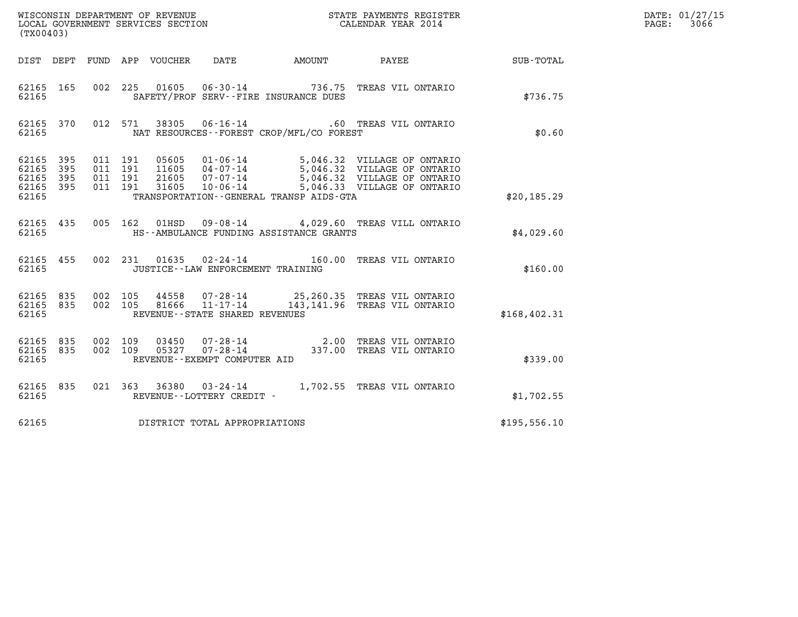| (TX00403)                                         |            |     |                                                                              |                                                  |                                          |                                                                                                                                                              |              | DATE: 01/27/15<br>3066<br>$\mathtt{PAGE:}$ |
|---------------------------------------------------|------------|-----|------------------------------------------------------------------------------|--------------------------------------------------|------------------------------------------|--------------------------------------------------------------------------------------------------------------------------------------------------------------|--------------|--------------------------------------------|
|                                                   |            |     | DIST DEPT FUND APP VOUCHER                                                   | DATE                                             |                                          | AMOUNT PAYEE                                                                                                                                                 | SUB-TOTAL    |                                            |
| 62165 165<br>62165                                |            |     |                                                                              |                                                  | SAFETY/PROF SERV--FIRE INSURANCE DUES    | 002 225 01605 06-30-14 736.75 TREAS VIL ONTARIO                                                                                                              | \$736.75     |                                            |
| 62165 370<br>62165                                |            |     | 012 571                                                                      |                                                  | NAT RESOURCES--FOREST CROP/MFL/CO FOREST |                                                                                                                                                              | \$0.60       |                                            |
| 62165 395<br>62165<br>62165<br>62165 395<br>62165 | 395<br>395 |     | 011 191<br>05605<br>011 191<br>11605<br>011 191<br>21605<br>011 191<br>31605 |                                                  | TRANSPORTATION--GENERAL TRANSP AIDS-GTA  | 01-06-14 5,046.32 VILLAGE OF ONTARIO<br>04-07-14 5,046.32 VILLAGE OF ONTARIO<br>07-07-14 5,046.32 VILLAGE OF ONTARIO<br>10-06-14 5,046.33 VILLAGE OF ONTARIO | \$20,185.29  |                                            |
| 62165 435<br>62165                                |            |     | 005 162<br>01HSD                                                             |                                                  | HS--AMBULANCE FUNDING ASSISTANCE GRANTS  | 09-08-14 4,029.60 TREAS VILL ONTARIO                                                                                                                         | \$4.029.60   |                                            |
| 62165 455<br>62165                                |            |     |                                                                              | JUSTICE - - LAW ENFORCEMENT TRAINING             |                                          | 002 231 01635 02-24-14 160.00 TREAS VIL ONTARIO                                                                                                              | \$160.00     |                                            |
| 62165 835<br>62165<br>62165                       | 835        |     | 002 105<br>44558<br>002 105<br>81666                                         | $11 - 17 - 14$<br>REVENUE--STATE SHARED REVENUES |                                          | 07-28-14 25,260.35 TREAS VIL ONTARIO<br>143,141.96 TREAS VIL ONTARIO                                                                                         | \$168,402.31 |                                            |
| 62165 835<br>62165 835<br>62165                   |            | 002 | 109<br>03450<br>002 109<br>05327                                             | REVENUE--EXEMPT COMPUTER AID                     |                                          | 07-28-14 2.00 TREAS VIL ONTARIO<br>07-28-14 337.00 TREAS VIL ONTARIO                                                                                         | \$339.00     |                                            |
| 62165 835<br>62165                                |            |     |                                                                              | REVENUE--LOTTERY CREDIT -                        |                                          | 021  363  36380  03-24-14  1,702.55  TREAS VIL ONTARIO                                                                                                       | \$1,702.55   |                                            |
| 62165                                             |            |     |                                                                              | DISTRICT TOTAL APPROPRIATIONS                    |                                          |                                                                                                                                                              | \$195,556.10 |                                            |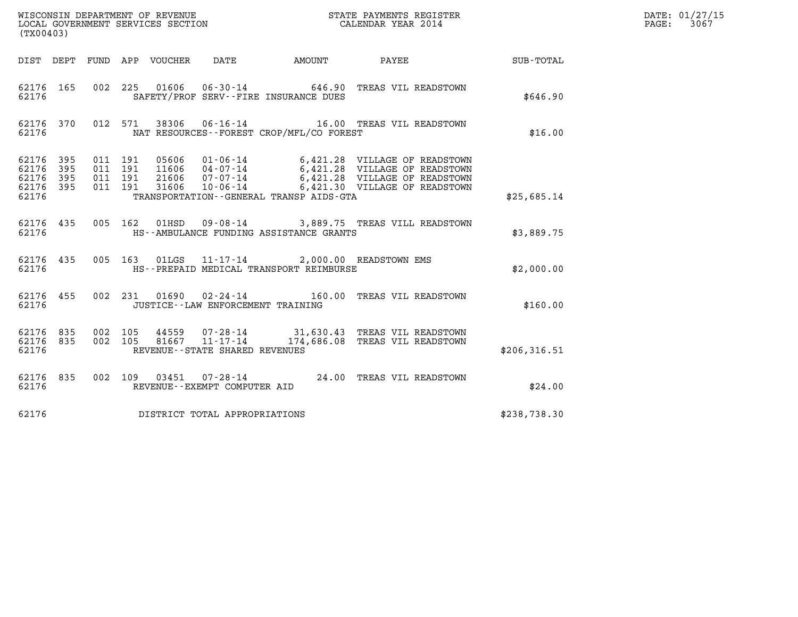| (TX00403)                                             |     |                               |                                 |                                     | WISCONSIN DEPARTMENT OF REVENUE<br>LOCAL GOVERNMENT SERVICES SECTION<br>(TWO 1403) CALENDAR YEAR 2014                                                                                                                                               |  |               | DATE: 01/27/15<br>$\mathtt{PAGE:}$<br>3067 |
|-------------------------------------------------------|-----|-------------------------------|---------------------------------|-------------------------------------|-----------------------------------------------------------------------------------------------------------------------------------------------------------------------------------------------------------------------------------------------------|--|---------------|--------------------------------------------|
|                                                       |     |                               | DIST DEPT FUND APP VOUCHER DATE |                                     | AMOUNT PAYEE SUB-TOTAL                                                                                                                                                                                                                              |  |               |                                            |
| 62176 165<br>62176                                    |     | 002 225                       |                                 |                                     | 01606  06-30-14  646.90 TREAS VIL READSTOWN<br>SAFETY/PROF SERV--FIRE INSURANCE DUES                                                                                                                                                                |  | \$646.90      |                                            |
| 62176 370<br>62176                                    |     |                               |                                 |                                     | 012 571 38306 06-16-14 16.00 TREAS VIL READSTOWN<br>NAT RESOURCES--FOREST CROP/MFL/CO FOREST                                                                                                                                                        |  | \$16.00       |                                            |
| 62176 395<br>62176<br>62176 395<br>62176 395<br>62176 | 395 | 011 191<br>011 191<br>011 191 | 011 191                         |                                     | 05606  01-06-14  6,421.28  VILLAGE OF READSTOWN<br>11606  04-07-14  6,421.28  VILLAGE OF READSTOWN<br>21606  07-07-14  6,421.28  VILLAGE OF READSTOWN<br>31606  10-06-14  6,421.30  VILLAGE OF READSTOWN<br>TRANSPORTATION--GENERAL TRANSP AIDS-GTA |  | \$25,685.14   |                                            |
| 62176 435<br>62176                                    |     |                               |                                 |                                     | 005 162 01HSD 09-08-14 3,889.75 TREAS VILL READSTOWN<br>HS--AMBULANCE FUNDING ASSISTANCE GRANTS                                                                                                                                                     |  | \$3,889.75    |                                            |
| 62176                                                 |     |                               |                                 |                                     | 62176 435 005 163 01LGS 11-17-14 2,000.00 READSTOWN EMS<br>HS--PREPAID MEDICAL TRANSPORT REIMBURSE                                                                                                                                                  |  | \$2,000.00    |                                            |
| 62176 455<br>62176                                    |     |                               |                                 | JUSTICE -- LAW ENFORCEMENT TRAINING | 002 231 01690 02-24-14 160.00 TREAS VIL READSTOWN                                                                                                                                                                                                   |  | \$160.00      |                                            |
| 62176 835<br>62176                                    |     | 62176 835 002 105             |                                 | REVENUE - - STATE SHARED REVENUES   | $\begin{array}{cccc} 002 & 105 & 44559 & 07\cdot 28\cdot 14 & 31,630.43 & \text{TREAS VIL READSTOWN} \\ 002 & 105 & 81667 & 11\cdot 17\cdot 14 & 174,686.08 & \text{TREAS VIL READSTOWN} \end{array}$                                               |  | \$206, 316.51 |                                            |
| 62176 835<br>62176                                    |     |                               |                                 | REVENUE--EXEMPT COMPUTER AID        | 002 109 03451 07-28-14 24.00 TREAS VIL READSTOWN                                                                                                                                                                                                    |  | \$24.00       |                                            |
| 62176                                                 |     |                               |                                 | DISTRICT TOTAL APPROPRIATIONS       |                                                                                                                                                                                                                                                     |  | \$238,738.30  |                                            |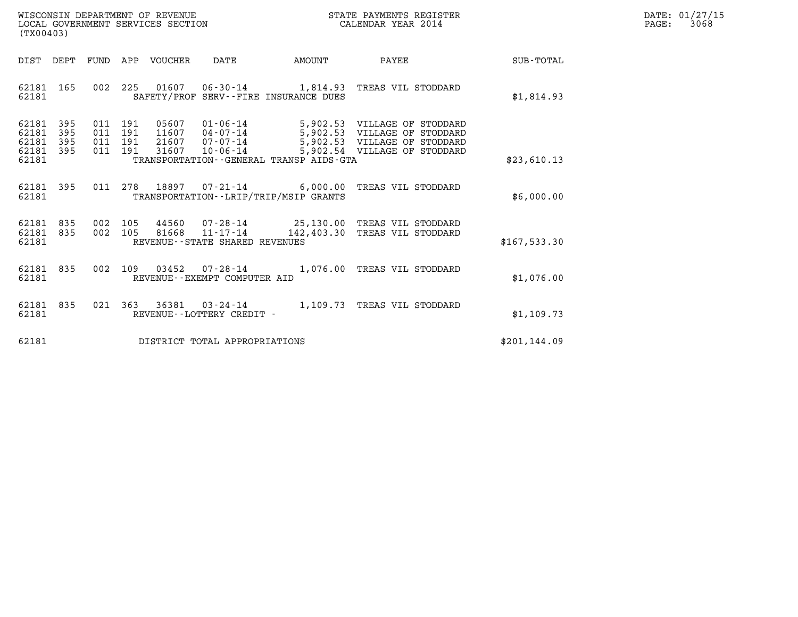| WISCONSIN DEPARTMENT OF REVENUE   | STATE PAYMENTS REGISTER | DATE: 01/27/15 |
|-----------------------------------|-------------------------|----------------|
| LOCAL GOVERNMENT SERVICES SECTION | CALENDAR YEAR 2014      | 3068<br>PAGE:  |

| (TX00403)                                                                                         |                                                                                                                                                                           |                                                                                                                              |               |
|---------------------------------------------------------------------------------------------------|---------------------------------------------------------------------------------------------------------------------------------------------------------------------------|------------------------------------------------------------------------------------------------------------------------------|---------------|
| DIST<br>DEPT<br>FUND                                                                              | APP<br>VOUCHER<br>DATE<br>AMOUNT                                                                                                                                          | PAYEE                                                                                                                        | SUB-TOTAL     |
| 002<br>62181<br>165<br>62181                                                                      | 225<br>01607  06-30-14  1,814.93  TREAS VIL STODDARD<br>SAFETY/PROF SERV--FIRE INSURANCE DUES                                                                             |                                                                                                                              | \$1,814.93    |
| 62181<br>395<br>011<br>62181<br>395<br>011<br>62181<br>395<br>011<br>62181<br>395<br>011<br>62181 | 191<br>05607<br>01-06-14<br>191<br>11607<br>$04 - 07 - 14$<br>$07 - 07 - 14$<br>191<br>21607<br>191<br>31607<br>$10 - 06 - 14$<br>TRANSPORTATION--GENERAL TRANSP AIDS-GTA | 5,902.53 VILLAGE OF STODDARD<br>5,902.53 VILLAGE OF STODDARD<br>5,902.53 VILLAGE OF STODDARD<br>5,902.54 VILLAGE OF STODDARD | \$23,610.13   |
| 011<br>62181<br>395<br>62181                                                                      | 278<br>18897<br>$07 - 21 - 14$ 6,000.00<br>TRANSPORTATION - - LRIP/TRIP/MSIP GRANTS                                                                                       | TREAS VIL STODDARD                                                                                                           | \$6,000.00    |
| 835<br>002<br>62181<br>002<br>62181<br>835<br>62181                                               | 105<br>44560  07-28-14  25,130.00 TREAS VIL STODDARD<br>$11 - 17 - 14$ $142,403.30$<br>105<br>81668<br>REVENUE - - STATE SHARED REVENUES                                  | TREAS VIL STODDARD                                                                                                           | \$167, 533.30 |
| 002<br>62181<br>835<br>62181                                                                      | 109<br>$07 - 28 - 14$<br>03452<br>REVENUE--EXEMPT COMPUTER AID                                                                                                            | 1,076.00<br>TREAS VIL STODDARD                                                                                               | \$1,076.00    |
| 835<br>021<br>62181<br>62181                                                                      | 363<br>36381<br>$03 - 24 - 14$<br>REVENUE - - LOTTERY CREDIT -                                                                                                            | 1,109.73<br>TREAS VIL STODDARD                                                                                               | \$1,109.73    |
| 62181                                                                                             | DISTRICT TOTAL APPROPRIATIONS                                                                                                                                             |                                                                                                                              | \$201, 144.09 |

(TX00403)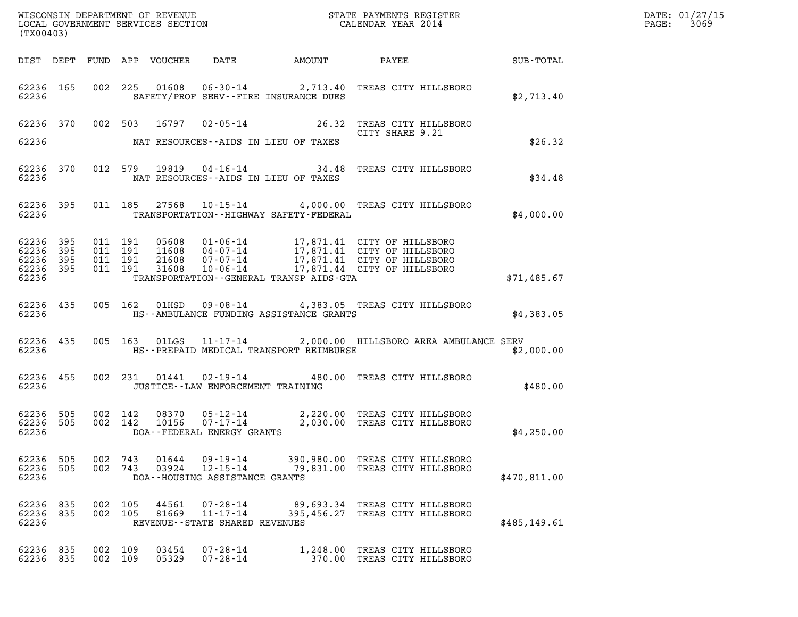| (TX00403)                                            |           |                               |                |                                                                    |                                                 |                                                                                                                                                                                                                                                                                                                                             |              | DATE: 01/27/15<br>PAGE: 3069 |
|------------------------------------------------------|-----------|-------------------------------|----------------|--------------------------------------------------------------------|-------------------------------------------------|---------------------------------------------------------------------------------------------------------------------------------------------------------------------------------------------------------------------------------------------------------------------------------------------------------------------------------------------|--------------|------------------------------|
|                                                      |           |                               |                |                                                                    |                                                 |                                                                                                                                                                                                                                                                                                                                             |              |                              |
|                                                      |           | 62236 and the state of $\sim$ |                |                                                                    | SAFETY/PROF SERV--FIRE INSURANCE DUES           | 62236 165 002 225 01608 06-30-14 2,713.40 TREAS CITY HILLSBORO                                                                                                                                                                                                                                                                              | \$2,713.40   |                              |
|                                                      |           |                               |                |                                                                    |                                                 | 62236 370 002 503 16797 02-05-14 26.32 TREAS CITY HILLSBORO                                                                                                                                                                                                                                                                                 |              |                              |
|                                                      |           |                               |                |                                                                    | 62236 NAT RESOURCES--AIDS IN LIEU OF TAXES      |                                                                                                                                                                                                                                                                                                                                             | \$26.32      |                              |
|                                                      |           |                               |                |                                                                    | 62236 NAT RESOURCES--AIDS IN LIEU OF TAXES      | 62236 370 012 579 19819 04-16-14 34.48 TREAS CITY HILLSBORO                                                                                                                                                                                                                                                                                 | \$34.48      |                              |
|                                                      |           |                               |                |                                                                    | 62236 TRANSPORTATION - HIGHWAY SAFETY - FEDERAL | 62236 395 011 185 27568 10-15-14 4,000.00 TREAS CITY HILLSBORO                                                                                                                                                                                                                                                                              | \$4,000.00   |                              |
| 62236 395 011 191<br>62236 395<br>62236 395<br>62236 | 62236 395 |                               |                |                                                                    | TRANSPORTATION--GENERAL TRANSP AIDS-GTA         | $\begin{array}{cccc} 011 & 191 & 05608 & 01\cdot 06\cdot 14 & 17,871.41 & \text{CITY OF HILLSBORO} \\ 011 & 191 & 11608 & 04\cdot 07\cdot 14 & 17,871.41 & \text{CITY OF HILLSBORO} \\ 011 & 191 & 21608 & 07\cdot 07\cdot 14 & 17,871.41 & \text{CITY OF HILLSBORO} \\ 011 & 191 & 31608 & 10\cdot 06\cdot 14 & 17,871.44 & \text{CITY OF$ | \$71,485.67  |                              |
|                                                      |           |                               |                |                                                                    |                                                 |                                                                                                                                                                                                                                                                                                                                             |              |                              |
|                                                      |           |                               |                |                                                                    | 62236 THS--AMBULANCE FUNDING ASSISTANCE GRANTS  | 62236 435 005 162 01HSD 09-08-14 4,383.05 TREAS CITY HILLSBORO                                                                                                                                                                                                                                                                              | \$4,383.05   |                              |
|                                                      |           |                               |                |                                                                    |                                                 | 62236 435 005 163 01LGS 11-17-14 2,000.00 HILLSBORO AREA AMBULANCE SERV<br>62236 THS--PREPAID MEDICAL TRANSPORT REIMBURSE                                                                                                                                                                                                                   | \$2,000.00   |                              |
| 62236                                                |           |                               |                | JUSTICE - - LAW ENFORCEMENT TRAINING                               |                                                 | 62236 455 002 231 01441 02-19-14 480.00 TREAS CITY HILLSBORO                                                                                                                                                                                                                                                                                | \$480.00     |                              |
|                                                      |           |                               |                |                                                                    |                                                 | $\begin{array}{cccc} 62236 & 505 & 002 & 142 & 08370 & 05\text{-}12\text{-}14 & 2,220.00 & \text{TREAS CITY HILLSBORO} \\ 62236 & 505 & 002 & 142 & 10156 & 07\text{-}17\text{-}14 & 2,030.00 & \text{TREAS CITY HILLSBORO} \\ 62236 & \text{DOA}\text{-}\text{-}\text{FEDERAL ENERGY GRANTS} & \end{array}$                                | \$4,250.00   |                              |
| 62236 505<br>62236 505<br>62236                      |           | 002 743<br>002 743            | 01644<br>03924 | 09-19-14<br>12-15-14<br>DOA--HOUSING ASSISTANCE GRANTS             |                                                 | 390,980.00 TREAS CITY HILLSBORO<br>79,831.00 TREAS CITY HILLSBORO                                                                                                                                                                                                                                                                           | \$470,811.00 |                              |
| 62236 835<br>62236 835<br>62236                      |           | 002 105<br>002 105            | 44561<br>81669 | $07 - 28 - 14$<br>$11 - 17 - 14$<br>REVENUE--STATE SHARED REVENUES |                                                 | 89,693.34 TREAS CITY HILLSBORO<br>395,456.27 TREAS CITY HILLSBORO                                                                                                                                                                                                                                                                           | \$485,149.61 |                              |
| 62236 835<br>62236 835                               |           | 002 109<br>002 109            | 03454<br>05329 | $07 - 28 - 14$<br>07-28-14                                         |                                                 | 1,248.00 TREAS CITY HILLSBORO<br>370.00 TREAS CITY HILLSBORO                                                                                                                                                                                                                                                                                |              |                              |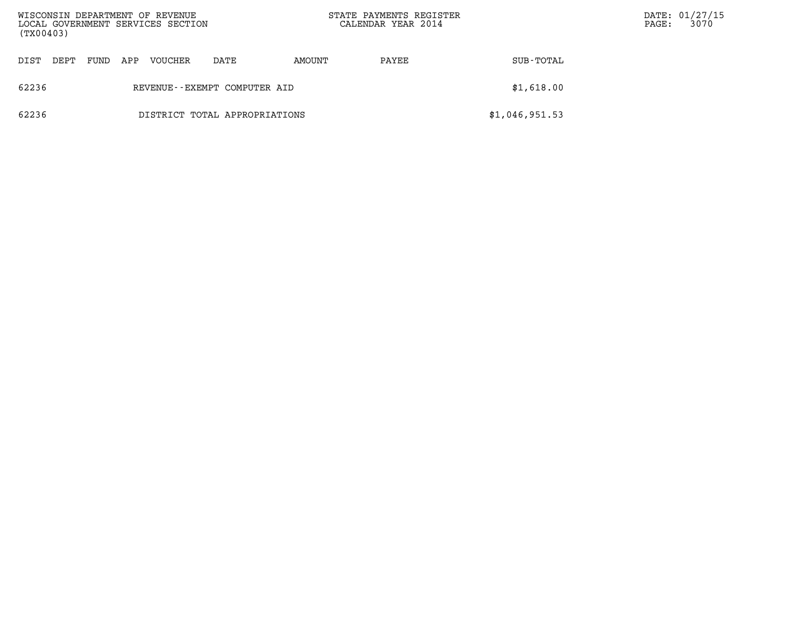| WISCONSIN DEPARTMENT OF REVENUE<br>LOCAL GOVERNMENT SERVICES SECTION<br>(TX00403) |      |      |     |         |                               |        | STATE PAYMENTS REGISTER<br>CALENDAR YEAR 2014 |                | $\mathtt{PAGE:}$ | DATE: 01/27/15<br>3070 |
|-----------------------------------------------------------------------------------|------|------|-----|---------|-------------------------------|--------|-----------------------------------------------|----------------|------------------|------------------------|
| DIST                                                                              | DEPT | FUND | APP | VOUCHER | DATE                          | AMOUNT | PAYEE                                         | SUB-TOTAL      |                  |                        |
| 62236                                                                             |      |      |     |         | REVENUE--EXEMPT COMPUTER AID  |        |                                               | \$1,618.00     |                  |                        |
| 62236                                                                             |      |      |     |         | DISTRICT TOTAL APPROPRIATIONS |        |                                               | \$1,046,951.53 |                  |                        |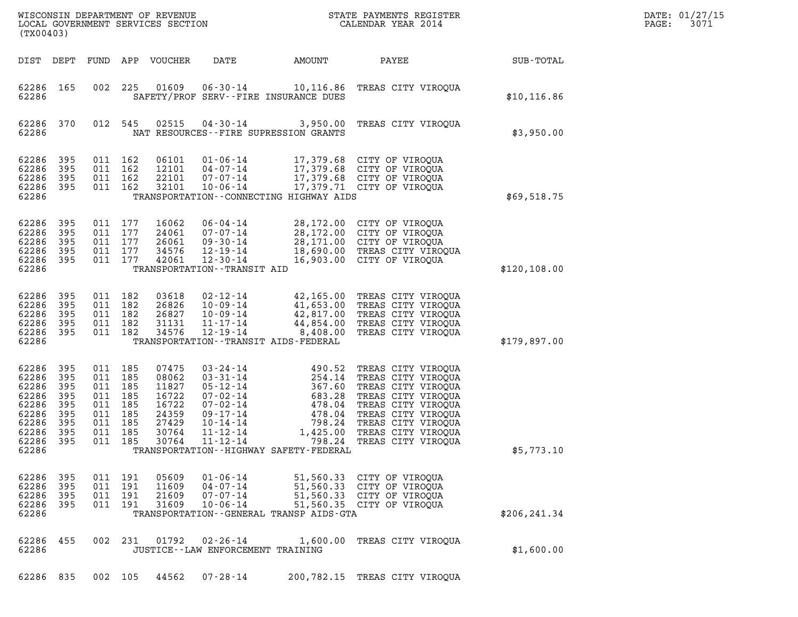| (TX00403)                                                                              |                                                             |                                               |                                                                     | WISCONSIN DEPARTMENT OF REVENUE<br>LOCAL GOVERNMENT SERVICES SECTION          |                                                                                                                                                                |                                                                                                                               | STATE PAYMENTS REGISTER<br>CALENDAR YEAR 2014                                                                                                                                                             |               | DATE: 01/27/15<br>3071<br>PAGE: |
|----------------------------------------------------------------------------------------|-------------------------------------------------------------|-----------------------------------------------|---------------------------------------------------------------------|-------------------------------------------------------------------------------|----------------------------------------------------------------------------------------------------------------------------------------------------------------|-------------------------------------------------------------------------------------------------------------------------------|-----------------------------------------------------------------------------------------------------------------------------------------------------------------------------------------------------------|---------------|---------------------------------|
| DIST DEPT                                                                              |                                                             | FUND                                          |                                                                     | APP VOUCHER                                                                   | DATE                                                                                                                                                           | AMOUNT                                                                                                                        | PAYEE                                                                                                                                                                                                     | SUB-TOTAL     |                                 |
| 62286<br>62286                                                                         | 165                                                         | 002                                           | 225                                                                 | 01609                                                                         | $06 - 30 - 14$                                                                                                                                                 | 10,116.86<br>SAFETY/PROF SERV--FIRE INSURANCE DUES                                                                            | TREAS CITY VIROQUA                                                                                                                                                                                        | \$10, 116.86  |                                 |
| 62286<br>62286                                                                         | 370                                                         | 012                                           | 545                                                                 | 02515                                                                         | $04 - 30 - 14$                                                                                                                                                 | NAT RESOURCES -- FIRE SUPRESSION GRANTS                                                                                       | 3,950.00 TREAS CITY VIROOUA                                                                                                                                                                               | \$3,950.00    |                                 |
| 62286<br>62286<br>62286<br>62286<br>62286                                              | 395<br>395<br>395<br>395                                    | 011<br>011                                    | 011 162<br>162<br>162<br>011 162                                    | 06101<br>12101<br>22101<br>32101                                              | $01 - 06 - 14$<br>$04 - 07 - 14$<br>07-07-14<br>$10 - 06 - 14$                                                                                                 | TRANSPORTATION - CONNECTING HIGHWAY AIDS                                                                                      | 17,379.68 CITY OF VIROQUA<br>17,379.68 CITY OF VIROQUA<br>17,379.68 CITY OF VIROQUA<br>17,379.71 CITY OF VIROQUA                                                                                          | \$69,518.75   |                                 |
| 62286<br>62286<br>62286<br>62286<br>62286<br>62286                                     | 395<br>395<br>395<br>395<br>395                             | 011<br>011<br>011                             | 011 177<br>177<br>177<br>177<br>011 177                             | 16062<br>24061<br>26061<br>34576<br>42061                                     | $06 - 04 - 14$<br>$07 - 07 - 14$<br>$09 - 30 - 14$<br>$12 - 19 - 14$<br>$12 - 30 - 14$<br>TRANSPORTATION - - TRANSIT AID                                       |                                                                                                                               | 28,172.00 CITY OF VIROQUA<br>28,172.00 CITY OF VIROQUA<br>28,171.00 CITY OF VIROQUA<br>18,690.00 TREAS CITY VIROQUA<br>16,903.00 CITY OF VIROQUA                                                          | \$120, 108.00 |                                 |
| 62286<br>62286<br>62286<br>62286<br>62286<br>62286                                     | 395<br>395<br>395<br>395<br>395                             | 011<br>011                                    | 011 182<br>011 182<br>182<br>182<br>011 182                         | 03618<br>26826<br>26827<br>31131<br>34576                                     | $02 - 12 - 14$<br>$10 - 09 - 14$<br>$10 - 09 - 14$<br>$11 - 17 - 14$<br>$12 - 19 - 14$                                                                         | 8,408.00<br>TRANSPORTATION - - TRANSIT AIDS - FEDERAL                                                                         | 42,165.00 TREAS CITY VIROQUA<br>41,653.00 TREAS CITY VIROQUA<br>42,817.00 TREAS CITY VIROQUA<br>44,854.00 TREAS CITY VIROQUA<br>TREAS CITY VIROQUA                                                        | \$179,897.00  |                                 |
| 62286<br>62286<br>62286<br>62286<br>62286<br>62286<br>62286<br>62286<br>62286<br>62286 | 395<br>395<br>395<br>395<br>395<br>395<br>395<br>395<br>395 | 011<br>011<br>011<br>011<br>011<br>011<br>011 | 011 185<br>185<br>185<br>185<br>185<br>185<br>185<br>185<br>011 185 | 07475<br>08062<br>11827<br>16722<br>16722<br>24359<br>27429<br>30764<br>30764 | $03 - 24 - 14$<br>$03 - 31 - 14$<br>$05 - 12 - 14$<br>$07 - 02 - 14$<br>$07 - 02 - 14$<br>$09 - 17 - 14$<br>$10 - 14 - 14$<br>$11 - 12 - 14$<br>$11 - 12 - 14$ | 490.52<br>254.14<br>367.60<br>683.28<br>478.04<br>478.04<br>798.24<br>1,425.00<br>TRANSPORTATION - - HIGHWAY SAFETY - FEDERAL | TREAS CITY VIROQUA<br>TREAS CITY VIROQUA<br>TREAS CITY VIROQUA<br>TREAS CITY VIROQUA<br>TREAS CITY VIROQUA<br>TREAS CITY VIROQUA<br>TREAS CITY VIROQUA<br>TREAS CITY VIROQUA<br>798.24 TREAS CITY VIROQUA | \$5,773.10    |                                 |
| 62286<br>62286<br>62286<br>62286<br>62286                                              | 395<br>395<br>395<br>395                                    | 011<br>011<br>011                             | 011 191<br>191<br>191<br>191                                        | 05609<br>11609<br>21609<br>31609                                              | $01 - 06 - 14$<br>$04 - 07 - 14$<br>$07 - 07 - 14$<br>$10 - 06 - 14$                                                                                           | TRANSPORTATION - - GENERAL TRANSP AIDS - GTA                                                                                  | 51,560.33 CITY OF VIROQUA<br>51,560.33 CITY OF VIROQUA<br>51,560.33 CITY OF VIROQUA<br>51,560.35 CITY OF VIROQUA                                                                                          | \$206, 241.34 |                                 |
| 62286<br>62286                                                                         | 455                                                         | 002                                           | 231                                                                 | 01792                                                                         | $02 - 26 - 14$<br>JUSTICE - - LAW ENFORCEMENT TRAINING                                                                                                         |                                                                                                                               | 1,600.00 TREAS CITY VIROQUA                                                                                                                                                                               | \$1,600.00    |                                 |
| 62286 835                                                                              |                                                             |                                               | 002 105                                                             | 44562                                                                         | $07 - 28 - 14$                                                                                                                                                 |                                                                                                                               | 200,782.15 TREAS CITY VIROQUA                                                                                                                                                                             |               |                                 |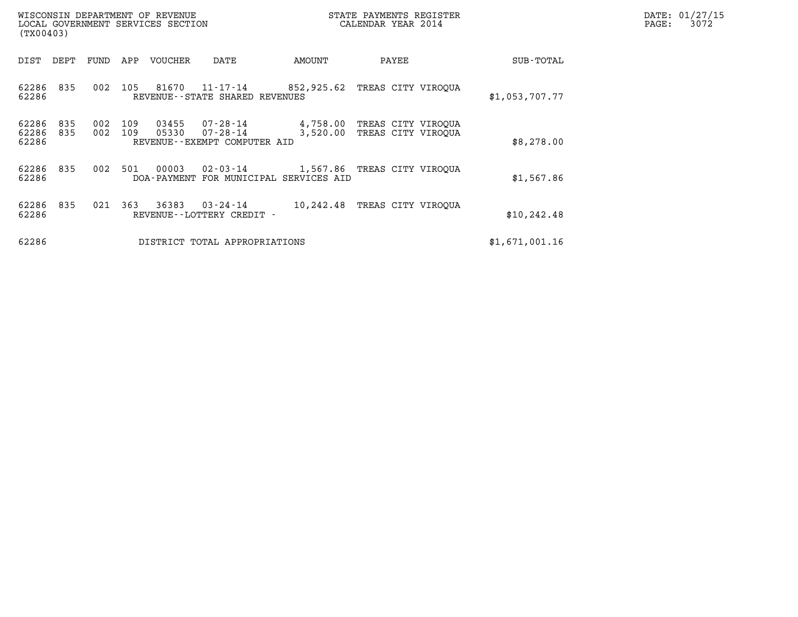| DATE: 01/27/15<br>PAGE:<br>3072 |
|---------------------------------|
|                                 |
|                                 |
|                                 |
|                                 |
|                                 |
|                                 |
|                                 |
|                                 |